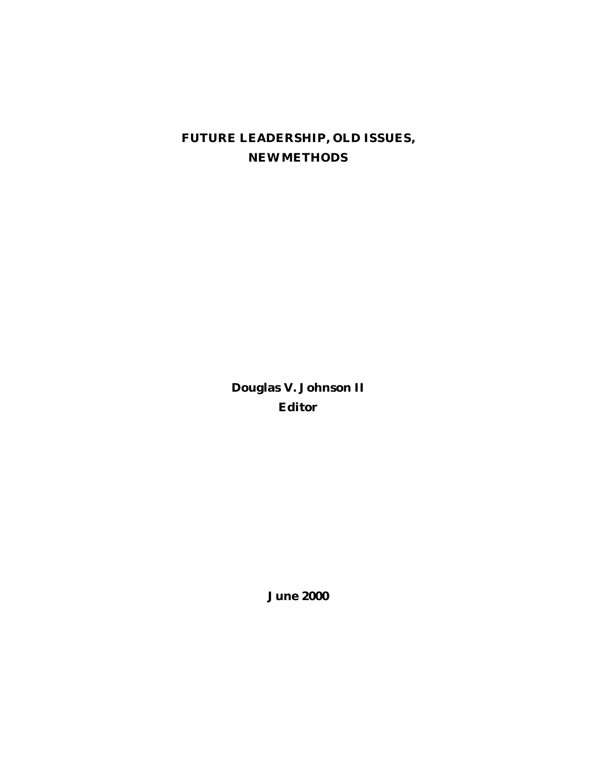# **FUTURE LEADERSHIP, OLD ISSUES, NEW METHODS**

**Douglas V. Johnson II Editor**

**June 2000**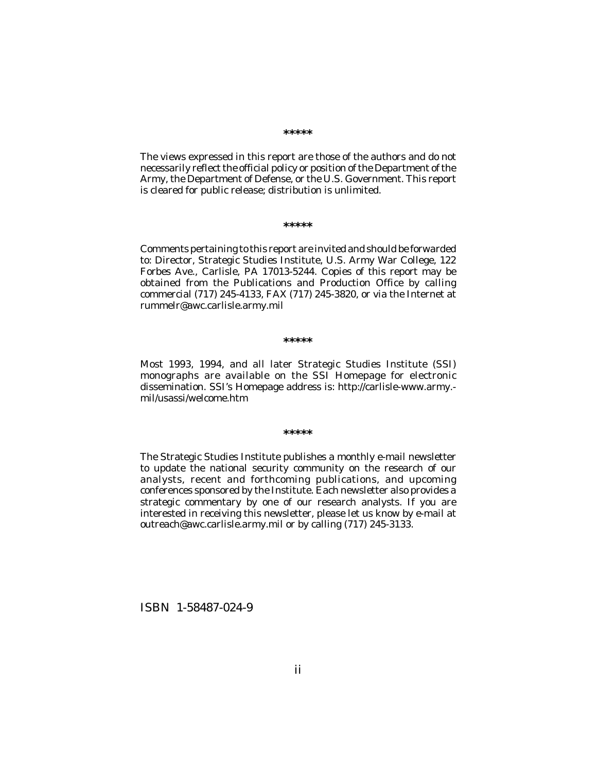The views expressed in this report are those of the authors and do not necessarily reflect the official policy or position of the Department of the Army, the Department of Defense, or the U.S. Government. This report is cleared for public release; distribution is unlimited.

#### **\*\*\*\*\***

Comments pertaining to this report are invited and should be forwarded to: Director, Strategic Studies Institute, U.S. Army War College, 122 Forbes Ave., Carlisle, PA 17013-5244. Copies of this report may be obtained from the Publications and Production Office by calling commercial (717) 245-4133, FAX (717) 245-3820, or via the Internet at rummelr@awc.carlisle.army.mil

#### **\*\*\*\*\***

Most 1993, 1994, and all later Strategic Studies Institute (SSI) monographs are available on the SSI Homepage for electronic dissemination. SSI's Homepage address is: http://carlisle-www.army. mil/usassi/welcome.htm

#### **\*\*\*\*\***

The Strategic Studies Institute publishes a monthly e-mail newsletter to update the national security community on the research of our analysts, recent and forthcoming publications, and upcoming conferences sponsored by the Institute. Each newsletter also provides a strategic commentary by one of our research analysts. If you are interested in receiving this newsletter, please let us know by e-mail at outreach@awc.carlisle.army.mil or by calling (717) 245-3133.

ISBN 1-58487-024-9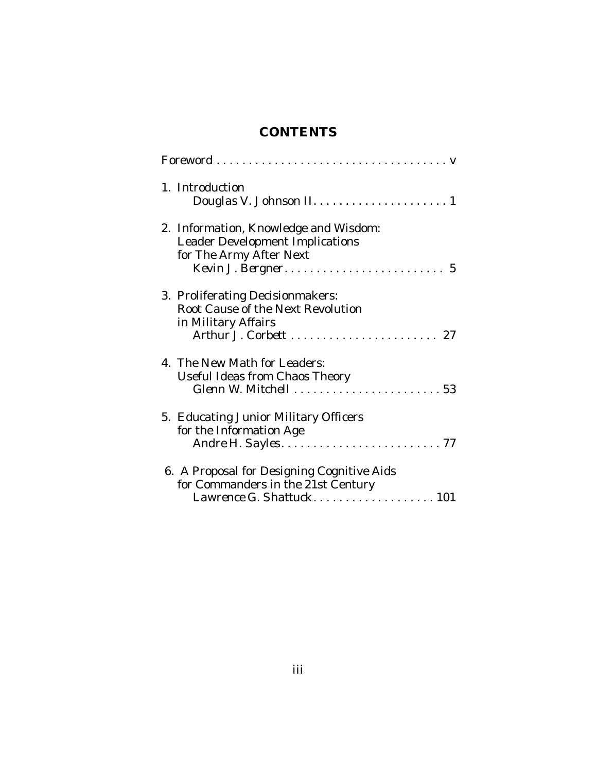# **CONTENTS**

| 1. Introduction                                                                                              |
|--------------------------------------------------------------------------------------------------------------|
| 2. Information, Knowledge and Wisdom:<br><b>Leader Development Implications</b><br>for The Army After Next   |
| 3. Proliferating Decisionmakers:<br>Root Cause of the Next Revolution<br>in Military Affairs                 |
| 4. The New Math for Leaders:<br>Useful Ideas from Chaos Theory                                               |
| 5. Educating Junior Military Officers<br>for the Information Age                                             |
| 6. A Proposal for Designing Cognitive Aids<br>for Commanders in the 21st Century<br>Lawrence G. Shattuck 101 |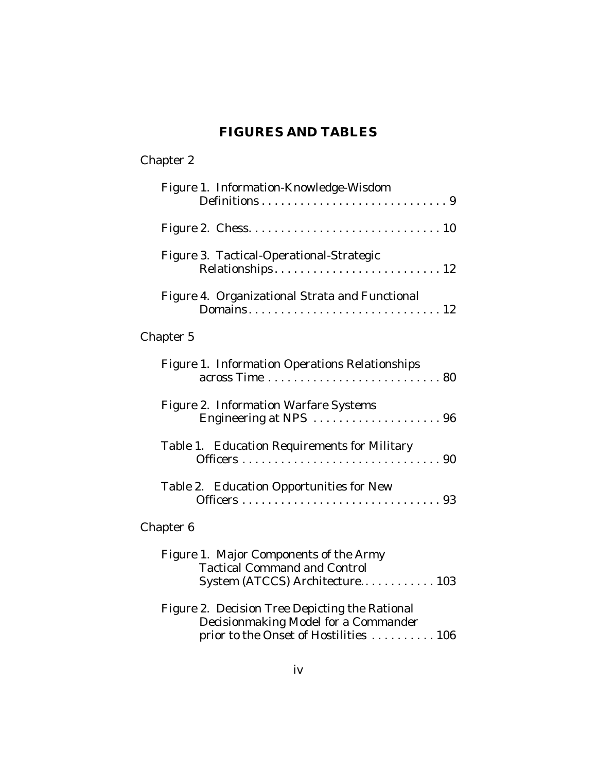# **FIGURES AND TABLES**

| Chapter 2                                                                                                                        |
|----------------------------------------------------------------------------------------------------------------------------------|
| Figure 1. Information-Knowledge-Wisdom                                                                                           |
|                                                                                                                                  |
| Figure 3. Tactical-Operational-Strategic                                                                                         |
| Figure 4. Organizational Strata and Functional                                                                                   |
| Chapter 5                                                                                                                        |
| Figure 1. Information Operations Relationships                                                                                   |
| Figure 2. Information Warfare Systems<br>Engineering at NPS 96                                                                   |
| Table 1. Education Requirements for Military                                                                                     |
| Table 2. Education Opportunities for New                                                                                         |
| Chapter 6                                                                                                                        |
| Figure 1. Major Components of the Army<br><b>Tactical Command and Control</b><br>System (ATCCS) Architecture 103                 |
| Figure 2. Decision Tree Depicting the Rational<br>Decisionmaking Model for a Commander<br>prior to the Onset of Hostilities  106 |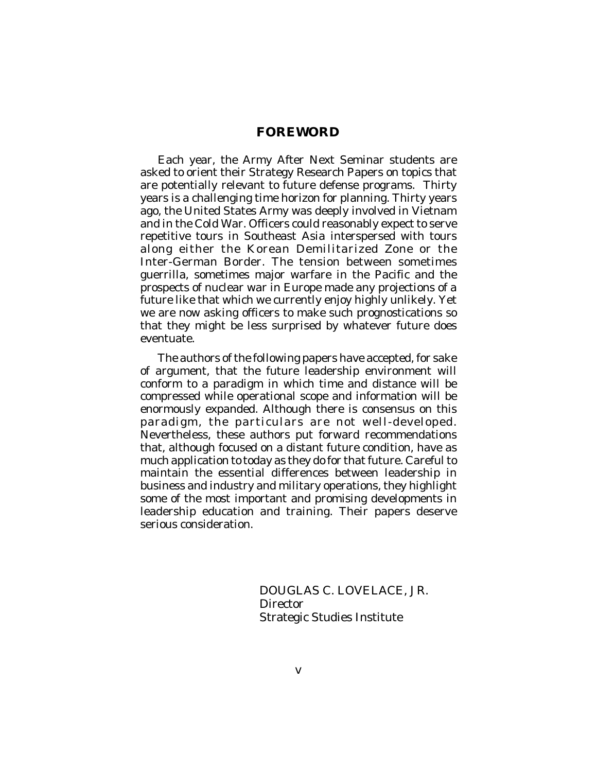Each year, the Army After Next Seminar students are asked to orient their Strategy Research Papers on topics that are potentially relevant to future defense programs. Thirty years is a challenging time horizon for planning. Thirty years ago, the United States Army was deeply involved in Vietnam and in the Cold War. Officers could reasonably expect to serve repetitive tours in Southeast Asia interspersed with tours along either the Korean Demilitarized Zone or the Inter-German Border. The tension between sometimes guerrilla, sometimes major warfare in the Pacific and the prospects of nuclear war in Europe made any projections of a future like that which we currently enjoy highly unlikely. Yet we are now asking officers to make such prognostications so that they might be less surprised by whatever future does eventuate.

The authors of the following papers have accepted, for sake of argument, that the future leadership environment will conform to a paradigm in which time and distance will be compressed while operational scope and information will be enormously expanded. Although there is consensus on this paradigm, the particulars are not well-developed. Nevertheless, these authors put forward recommendations that, although focused on a distant future condition, have as much application to today as they do for that future. Careful to maintain the essential differences between leadership in business and industry and military operations, they highlight some of the most important and promising developments in leadership education and training. Their papers deserve serious consideration.

> DOUGLAS C. LOVELACE, JR. Director Strategic Studies Institute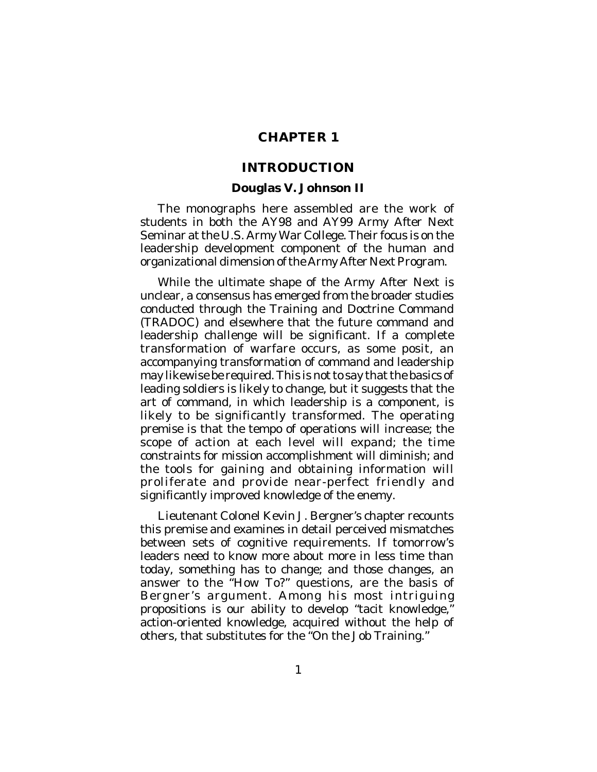## **CHAPTER 1**

### **INTRODUCTION**

#### **Douglas V. Johnson II**

The monographs here assembled are the work of students in both the AY98 and AY99 Army After Next Seminar at the U.S. Army War College. Their focus is on the leadership development component of the human and organizational dimension of the Army After Next Program.

While the ultimate shape of the Army After Next is unclear, a consensus has emerged from the broader studies conducted through the Training and Doctrine Command (TRADOC) and elsewhere that the future command and leadership challenge will be significant. If a complete transformation of warfare occurs, as some posit, an accompanying transformation of command and leadership may likewise be required. This is not to say that the basics of leading soldiers is likely to change, but it suggests that the art of command, in which leadership is a component, is likely to be significantly transformed. The operating premise is that the tempo of operations will increase; the scope of action at each level will expand; the time constraints for mission accomplishment will diminish; and the tools for gaining and obtaining information will proliferate and provide near-perfect friendly and significantly improved knowledge of the enemy.

Lieutenant Colonel Kevin J. Bergner's chapter recounts this premise and examines in detail perceived mismatches between sets of cognitive requirements. If tomorrow's leaders need to know more about more in less time than today, something has to change; and those changes, an answer to the "How To?" questions, are the basis of Bergner's argument. Among his most intriguing propositions is our ability to develop "tacit knowledge," action-oriented knowledge, acquired without the help of others, that substitutes for the "On the Job Training."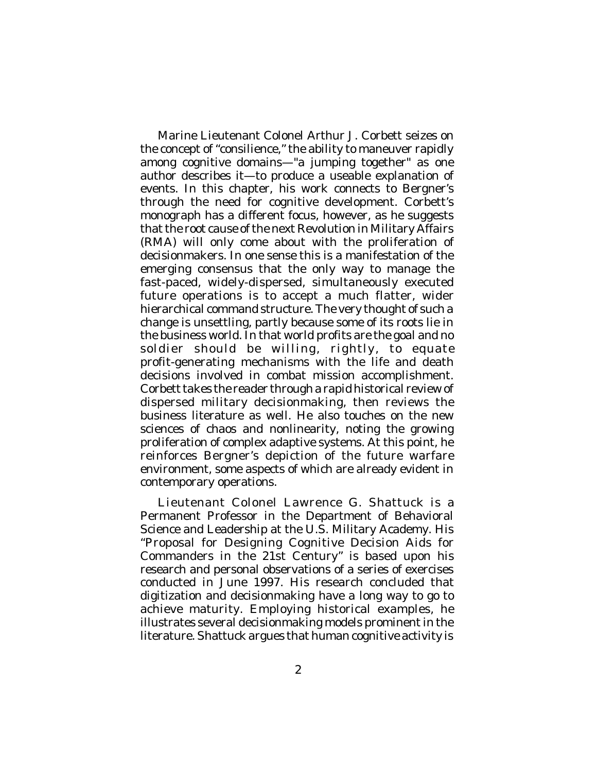Marine Lieutenant Colonel Arthur J. Corbett seizes on the concept of "consilience," the ability to maneuver rapidly among cognitive domains—"a jumping together" as one author describes it—to produce a useable explanation of events. In this chapter, his work connects to Bergner's through the need for cognitive development. Corbett's monograph has a different focus, however, as he suggests that the root cause of the next Revolution in Military Affairs (RMA) will only come about with the proliferation of decisionmakers. In one sense this is a manifestation of the emerging consensus that the only way to manage the fast-paced, widely-dispersed, simultaneously executed future operations is to accept a much flatter, wider hierarchical command structure. The very thought of such a change is unsettling, partly because some of its roots lie in the business world. In that world profits are the goal and no soldier should be willing, rightly, to equate profit-generating mechanisms with the life and death decisions involved in combat mission accomplishment. Corbett takes the reader through a rapid historical review of dispersed military decisionmaking, then reviews the business literature as well. He also touches on the new sciences of chaos and nonlinearity, noting the growing proliferation of complex adaptive systems. At this point, he reinforces Bergner's depiction of the future warfare environment, some aspects of which are already evident in contemporary operations.

Lieutenant Colonel Lawrence G. Shattuck is a Permanent Professor in the Department of Behavioral Science and Leadership at the U.S. Military Academy. His "Proposal for Designing Cognitive Decision Aids for Commanders in the 21st Century" is based upon his research and personal observations of a series of exercises conducted in June 1997. His research concluded that digitization and decisionmaking have a long way to go to achieve maturity. Employing historical examples, he illustrates several decisionmaking models prominent in the literature. Shattuck argues that human cognitive activity is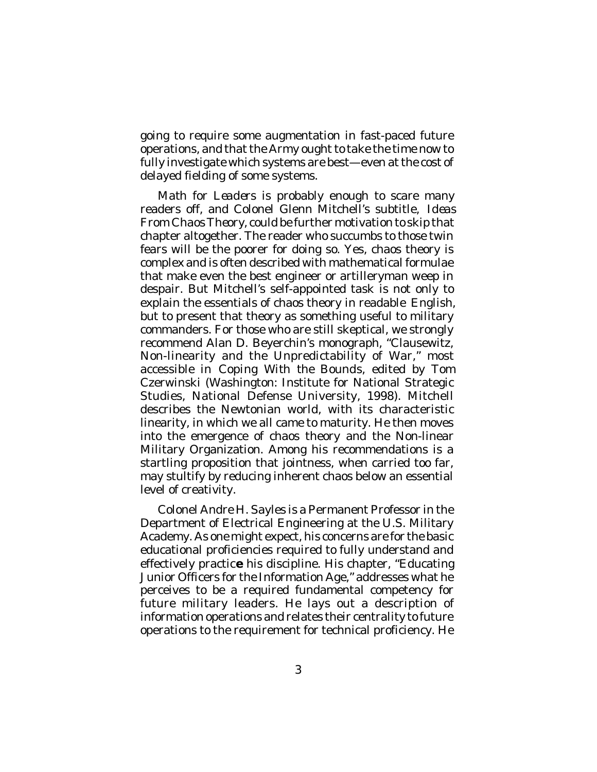going to require some augmentation in fast-paced future operations, and that the Army ought to take the time now to fully investigate which systems are best—even at the cost of delayed fielding of some systems.

*Math for Leaders* is probably enough to scare many readers off, and Colonel Glenn Mitchell's subtitle, *Ideas From Chaos Theory*, could be further motivation to skip that chapter altogether. The reader who succumbs to those twin fears will be the poorer for doing so. Yes, chaos theory is complex and is often described with mathematical formulae that make even the best engineer or artilleryman weep in despair. But Mitchell's self-appointed task is not only to explain the essentials of chaos theory in readable English, but to present that theory as something useful to military commanders. For those who are still skeptical, we strongly recommend Alan D. Beyerchin's monograph, "Clausewitz, Non-linearity and the Unpredictability of War," most accessible in *Coping With the Bounds*, edited by Tom Czerwinski (Washington: Institute for National Strategic Studies, National Defense University, 1998). Mitchell describes the Newtonian world, with its characteristic linearity, in which we all came to maturity. He then moves into the emergence of chaos theory and the Non-linear Military Organization. Among his recommendations is a startling proposition that jointness, when carried too far, may stultify by reducing inherent chaos below an essential level of creativity.

Colonel Andre H. Sayles is a Permanent Professor in the Department of Electrical Engineering at the U.S. Military Academy. As one might expect, his concerns are for the basic educational proficiencies required to fully understand and effectively practic**e** his discipline. His chapter, "Educating Junior Officers for the Information Age," addresses what he perceives to be a required fundamental competency for future military leaders. He lays out a description of information operations and relates their centrality to future operations to the requirement for technical proficiency. He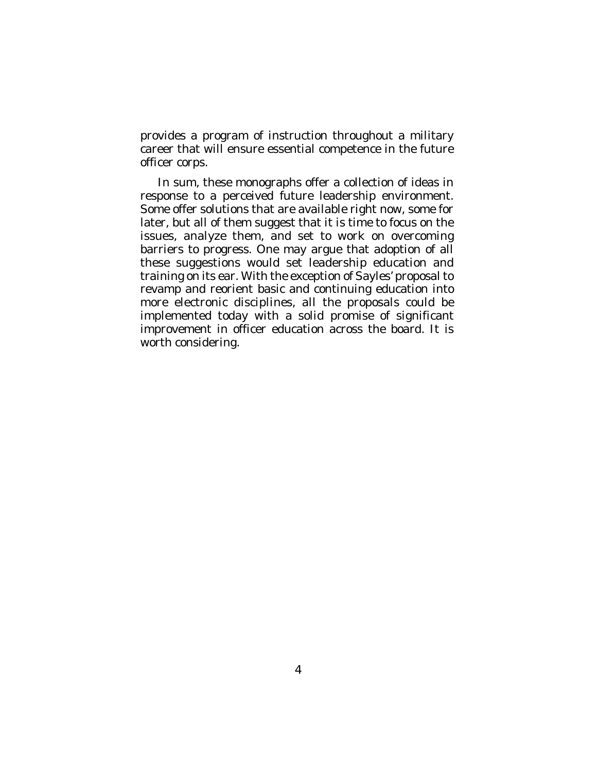provides a program of instruction throughout a military career that will ensure essential competence in the future officer corps.

In sum, these monographs offer a collection of ideas in response to a perceived future leadership environment. Some offer solutions that are available right now, some for later, but all of them suggest that it is time to focus on the issues, analyze them, and set to work on overcoming barriers to progress. One may argue that adoption of all these suggestions would set leadership education and training on its ear. With the exception of Sayles' proposal to revamp and reorient basic and continuing education into more electronic disciplines, all the proposals could be implemented today with a solid promise of significant improvement in officer education across the board. It is worth considering.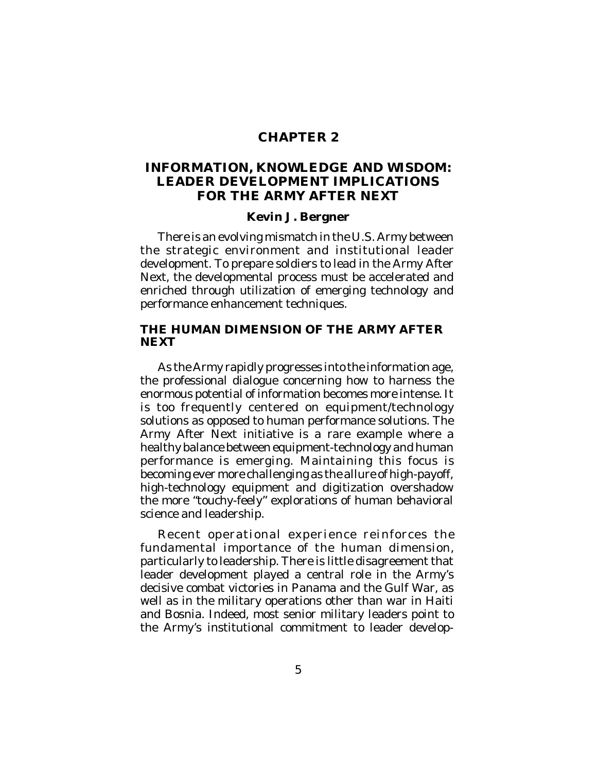## **CHAPTER 2**

## **INFORMATION, KNOWLEDGE AND WISDOM: LEADER DEVELOPMENT IMPLICATIONS FOR THE ARMY AFTER NEXT**

### **Kevin J. Bergner**

There is an evolving mismatch in the U.S. Army between the strategic environment and institutional leader development. To prepare soldiers to lead in the Army After Next, the developmental process must be accelerated and enriched through utilization of emerging technology and performance enhancement techniques.

### **THE HUMAN DIMENSION OF THE ARMY AFTER NEXT**

As the Army rapidly progresses into the information age, the professional dialogue concerning how to harness the enormous potential of information becomes more intense. It is too frequently centered on equipment/technology solutions as opposed to human performance solutions. The Army After Next initiative is a rare example where a healthy balance between equipment-technology and human performance is emerging. Maintaining this focus is becoming ever more challenging as the allure of high-payoff, high-technology equipment and digitization overshadow the more "touchy-feely" explorations of human behavioral science and leadership.

Recent operational experience reinforces the fundamental importance of the human dimension, particularly to leadership. There is little disagreement that leader development played a central role in the Army's decisive combat victories in Panama and the Gulf War, as well as in the military operations other than war in Haiti and Bosnia. Indeed, most senior military leaders point to the Army's institutional commitment to leader develop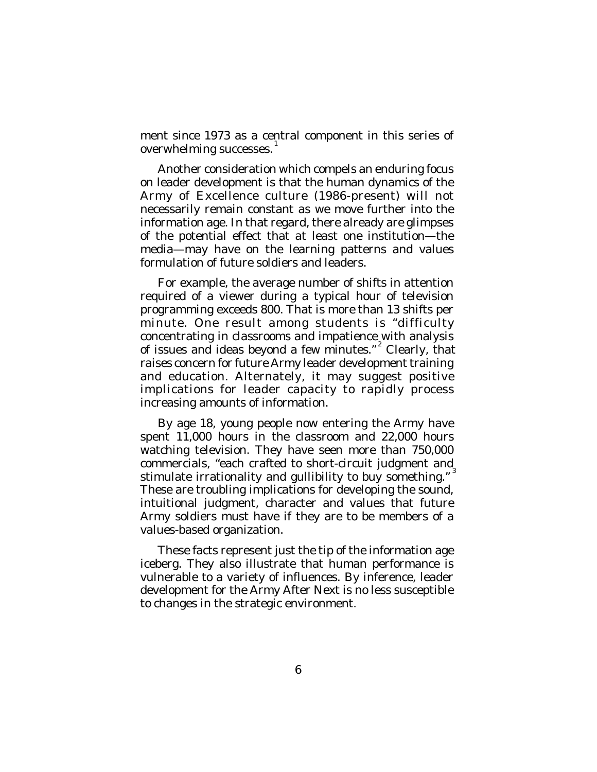ment since 1973 as a central component in this series of overwhelming successes.  $^{\mathrm{1}}$ 

Another consideration which compels an enduring focus on leader development is that the human dynamics of the Army of Excellence culture (1986-present) will not necessarily remain constant as we move further into the information age. In that regard, there already are glimpses of the potential effect that at least one institution—the media—may have on the learning patterns and values formulation of future soldiers and leaders.

For example, the average number of shifts in attention required of a viewer during a typical hour of television programming exceeds 800. That is more than 13 shifts per minute. One result among students is "difficulty concentrating in classrooms and impatience with analysis of issues and ideas beyond a few minutes."<sup>2</sup> Clearly, that raises concern for future Army leader development training and education. Alternately, it may suggest positive implications for leader capacity to rapidly process increasing amounts of information.

By age 18, young people now entering the Army have spent 11,000 hours in the classroom and 22,000 hours watching television. They have seen more than 750,000 commercials, "each crafted to short-circuit judgment and stimulate irrationality and gullibility to buy something."<sup>3</sup> These are troubling implications for developing the sound, intuitional judgment, character and values that future Army soldiers must have if they are to be members of a values-based organization.

These facts represent just the tip of the information age iceberg. They also illustrate that human performance is vulnerable to a variety of influences. By inference, leader development for the Army After Next is no less susceptible to changes in the strategic environment.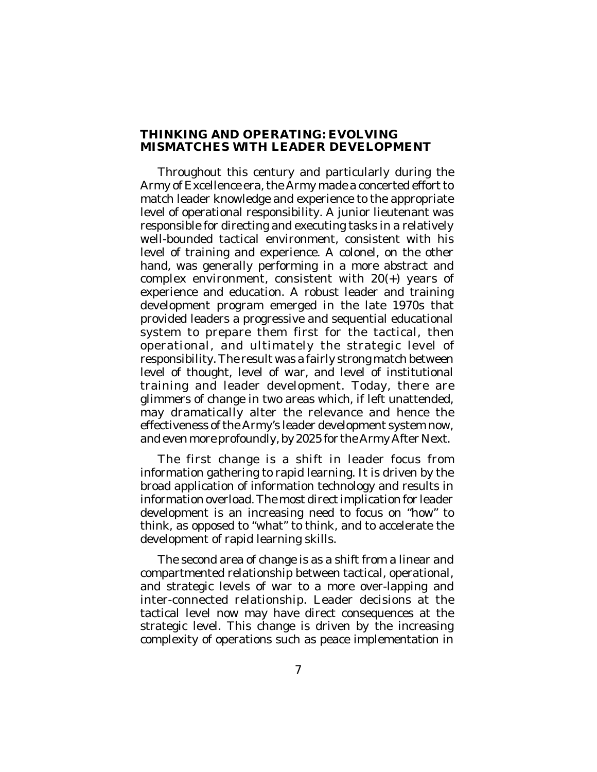### **THINKING AND OPERATING: EVOLVING MISMATCHES WITH LEADER DEVELOPMENT**

Throughout this century and particularly during the Army of Excellence era, the Army made a concerted effort to match leader knowledge and experience to the appropriate level of operational responsibility. A junior lieutenant was responsible for directing and executing tasks in a relatively well-bounded tactical environment, consistent with his level of training and experience. A colonel, on the other hand, was generally performing in a more abstract and complex environment, consistent with 20(+) years of experience and education. A robust leader and training development program emerged in the late 1970s that provided leaders a progressive and sequential educational system to prepare them first for the tactical, then operational, and ultimately the strategic level of responsibility. The result was a fairly strong match between level of thought, level of war, and level of institutional training and leader development. Today, there are glimmers of change in two areas which, if left unattended, may dramatically alter the relevance and hence the effectiveness of the Army's leader development system now, and even more profoundly, by 2025 for the Army After Next.

The first change is a shift in leader focus from information gathering to rapid learning. It is driven by the broad application of information technology and results in information overload. The most direct implication for leader development is an increasing need to focus on "how" to think, as opposed to "what" to think, and to accelerate the development of rapid learning skills.

The second area of change is as a shift from a linear and compartmented relationship between tactical, operational, and strategic levels of war to a more over-lapping and inter-connected relationship. Leader decisions at the tactical level now may have direct consequences at the strategic level. This change is driven by the increasing complexity of operations such as peace implementation in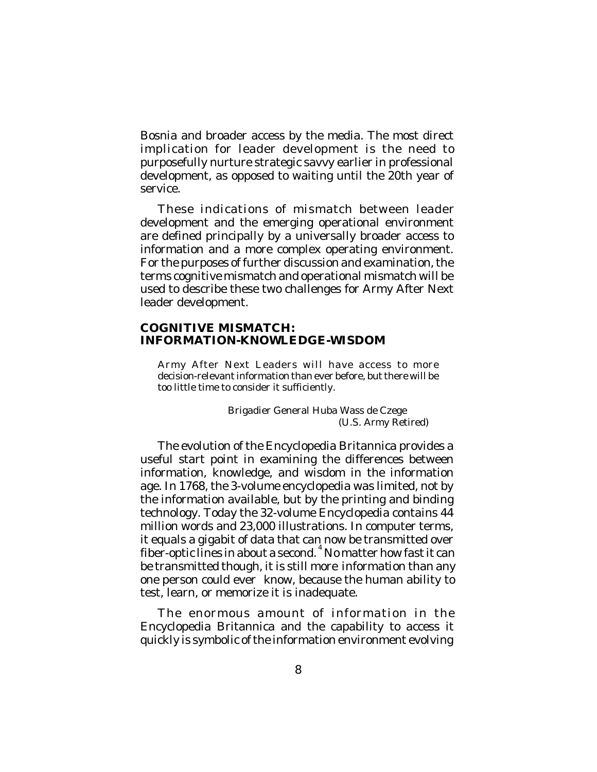Bosnia and broader access by the media. The most direct implication for leader development is the need to purposefully nurture strategic savvy earlier in professional development, as opposed to waiting until the 20th year of service.

These indications of mismatch between leader development and the emerging operational environment are defined principally by a universally broader access to information and a more complex operating environment. For the purposes of further discussion and examination, the terms cognitive mismatch and operational mismatch will be used to describe these two challenges for Army After Next leader development.

#### **COGNITIVE MISMATCH: INFORMATION-KNOWLEDGE-WISDOM**

Army After Next Leaders will have access to more decision-relevant information than ever before, but there will be too little time to consider it sufficiently.

> Brigadier General Huba Wass de Czege (U.S. Army Retired)

The evolution of the Encyclopedia Britannica provides a useful start point in examining the differences between information, knowledge, and wisdom in the information age. In 1768, the 3-volume encyclopedia was limited, not by the information available, but by the printing and binding technology. Today the 32-volume Encyclopedia contains 44 million words and 23,000 illustrations. In computer terms, it equals a gigabit of data that can now be transmitted over fiber-optic lines in about a second. 4 No matter how fast it can be transmitted though, it is still more *information* than any one person could ever *know*, because the human ability to test, learn, or memorize it is inadequate.

The enormous amount of information in the Encyclopedia Britannica and the capability to access it quickly is symbolic of the information environment evolving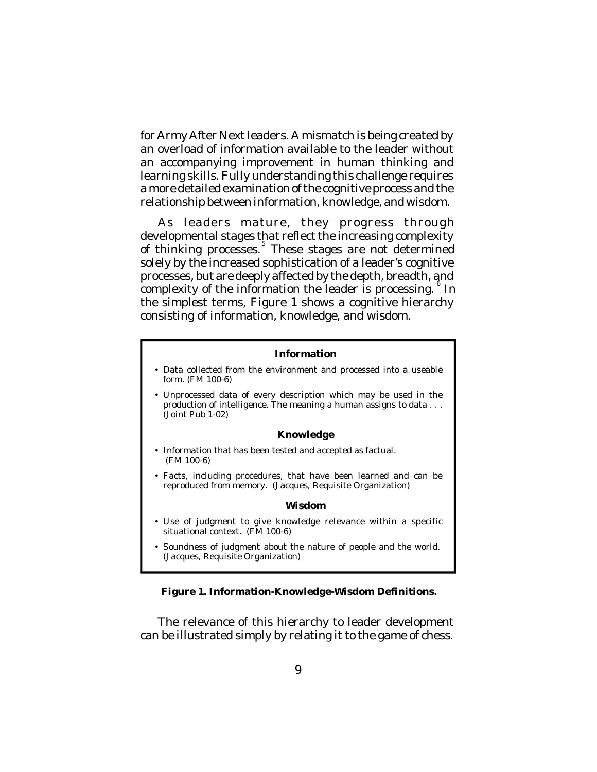for Army After Next leaders. A mismatch is being created by an overload of information available to the leader without an accompanying improvement in human thinking and learning skills. Fully understanding this challenge requires a more detailed examination of the cognitive process and the relationship between information, knowledge, and wisdom.

As leaders mature, they progress through developmental stages that reflect the increasing complexity of thinking processes. 5 These stages are not determined solely by the increased sophistication of a leader's cognitive processes, but are deeply affected by the depth, breadth, and complexity of the information the leader is processing. In the simplest terms, Figure 1 shows a cognitive hierarchy consisting of information, knowledge, and wisdom.

#### **Information**

- Data collected from the environment and processed into a useable form. (FM 100-6)
- Unprocessed data of every description which may be used in the production of intelligence. The meaning a human assigns to data . . . (Joint Pub 1-02)

#### **Knowledge**

- Information that has been tested and accepted as factual. (FM 100-6)
- Facts, including procedures, that have been learned and can be reproduced from memory. (Jacques, Requisite Organization)

#### **Wisdom**

- Use of judgment to give knowledge relevance within a specific situational context. (FM 100-6)
- Soundness of judgment about the nature of people and the world. (Jacques, Requisite Organization)

#### **Figure 1. Information-Knowledge-Wisdom Definitions.**

The relevance of this hierarchy to leader development can be illustrated simply by relating it to the game of chess.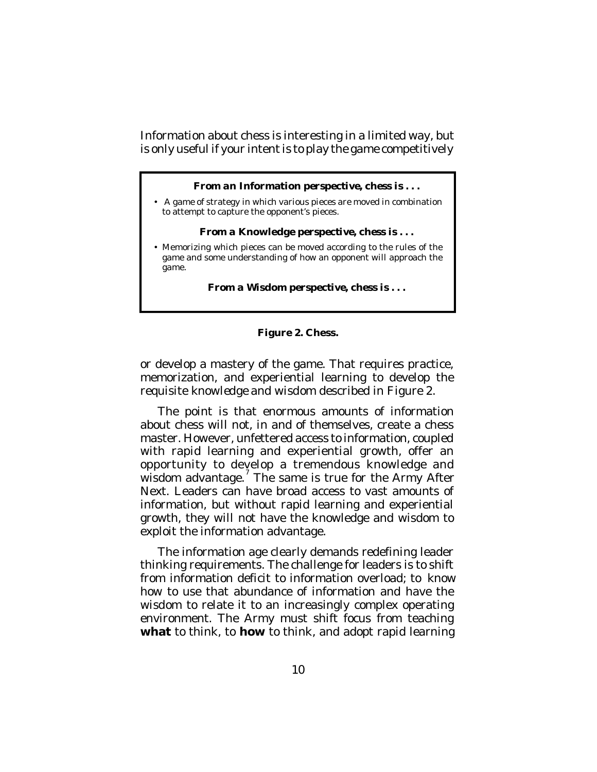*Information* about chess is interesting in a limited way, but is only useful if your intent is to play the game competitively

#### *From an* **Information** *perspective, chess is . . .*

• A game of strategy in which various pieces are moved in combination to attempt to capture the opponent's pieces.

#### *From a* **Knowledge** *perspective, chess is . . .*

• Memorizing which pieces can be moved according to the rules of the game and some understanding of how an opponent will approach the game.

*From a* **Wisdom** *perspective, chess is . . .*

### **Figure 2. Chess.**

or develop a mastery of the game. That requires practice, memorization, and experiential learning to develop the requisite *knowledge* and *wisdom* described in Figure 2.

The point is that enormous amounts of information about chess will not, in and of themselves, create a chess master. However, unfettered access to information, coupled with rapid learning and experiential growth, offer an opportunity to develop a tremendous knowledge and wisdom advantage.<sup>7</sup> The same is true for the Army After Next. Leaders can have broad access to vast amounts of information, but without rapid learning and experiential growth, they will not have the knowledge and wisdom to exploit the information advantage.

The information age clearly demands redefining leader thinking requirements. The challenge for leaders is to shift from information deficit to information overload; to *know* how to use that abundance of information and have the *wisdom* to relate it to an increasingly complex operating environment. The Army must shift focus from teaching **what** to think, to **how** to think, and adopt rapid learning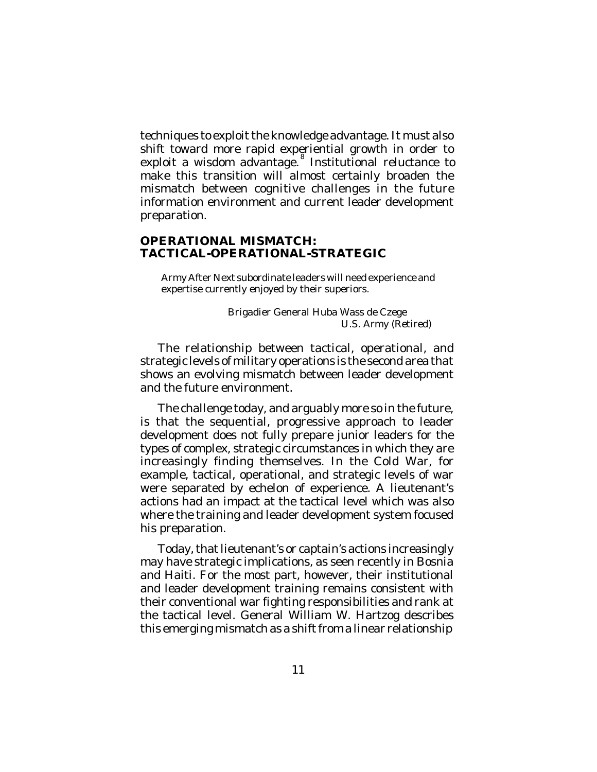techniques to exploit the knowledge advantage. It must also shift toward more rapid experiential growth in order to exploit a wisdom advantage.<sup>8</sup> Institutional reluctance to make this transition will almost certainly broaden the mismatch between cognitive challenges in the future information environment and current leader development preparation.

### **OPERATIONAL MISMATCH: TACTICAL-OPERATIONAL-STRATEGIC**

Army After Next subordinate leaders will need experience and expertise currently enjoyed by their superiors.

> Brigadier General Huba Wass de Czege U.S. Army (Retired)

The relationship between tactical, operational, and strategic levels of military operations is the second area that shows an evolving mismatch between leader development and the future environment.

The challenge today, and arguably more so in the future, is that the sequential, progressive approach to leader development does not fully prepare junior leaders for the types of complex, strategic circumstances in which they are increasingly finding themselves. In the Cold War, for example, tactical, operational, and strategic levels of war were separated by echelon of experience. A lieutenant's actions had an impact at the tactical level which was also where the training and leader development system focused his preparation.

Today, that lieutenant's or captain's actions increasingly may have strategic implications, as seen recently in Bosnia and Haiti. For the most part, however, their institutional and leader development training remains consistent with their conventional war fighting responsibilities and rank at the tactical level. General William W. Hartzog describes this emerging mismatch as a shift from a linear relationship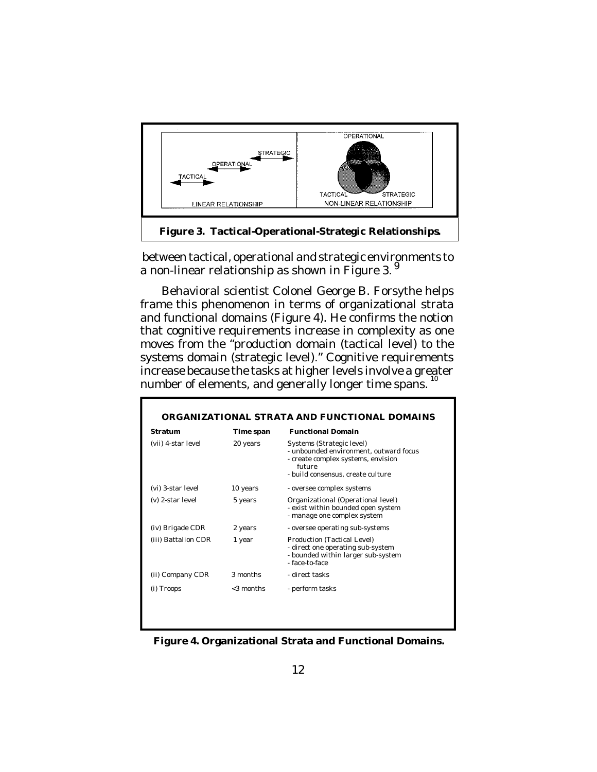

 between tactical, operational and strategic environments to a non-linear relationship as shown in Figure 3.<sup>9</sup>

 Behavioral scientist Colonel George B. Forsythe helps frame this phenomenon in terms of organizational strata and functional domains (Figure 4). He confirms the notion that cognitive requirements increase in complexity as one moves from the "production domain (tactical level) to the systems domain (strategic level)." Cognitive requirements increase because the tasks at higher levels involve a greater number of elements, and generally longer time spans.<sup>10</sup>

| Stratum             | Time span    | <b>Functional Domain</b>                                                                                                                                 |
|---------------------|--------------|----------------------------------------------------------------------------------------------------------------------------------------------------------|
| (vii) 4-star level  | 20 years     | Systems (Strategic level)<br>- unbounded environment, outward focus<br>- create complex systems, envision<br>future<br>- build consensus, create culture |
| (vi) 3-star level   | 10 years     | - oversee complex systems                                                                                                                                |
| (v) 2-star level    | 5 years      | Organizational (Operational level)<br>- exist within bounded open system<br>- manage one complex system                                                  |
| (iv) Brigade CDR    | 2 years      | - oversee operating sub-systems                                                                                                                          |
| (iii) Battalion CDR | 1 year       | Production (Tactical Level)<br>- direct one operating sub-system<br>- bounded within larger sub-system<br>- face-to-face                                 |
| (ii) Company CDR    | 3 months     | - direct tasks                                                                                                                                           |
| (i) Troops          | $<$ 3 months | - perform tasks                                                                                                                                          |

**Figure 4. Organizational Strata and Functional Domains.**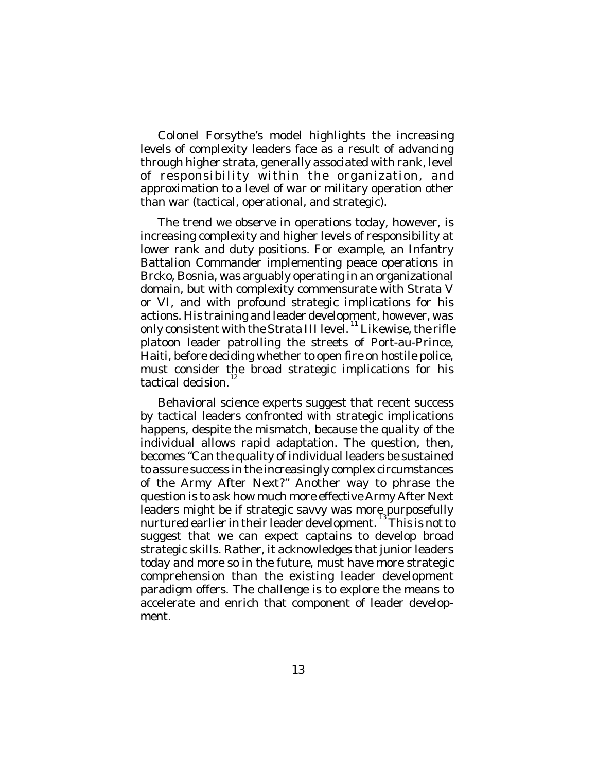Colonel Forsythe's model highlights the increasing levels of complexity leaders face as a result of advancing through higher strata, generally associated with rank, level of responsibility within the organization, and approximation to a level of war or military operation other than war (tactical, operational, and strategic).

The trend we observe in operations today, however, is increasing complexity and higher levels of responsibility at lower rank and duty positions. For example, an Infantry Battalion Commander implementing peace operations in Brcko, Bosnia, was arguably operating in an organizational domain, but with complexity commensurate with Strata V or VI, and with profound strategic implications for his actions. His training and leader development, however, was only consistent with the Strata III level.<sup>11</sup> Likewise, the rifle platoon leader patrolling the streets of Port-au-Prince, Haiti, before deciding whether to open fire on hostile police, must consider the broad strategic implications for his tactical decision. 12

Behavioral science experts suggest that recent success by tactical leaders confronted with strategic implications happens, despite the mismatch, because the quality of the individual allows rapid adaptation. The question, then, becomes "Can the quality of individual leaders be sustained to assure success in the increasingly complex circumstances of the Army After Next?" Another way to phrase the question is to ask how much more effective Army After Next leaders might be if strategic savvy was more purposefully nurtured earlier in their leader development. This is not to suggest that we can expect captains to develop broad strategic skills. Rather, it acknowledges that junior leaders today and more so in the future, must have more strategic comprehension than the existing leader development paradigm offers. The challenge is to explore the means to accelerate and enrich that component of leader development.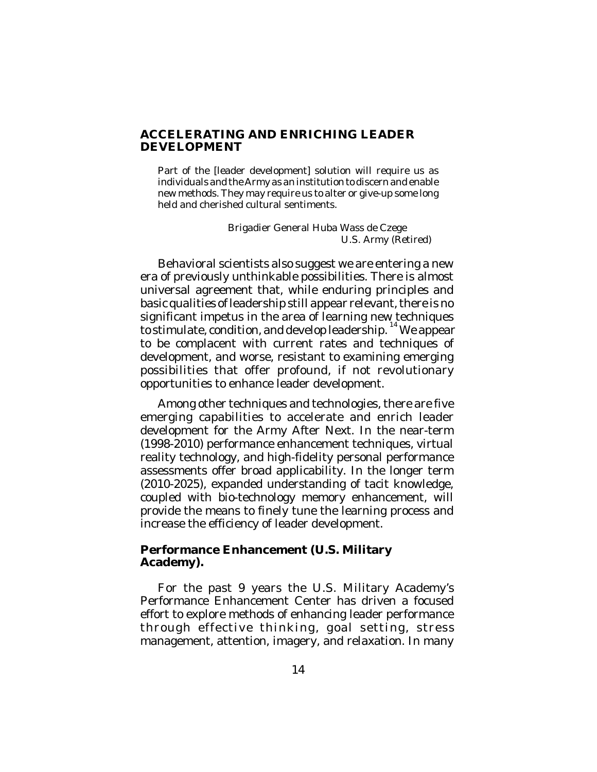### **ACCELERATING AND ENRICHING LEADER DEVELOPMENT**

Part of the [leader development] solution will require us as individuals and the Army as an institution to discern and enable new methods. They may require us to alter or give-up some long held and cherished cultural sentiments.

> Brigadier General Huba Wass de Czege U.S. Army (Retired)

Behavioral scientists also suggest we are entering a new era of previously unthinkable possibilities. There is almost universal agreement that, while enduring principles and basic qualities of leadership still appear relevant, there is no significant impetus in the area of learning new techniques to stimulate, condition, and develop leadership. 14 We appear to be complacent with current rates and techniques of development, and worse, resistant to examining emerging possibilities that offer profound, if not revolutionary opportunities to enhance leader development.

Among other techniques and technologies, there are five emerging capabilities to accelerate and enrich leader development for the Army After Next. In the near-term (1998-2010) performance enhancement techniques, virtual reality technology, and high-fidelity personal performance assessments offer broad applicability. In the longer term (2010-2025), expanded understanding of tacit knowledge, coupled with bio-technology memory enhancement, will provide the means to finely tune the learning process and increase the efficiency of leader development.

#### **Performance Enhancement (U.S. Military Academy).**

For the past 9 years the U.S. Military Academy's Performance Enhancement Center has driven a focused effort to explore methods of enhancing leader performance through effective thinking, goal setting, stress management, attention, imagery, and relaxation. In many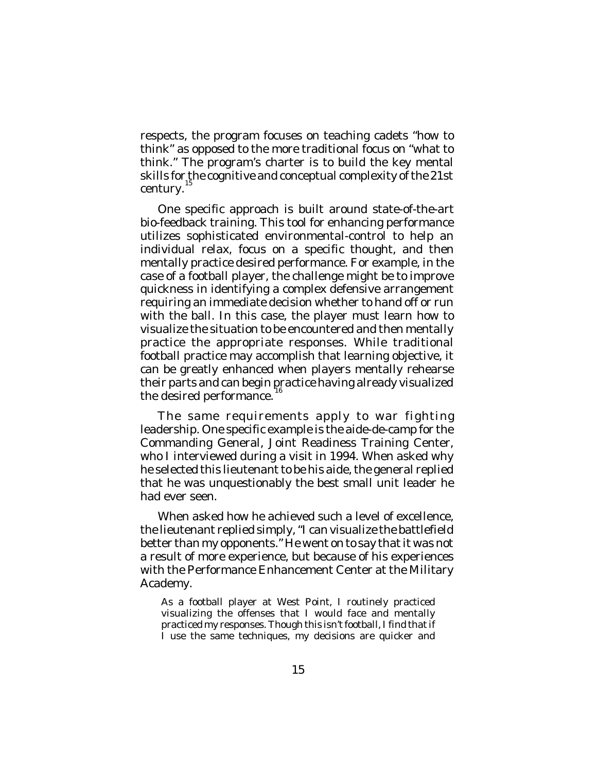respects, the program focuses on teaching cadets "how to think" as opposed to the more traditional focus on "what to think." The program's charter is to build the key mental skills for the cognitive and conceptual complexity of the 21st century.<sup>15</sup>

One specific approach is built around state-of-the-art bio-feedback training. This tool for enhancing performance utilizes sophisticated environmental-control to help an individual relax, focus on a specific thought, and then mentally practice desired performance. For example, in the case of a football player, the challenge might be to improve quickness in identifying a complex defensive arrangement requiring an immediate decision whether to hand off or run with the ball. In this case, the player must learn how to visualize the situation to be encountered and then mentally practice the appropriate responses. While traditional football practice may accomplish that learning objective, it can be greatly enhanced when players mentally rehearse their parts and can begin practice having already visualized 16 the desired performance.

The same requirements apply to war fighting leadership. One specific example is the aide-de-camp for the Commanding General, Joint Readiness Training Center, who I interviewed during a visit in 1994. When asked why he selected this lieutenant to be his aide, the general replied that he was unquestionably the best small unit leader he had ever seen.

When asked how he achieved such a level of excellence, the lieutenant replied simply, "I can visualize the battlefield better than my opponents." He went on to say that it was not a result of more experience, but because of his experiences with the Performance Enhancement Center at the Military Academy.

As a football player at West Point, I routinely practiced visualizing the offenses that I would face and mentally practiced my responses. Though this isn't football, I find that if I use the same techniques, my decisions are quicker and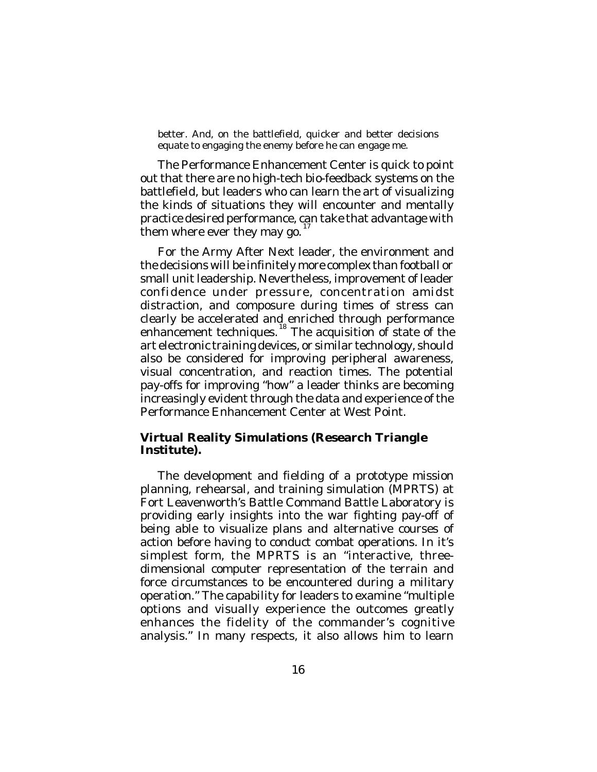better. And, on the battlefield, quicker and better decisions equate to engaging the enemy before he can engage me.

The Performance Enhancement Center is quick to point out that there are no high-tech bio-feedback systems on the battlefield, but leaders who can learn the art of visualizing the kinds of situations they will encounter and mentally practice desired performance, can take that advantage with them where ever they may go.<sup>17</sup>

For the Army After Next leader, the environment and the decisions will be infinitely more complex than football or small unit leadership. Nevertheless, improvement of leader confidence under pressure, concentration amidst distraction, and composure during times of stress can clearly be accelerated and enriched through performance enhancement techniques.<sup>18</sup> The acquisition of state of the art electronic training devices, or similar technology, should also be considered for improving peripheral awareness, visual concentration, and reaction times. The potential pay-offs for improving "how" a leader thinks are becoming increasingly evident through the data and experience of the Performance Enhancement Center at West Point.

### **Virtual Reality Simulations (Research Triangle Institute).**

The development and fielding of a prototype mission planning, rehearsal, and training simulation (MPRTS) at Fort Leavenworth's Battle Command Battle Laboratory is providing early insights into the war fighting pay-off of being able to visualize plans and alternative courses of action before having to conduct combat operations. In it's simplest form, the MPRTS is an "interactive, threedimensional computer representation of the terrain and force circumstances to be encountered during a military operation." The capability for leaders to examine "multiple options and visually experience the outcomes greatly enhances the fidelity of the commander's cognitive analysis." In many respects, it also allows him to learn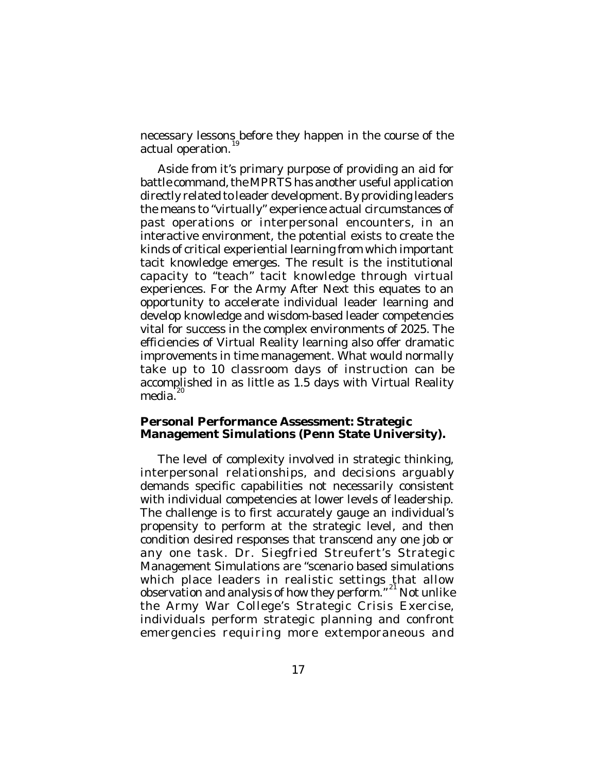necessary lessons before they happen in the course of the actual operation. 19

Aside from it's primary purpose of providing an aid for battle command, the MPRTS has another useful application directly related to leader development. By providing leaders the means to "virtually" experience actual circumstances of past operations or interpersonal encounters, in an interactive environment, the potential exists to create the kinds of critical experiential learning from which important tacit knowledge emerges. The result is the institutional capacity to "teach" tacit knowledge through virtual experiences. For the Army After Next this equates to an opportunity to accelerate individual leader learning and develop knowledge and wisdom-based leader competencies vital for success in the complex environments of 2025. The efficiencies of Virtual Reality learning also offer dramatic improvements in time management. What would normally take up to 10 classroom days of instruction can be accomplished in as little as 1.5 days with Virtual Reality media. 20

### **Personal Performance Assessment: Strategic Management Simulations (Penn State University).**

The level of complexity involved in strategic thinking, interpersonal relationships, and decisions arguably demands specific capabilities not necessarily consistent with individual competencies at lower levels of leadership. The challenge is to first accurately gauge an individual's propensity to perform at the strategic level, and then condition desired responses that transcend any one job or any one task. Dr. Siegfried Streufert's Strategic Management Simulations are "scenario based simulations which place leaders in realistic settings that allow observation and analysis of how they perform."<sup>21</sup> Not unlike the Army War College's Strategic Crisis Exercise, individuals perform strategic planning and confront emergencies requiring more extemporaneous and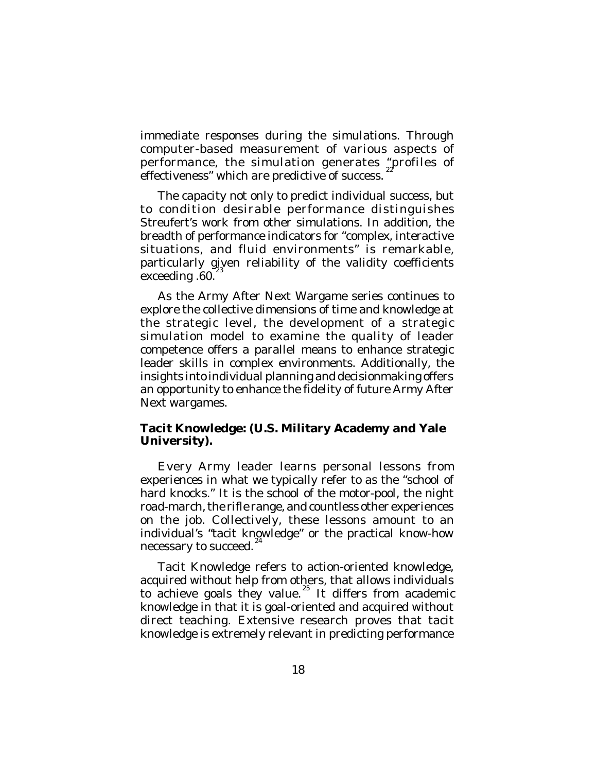immediate responses during the simulations. Through computer-based measurement of various aspects of performance, the simulation generates "profiles of effectiveness" which are predictive of success.

The capacity not only to predict individual success, but to condition desirable performance distinguishes Streufert's work from other simulations. In addition, the breadth of performance indicators for "complex, interactive situations, and fluid environments" is remarkable, particularly given reliability of the validity coefficients  $exceeding .60.<sup>23</sup>$ 

As the Army After Next Wargame series continues to explore the collective dimensions of time and knowledge at the strategic level, the development of a strategic simulation model to examine the quality of leader competence offers a parallel means to enhance strategic leader skills in complex environments. Additionally, the insights into individual planning and decisionmaking offers an opportunity to enhance the fidelity of future Army After Next wargames.

### **Tacit Knowledge: (U.S. Military Academy and Yale University).**

Every Army leader learns personal lessons from experiences in what we typically refer to as the "school of hard knocks." It is the school of the motor-pool, the night road-march, the rifle range, and countless other experiences on the job. Collectively, these lessons amount to an individual's "tacit knowledge" or the practical know-how necessary to succeed. 24

Tacit Knowledge refers to action-oriented knowledge, acquired without help from others, that allows individuals to achieve goals they value. $^{25}$  It differs from academic knowledge in that it is goal-oriented and acquired without direct teaching. Extensive research proves that tacit knowledge is extremely relevant in predicting performance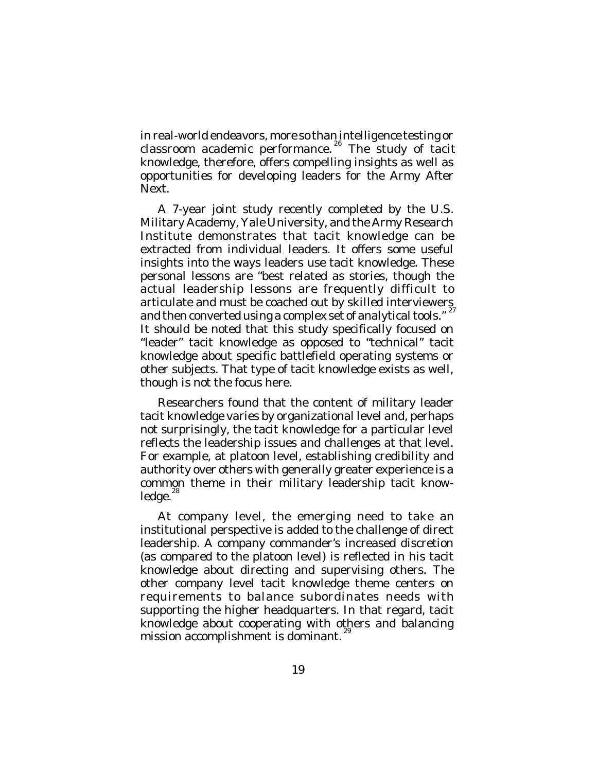in real-world endeavors, more so than intelligence testing or classroom academic performance.<sup>26</sup> The study of tacit knowledge, therefore, offers compelling insights as well as opportunities for developing leaders for the Army After Next.

A 7-year joint study recently completed by the U.S. Military Academy, Yale University, and the Army Research Institute demonstrates that tacit knowledge can be extracted from individual leaders. It offers some useful insights into the ways leaders use tacit knowledge. These personal lessons are "best related as stories, though the actual leadership lessons are frequently difficult to articulate and must be coached out by skilled interviewers and then converted using a complex set of analytical tools." It should be noted that this study specifically focused on "leader" tacit knowledge as opposed to "technical" tacit knowledge about specific battlefield operating systems or other subjects. That type of tacit knowledge exists as well, though is not the focus here.

Researchers found that the content of military leader tacit knowledge varies by organizational level and, perhaps not surprisingly, the tacit knowledge for a particular level reflects the leadership issues and challenges at that level. For example, at platoon level, establishing credibility and authority over others with generally greater experience is a common theme in their military leadership tacit knowledge.<sup>28</sup>

At company level, the emerging need to take an institutional perspective is added to the challenge of direct leadership. A company commander's increased discretion (as compared to the platoon level) is reflected in his tacit knowledge about directing and supervising others. The other company level tacit knowledge theme centers on requirements to balance subordinates needs with supporting the higher headquarters. In that regard, tacit knowledge about cooperating with others and balancing mission accomplishment is dominant.<sup>29</sup>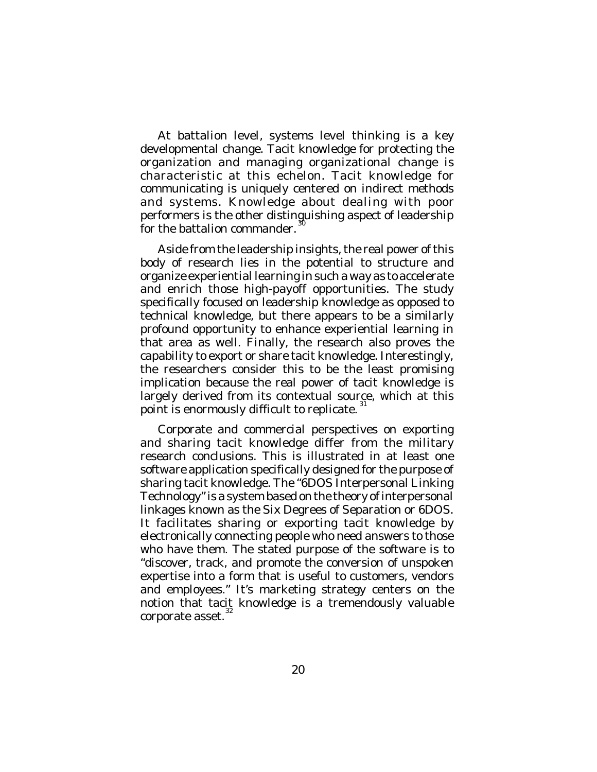At battalion level, systems level thinking is a key developmental change. Tacit knowledge for protecting the organization and managing organizational change is characteristic at this echelon. Tacit knowledge for communicating is uniquely centered on indirect methods and systems. Knowledge about dealing with poor performers is the other distinguishing aspect of leadership for the battalion commander.

Aside from the leadership insights, the real power of this body of research lies in the potential to structure and organize experiential learning in such a way as to accelerate and enrich those high-payoff opportunities. The study specifically focused on leadership knowledge as opposed to technical knowledge, but there appears to be a similarly profound opportunity to enhance experiential learning in that area as well. Finally, the research also proves the capability to export or share tacit knowledge. Interestingly, the researchers consider this to be the least promising implication because the real power of tacit knowledge is largely derived from its contextual source, which at this point is enormously difficult to replicate.<sup>31</sup>

Corporate and commercial perspectives on exporting and sharing tacit knowledge differ from the military research conclusions. This is illustrated in at least one software application specifically designed for the purpose of sharing tacit knowledge. The "6DOS Interpersonal Linking Technology" is a system based on the theory of interpersonal linkages known as the Six Degrees of Separation or 6DOS. It facilitates sharing or exporting tacit knowledge by electronically connecting people who need answers to those who have them. The stated purpose of the software is to "discover, track, and promote the conversion of unspoken expertise into a form that is useful to customers, vendors and employees." It's marketing strategy centers on the notion that tacit knowledge is a tremendously valuable corporate asset. 32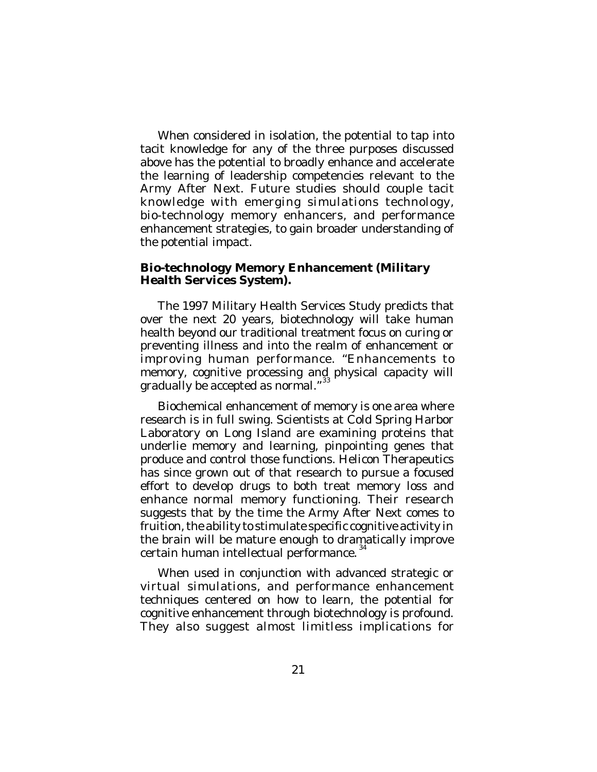When considered in isolation, the potential to tap into tacit knowledge for any of the three purposes discussed above has the potential to broadly enhance and accelerate the learning of leadership competencies relevant to the Army After Next. Future studies should couple tacit knowledge with emerging simulations technology, bio-technology memory enhancers, and performance enhancement strategies, to gain broader understanding of the potential impact.

### **Bio-technology Memory Enhancement (Military Health Services System).**

The 1997 Military Health Services Study predicts that over the next 20 years, biotechnology will take human health beyond our traditional treatment focus on curing or preventing illness and into the realm of enhancement or improving human performance. "Enhancements to memory, cognitive processing and physical capacity will gradually be accepted as normal."<sup>33</sup>

Biochemical enhancement of memory is one area where research is in full swing. Scientists at Cold Spring Harbor Laboratory on Long Island are examining proteins that underlie memory and learning, pinpointing genes that produce and control those functions. Helicon Therapeutics has since grown out of that research to pursue a focused effort to develop drugs to both treat memory loss and enhance normal memory functioning. Their research suggests that by the time the Army After Next comes to fruition, the ability to stimulate specific cognitive activity in the brain will be mature enough to dramatically improve certain human intellectual performance. 34

When used in conjunction with advanced strategic or virtual simulations, and performance enhancement techniques centered on how to learn, the potential for cognitive enhancement through biotechnology is profound. They also suggest almost limitless implications for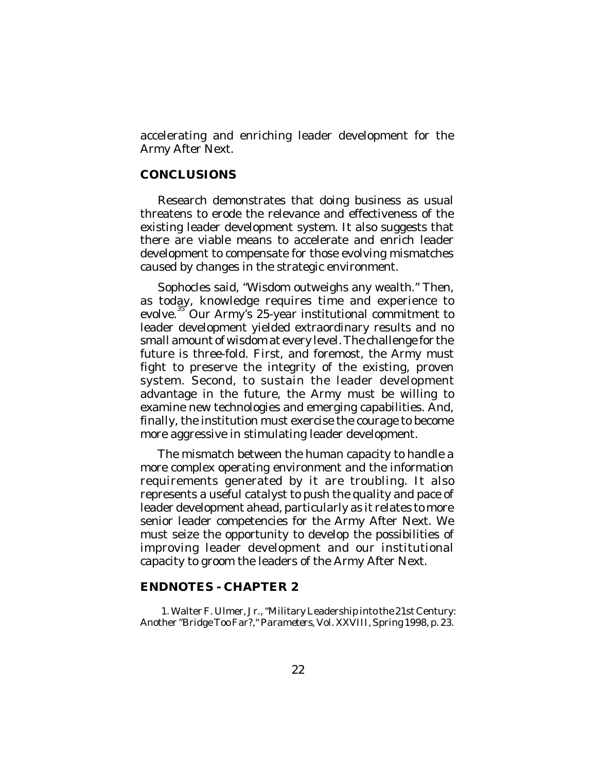accelerating and enriching leader development for the Army After Next.

### **CONCLUSIONS**

Research demonstrates that doing business as usual threatens to erode the relevance and effectiveness of the existing leader development system. It also suggests that there are viable means to accelerate and enrich leader development to compensate for those evolving mismatches caused by changes in the strategic environment.

Sophocles said, "Wisdom outweighs any wealth." Then, as today, knowledge requires time and experience to evolve.<sup>35</sup> Our Army's 25-year institutional commitment to leader development yielded extraordinary results and no small amount of wisdom at every level. The challenge for the future is three-fold. First, and foremost, the Army must fight to preserve the integrity of the existing, proven system. Second, to sustain the leader development advantage in the future, the Army must be willing to examine new technologies and emerging capabilities. And, finally, the institution must exercise the courage to become more aggressive in stimulating leader development.

The mismatch between the human capacity to handle a more complex operating environment and the information requirements generated by it are troubling. It also represents a useful catalyst to push the quality and pace of leader development ahead, particularly as it relates to more senior leader competencies for the Army After Next. We must seize the opportunity to develop the possibilities of improving leader development and our institutional capacity to groom the leaders of the Army After Next.

### **ENDNOTES - CHAPTER 2**

1. Walter F. Ulmer, Jr., "Military Leadership into the 21st Century: Another "Bridge Too Far?,"*Parameters*, Vol. XXVIII, Spring 1998, p. 23.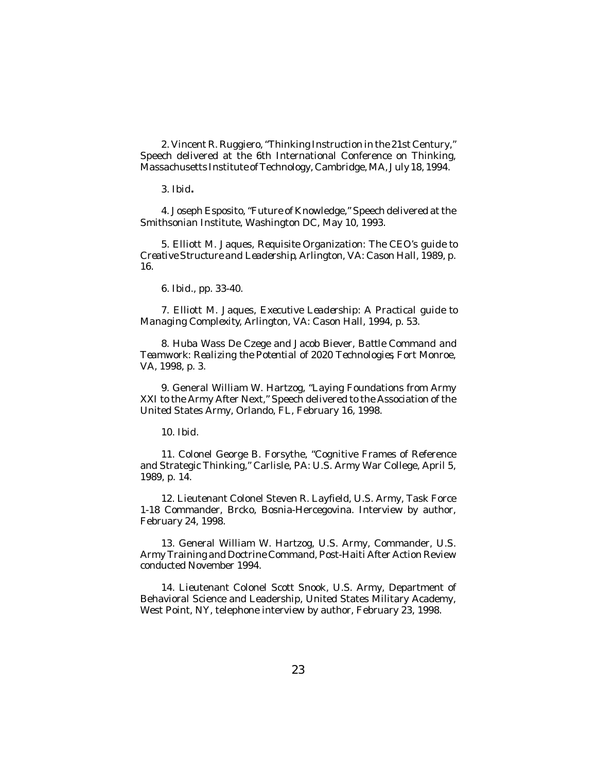2. Vincent R. Ruggiero, "Thinking Instruction in the 21st Century," Speech delivered at the 6th International Conference on Thinking, Massachusetts Institute of Technology, Cambridge, MA, July 18, 1994.

3. *Ibid***.**

4. Joseph Esposito, "Future of Knowledge," Speech delivered at the Smithsonian Institute, Washington DC, May 10, 1993.

5. Elliott M. Jaques, *Requisite Organization: The CEO's guide to Creative Structure and Leadership*, Arlington, VA: Cason Hall, 1989, p. 16.

6. *Ibid*., pp. 33-40.

7. Elliott M. Jaques, *Executive Leadership: A Practical guide to Managing Complexity*, Arlington, VA: Cason Hall, 1994, p. 53.

8. Huba Wass De Czege and Jacob Biever, *Battle Command and Teamwork: Realizing the Potential of 2020 Technologies*, Fort Monroe, VA, 1998, p. 3.

9. General William W. Hartzog, "Laying Foundations from Army XXI to the Army After Next," Speech delivered to the Association of the United States Army, Orlando, FL, February 16, 1998.

10. *Ibid*.

11. Colonel George B. Forsythe, "Cognitive Frames of Reference and Strategic Thinking," Carlisle, PA: U.S. Army War College, April 5, 1989, p. 14.

12. Lieutenant Colonel Steven R. Layfield, U.S. Army, Task Force 1-18 Commander, Brcko, Bosnia-Hercegovina. Interview by author, February 24, 1998.

13. General William W. Hartzog, U.S. Army, Commander, U.S. Army Training and Doctrine Command, Post-Haiti After Action Review conducted November 1994.

14. Lieutenant Colonel Scott Snook, U.S. Army, Department of Behavioral Science and Leadership, United States Military Academy, West Point, NY, telephone interview by author, February 23, 1998.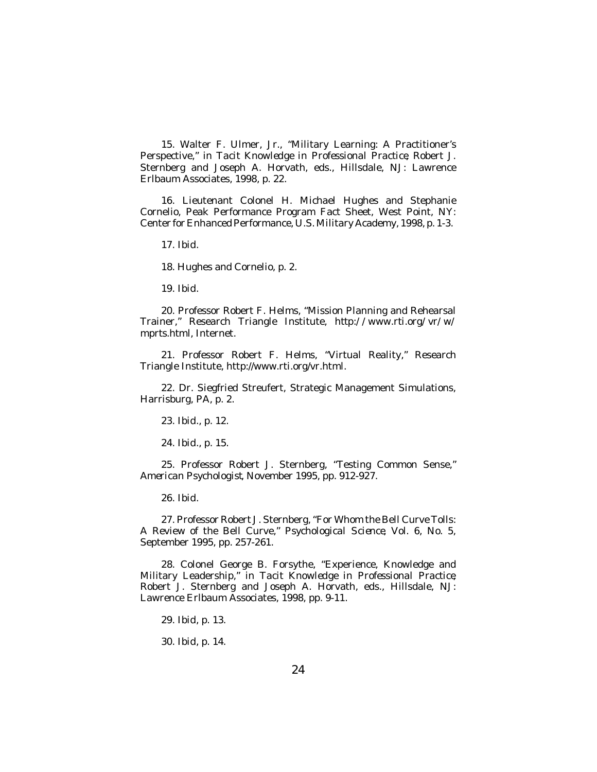15. Walter F. Ulmer, Jr., "Military Learning: A Practitioner's Perspective," in *Tacit Knowledge in Professional Practice*, Robert J. Sternberg and Joseph A. Horvath, eds., Hillsdale, NJ: Lawrence Erlbaum Associates, 1998, p. 22.

16. Lieutenant Colonel H. Michael Hughes and Stephanie Cornelio, Peak Performance Program Fact Sheet, West Point, NY: Center for Enhanced Performance, U.S. Military Academy, 1998, p. 1-3.

17. *Ibid*.

18. Hughes and Cornelio, p. 2.

19. *Ibid*.

20. Professor Robert F. Helms, "Mission Planning and Rehearsal Trainer," Research Triangle Institute, *http://www.rti.org/vr/w/ mprts.html*, Internet.

21. Professor Robert F. Helms, "Virtual Reality," Research Triangle Institute, http://www.rti.org/vr.html.

22. Dr. Siegfried Streufert, Strategic Management Simulations, Harrisburg, PA, p. 2.

23. *Ibid*., p. 12.

24. *Ibid*., p. 15.

25. Professor Robert J. Sternberg, "Testing Common Sense," *American Psychologist*, November 1995, pp. 912-927.

26. *Ibid*.

27. Professor Robert J. Sternberg, "For Whom the Bell Curve Tolls: A Review of the Bell Curve," *Psychological Science*, Vol. 6, No. 5, September 1995, pp. 257-261.

28. Colonel George B. Forsythe, "Experience, Knowledge and Military Leadership," in *Tacit Knowledge in Professional Practice*, Robert J. Sternberg and Joseph A. Horvath, eds., Hillsdale, NJ: Lawrence Erlbaum Associates, 1998, pp. 9-11.

29. *Ibid*, p. 13.

30. *Ibid*, p. 14.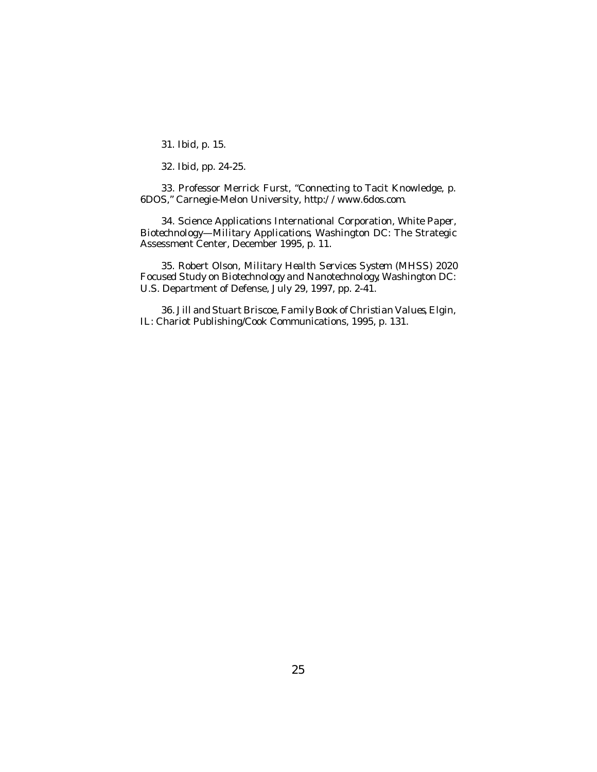31. *Ibid*, p. 15.

32. *Ibid*, pp. 24-25.

33. Professor Merrick Furst, "Connecting to Tacit Knowledge, p. 6DOS," Carnegie-Melon University, *http://www.6dos.com*.

34. Science Applications International Corporation, *White Paper, Biotechnology—Military Applications*, Washington DC: The Strategic Assessment Center, December 1995, p. 11.

35. Robert Olson, *Military Health Services System (MHSS) 2020 Focused Study on Biotechnology and Nanotechnology*, Washington DC: U.S. Department of Defense, July 29, 1997, pp. 2-41.

36. Jill and Stuart Briscoe, *Family Book of Christian Values*, Elgin, IL: Chariot Publishing/Cook Communications, 1995, p. 131.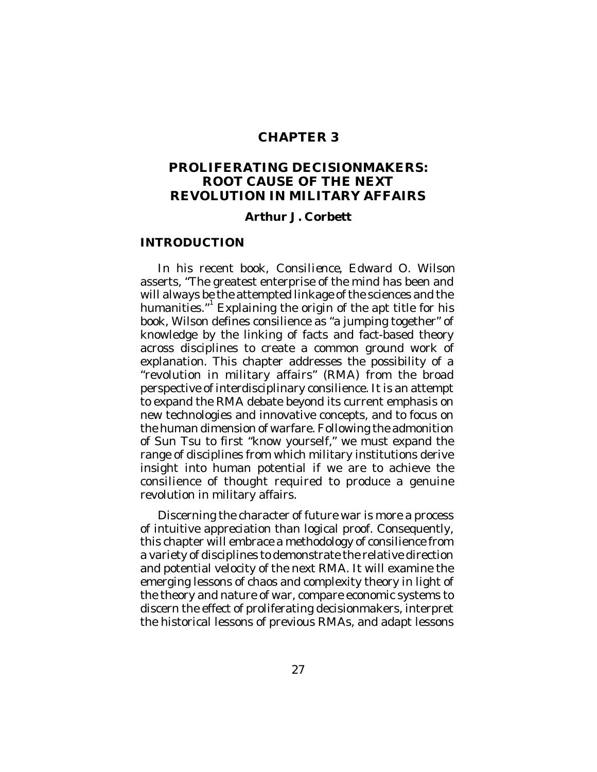## **CHAPTER 3**

## **PROLIFERATING DECISIONMAKERS: ROOT CAUSE OF THE NEXT REVOLUTION IN MILITARY AFFAIRS**

#### **Arthur J. Corbett**

#### **INTRODUCTION**

In his recent book, *Consilience,* Edward O. Wilson asserts, "The greatest enterprise of the mind has been and will always be the attempted linkage of the sciences and the humanities."<sup>1</sup> Explaining the origin of the apt title for his book, Wilson defines consilience as "a jumping together" of knowledge by the linking of facts and fact-based theory across disciplines to create a common ground work of explanation. This chapter addresses the possibility of a "revolution in military affairs" (RMA) from the broad perspective of interdisciplinary consilience. It is an attempt to expand the RMA debate beyond its current emphasis on new technologies and innovative concepts, and to focus on the human dimension of warfare. Following the admonition of Sun Tsu to first "know yourself," we must expand the range of disciplines from which military institutions derive insight into human potential if we are to achieve the consilience of thought required to produce a genuine revolution in military affairs.

Discerning the character of future war is more a process of intuitive appreciation than logical proof. Consequently, this chapter will embrace a methodology of consilience from a variety of disciplines to demonstrate the relative direction and potential velocity of the next RMA. It will examine the emerging lessons of chaos and complexity theory in light of the theory and nature of war, compare economic systems to discern the effect of proliferating decisionmakers, interpret the historical lessons of previous RMAs, and adapt lessons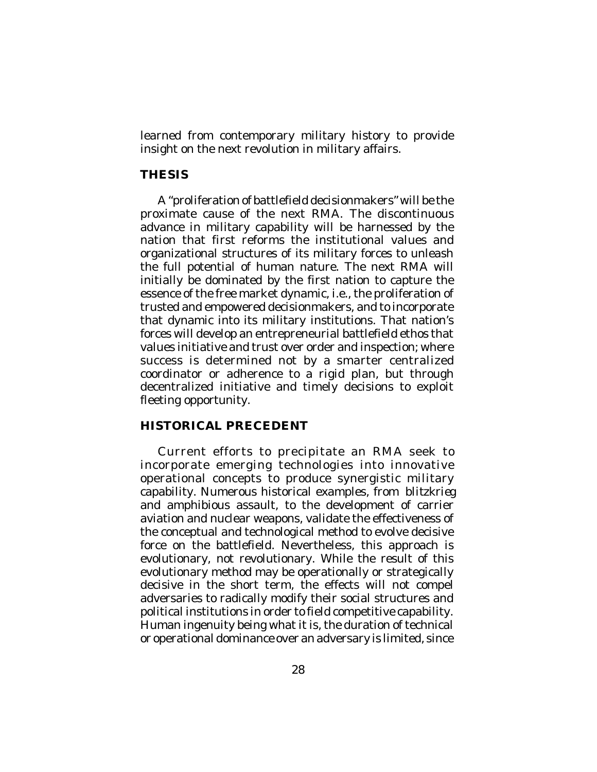learned from contemporary military history to provide insight on the next revolution in military affairs.

## **THESIS**

A "proliferation of battlefield decisionmakers" will be the proximate cause of the next RMA. The discontinuous advance in military capability will be harnessed by the nation that first reforms the institutional values and organizational structures of its military forces to unleash the full potential of human nature. The next RMA will initially be dominated by the first nation to capture the essence of the free market dynamic, i.e., the proliferation of trusted and empowered decisionmakers, and to incorporate that dynamic into its military institutions. That nation's forces will develop an entrepreneurial battlefield ethos that values initiative and trust over order and inspection; where success is determined not by a smarter centralized coordinator or adherence to a rigid plan, but through decentralized initiative and timely decisions to exploit fleeting opportunity.

## **HISTORICAL PRECEDENT**

Current efforts to precipitate an RMA seek to incorporate emerging technologies into innovative operational concepts to produce synergistic military capability. Numerous historical examples, from *blitzkrieg* and amphibious assault, to the development of carrier aviation and nuclear weapons, validate the effectiveness of the conceptual and technological method to evolve decisive force on the battlefield. Nevertheless, this approach is evolutionary, not revolutionary. While the result of this evolutionary method may be operationally or strategically decisive in the short term, the effects will not compel adversaries to radically modify their social structures and political institutions in order to field competitive capability. Human ingenuity being what it is, the duration of technical or operational dominance over an adversary is limited, since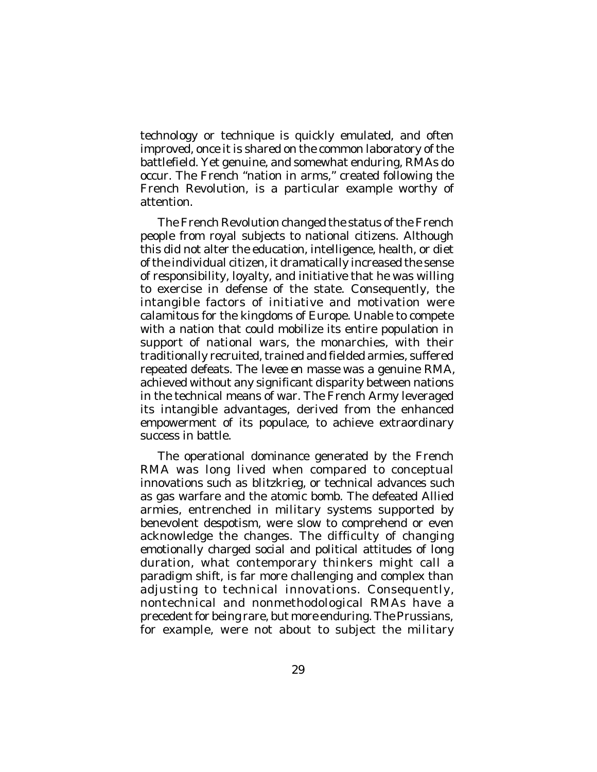technology or technique is quickly emulated, and often improved, once it is shared on the common laboratory of the battlefield. Yet genuine, and somewhat enduring, RMAs do occur. The French "nation in arms," created following the French Revolution, is a particular example worthy of attention.

The French Revolution changed the status of the French people from royal subjects to national citizens. Although this did not alter the education, intelligence, health, or diet of the individual citizen, it dramatically increased the sense of responsibility, loyalty, and initiative that he was willing to exercise in defense of the state. Consequently, the intangible factors of initiative and motivation were calamitous for the kingdoms of Europe. Unable to compete with a nation that could mobilize its entire population in support of national wars, the monarchies, with their traditionally recruited, trained and fielded armies, suffered repeated defeats. The *levee en masse* was a genuine RMA, achieved without any significant disparity between nations in the technical means of war. The French Army leveraged its intangible advantages, derived from the enhanced empowerment of its populace, to achieve extraordinary success in battle.

The operational dominance generated by the French RMA was long lived when compared to conceptual innovations such as *blitzkrieg*, or technical advances such as gas warfare and the atomic bomb. The defeated Allied armies, entrenched in military systems supported by benevolent despotism, were slow to comprehend or even acknowledge the changes. The difficulty of changing emotionally charged social and political attitudes of long duration, what contemporary thinkers might call a paradigm shift, is far more challenging and complex than adjusting to technical innovations. Consequently, nontechnical and nonmethodological RMAs have a precedent for being rare, but more enduring. The Prussians, for example, were not about to subject the military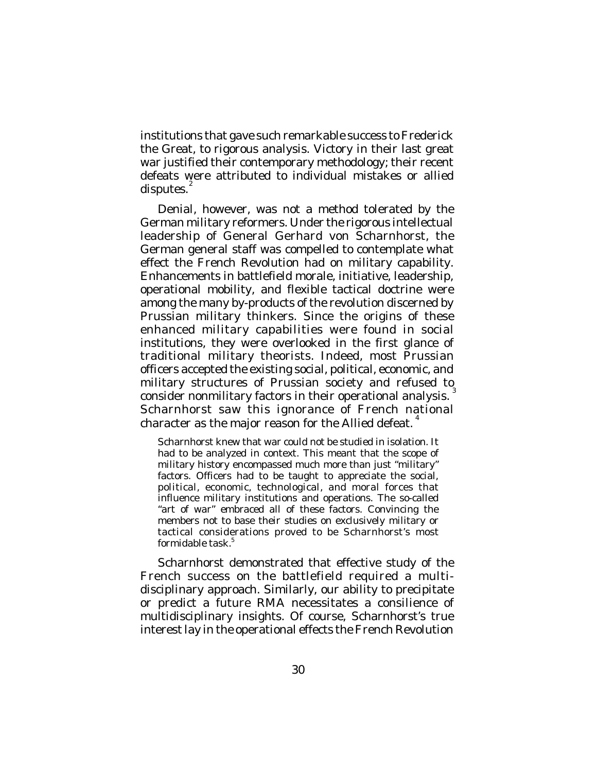institutions that gave such remarkable success to Frederick the Great, to rigorous analysis. Victory in their last great war justified their contemporary methodology; their recent defeats were attributed to individual mistakes or allied disputes. $^{2}$ 

Denial, however, was not a method tolerated by the German military reformers. Under the rigorous intellectual leadership of General Gerhard von Scharnhorst, the German general staff was compelled to contemplate what effect the French Revolution had on military capability. Enhancements in battlefield morale, initiative, leadership, operational mobility, and flexible tactical doctrine were among the many by-products of the revolution discerned by Prussian military thinkers. Since the origins of these enhanced military capabilities were found in social institutions, they were overlooked in the first glance of traditional military theorists. Indeed, most Prussian officers accepted the existing social, political, economic, and military structures of Prussian society and refused to consider nonmilitary factors in their operational analysis. Scharnhorst saw this ignorance of French national character as the major reason for the Allied defeat.  $^4$ 

Scharnhorst knew that war could not be studied in isolation. It had to be analyzed in context. This meant that the scope of military history encompassed much more than just "military" factors. Officers had to be taught to appreciate the social, political, economic, technological, and moral forces that influence military institutions and operations. The so-called "art of war" embraced all of these factors. Convincing the members not to base their studies on exclusively military or tactical considerations proved to be Scharnhorst's most formidable task. 5

Scharnhorst demonstrated that effective study of the French success on the battlefield required a multidisciplinary approach. Similarly, our ability to precipitate or predict a future RMA necessitates a consilience of multidisciplinary insights. Of course, Scharnhorst's true interest lay in the operational effects the French Revolution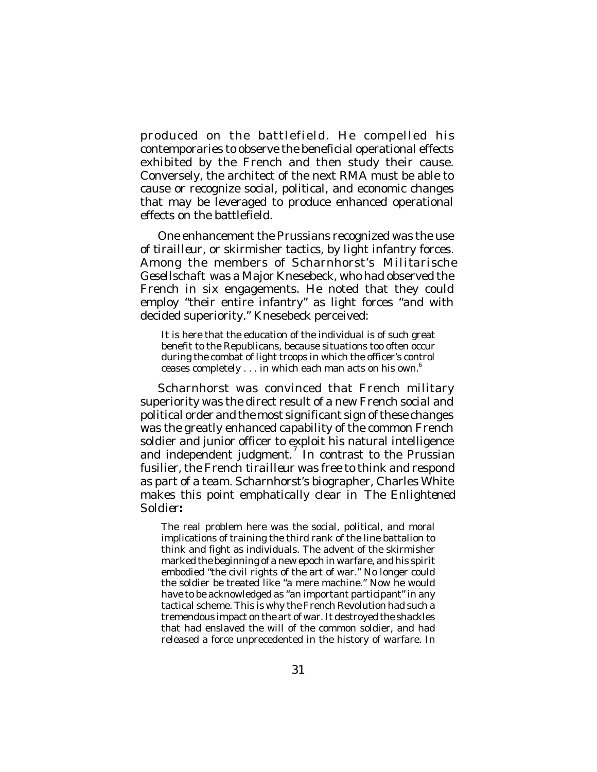produced on the battlefield. He compelled his contemporaries to observe the beneficial operational effects exhibited by the French and then study their cause. Conversely, the architect of the next RMA must be able to cause or recognize social, political, and economic changes that may be leveraged to produce enhanced operational effects on the battlefield.

One enhancement the Prussians recognized was the use of *tirailleur*, or skirmisher tactics, by light infantry forces. Among the members of Scharnhorst's *Militarische Gesellschaft* was a Major Knesebeck, who had observed the French in six engagements. He noted that they could employ "their entire infantry" as light forces "and with decided superiority." Knesebeck perceived:

It is here that the education of the individual is of such great benefit to the Republicans, because situations too often occur during the combat of light troops in which the officer's control ceases completely . . . in which each man acts on his own.<sup>6</sup>

Scharnhorst was convinced that French military superiority was the direct result of a new French social and political order and the most significant sign of these changes was the greatly enhanced capability of the common French soldier and junior officer to exploit his natural intelligence and independent judgment.<sup>7</sup> In contrast to the Prussian fusilier, the French *tirailleur* was free to think and respond as part of a team. Scharnhorst's biographer, Charles White makes this point emphatically clear in *The Enlightened Soldier:*

The real problem here was the social, political, and moral implications of training the third rank of the line battalion to think and fight as individuals. The advent of the skirmisher marked the beginning of a new epoch in warfare, and his spirit embodied "the civil rights of the art of war." No longer could the soldier be treated like "a mere machine." Now he would have to be acknowledged as "an important participant" in any tactical scheme. This is why the French Revolution had such a tremendous impact on the art of war. It destroyed the shackles that had enslaved the will of the common soldier, and had released a force unprecedented in the history of warfare. In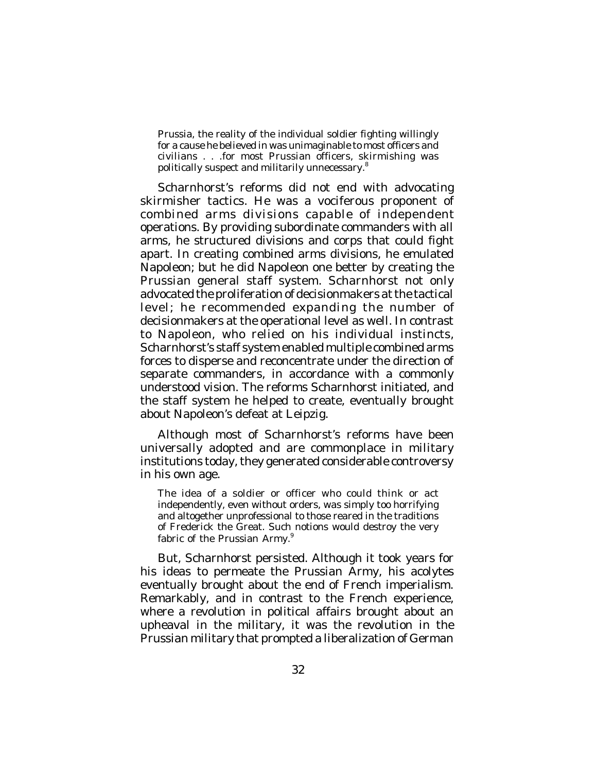Prussia, the reality of the individual soldier fighting willingly for a cause he believed in was unimaginable to most officers and civilians . . .for most Prussian officers, skirmishing was politically suspect and militarily unnecessary. $^8$ 

Scharnhorst's reforms did not end with advocating skirmisher tactics. He was a vociferous proponent of combined arms divisions capable of independent operations. By providing subordinate commanders with all arms, he structured divisions and corps that could fight apart. In creating combined arms divisions, he emulated Napoleon; but he did Napoleon one better by creating the Prussian general staff system. Scharnhorst not only advocated the proliferation of decisionmakers at the tactical level; he recommended expanding the number of decisionmakers at the operational level as well. In contrast to Napoleon, who relied on his individual instincts, Scharnhorst's staff system enabled multiple combined arms forces to disperse and reconcentrate under the direction of separate commanders, in accordance with a commonly understood vision. The reforms Scharnhorst initiated, and the staff system he helped to create, eventually brought about Napoleon's defeat at Leipzig.

Although most of Scharnhorst's reforms have been universally adopted and are commonplace in military institutions today, they generated considerable controversy in his own age.

The idea of a soldier or officer who could think or act independently, even without orders, was simply too horrifying and altogether unprofessional to those reared in the traditions of Frederick the Great. Such notions would destroy the very fabric of the Prussian Army.<sup>9</sup>

But, Scharnhorst persisted. Although it took years for his ideas to permeate the Prussian Army, his acolytes eventually brought about the end of French imperialism. Remarkably, and in contrast to the French experience, where a revolution in political affairs brought about an upheaval in the military, it was the revolution in the Prussian military that prompted a liberalization of German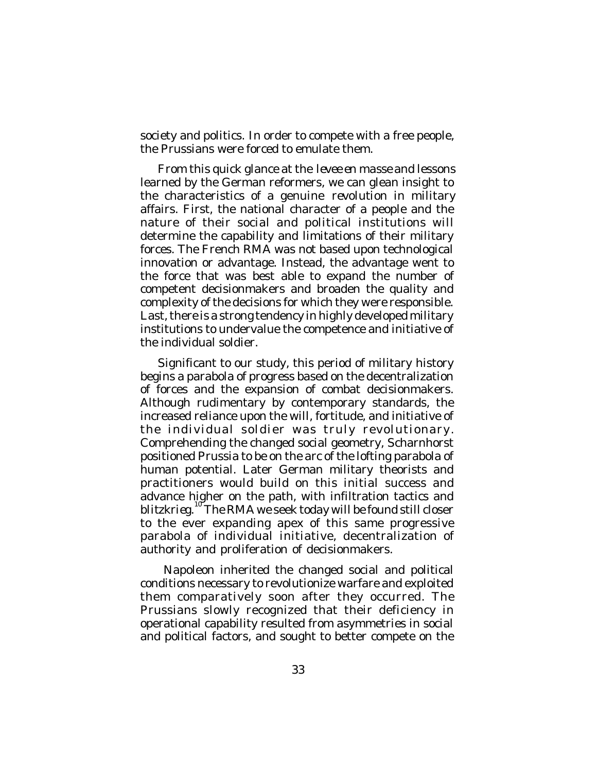society and politics. In order to compete with a free people, the Prussians were forced to emulate them.

From this quick glance at the *levee en masse* and lessons learned by the German reformers, we can glean insight to the characteristics of a genuine *revolution* in military affairs. First, the national character of a people and the nature of their social and political institutions will determine the capability and limitations of their military forces. The French RMA was not based upon technological innovation or advantage. Instead, the advantage went to the force that was best able to expand the number of competent decisionmakers and broaden the quality and complexity of the decisions for which they were responsible. Last, there is a strong tendency in highly developed military institutions to undervalue the competence and initiative of the individual soldier.

Significant to our study, this period of military history begins a parabola of progress based on the decentralization of forces and the expansion of combat decisionmakers. Although rudimentary by contemporary standards, the increased reliance upon the will, fortitude, and initiative of the individual soldier was truly revolutionary. Comprehending the changed social geometry, Scharnhorst positioned Prussia to be on the arc of the lofting parabola of human potential. Later German military theorists and practitioners would build on this initial success and advance higher on the path, with infiltration tactics and *blitzkrieg*. 10 The RMA we seek today will be found still closer to the ever expanding apex of this same progressive parabola of individual initiative, decentralization of authority and proliferation of decisionmakers.

 Napoleon inherited the changed social and political conditions necessary to revolutionize warfare and exploited them comparatively soon after they occurred. The Prussians slowly recognized that their deficiency in operational capability resulted from asymmetries in social and political factors, and sought to better compete on the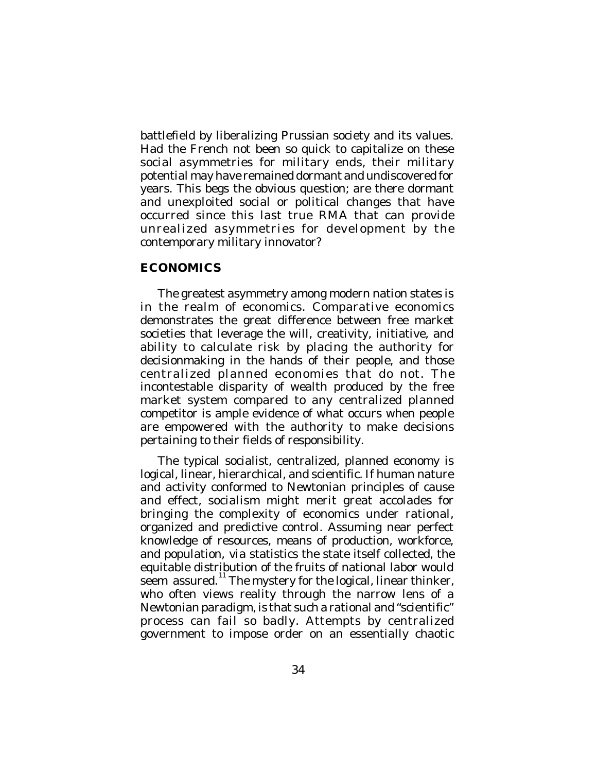battlefield by liberalizing Prussian society and its values. Had the French not been so quick to capitalize on these social asymmetries for military ends, their military potential may have remained dormant and undiscovered for years. This begs the obvious question; are there dormant and unexploited social or political changes that have occurred since this last true RMA that can provide unrealized asymmetries for development by the contemporary military innovator?

# **ECONOMICS**

The greatest asymmetry among modern nation states is in the realm of economics. Comparative economics demonstrates the great difference between free market societies that leverage the will, creativity, initiative, and ability to calculate risk by placing the authority for decisionmaking in the hands of their people, and those centralized planned economies that do not. The incontestable disparity of wealth produced by the free market system compared to any centralized planned competitor is ample evidence of what occurs when people are empowered with the authority to make decisions pertaining to their fields of responsibility.

The typical socialist, centralized, planned economy is logical, linear, hierarchical, and scientific. If human nature and activity conformed to Newtonian principles of cause and effect, socialism might merit great accolades for bringing the complexity of economics under rational, organized and predictive control. Assuming near perfect knowledge of resources, means of production, workforce, and population, *via* statistics the state itself collected, the equitable distribution of the fruits of national labor would seem assured.<sup>11</sup> The mystery for the logical, linear thinker, who often views reality through the narrow lens of a Newtonian paradigm, is that such a rational and "scientific" process can fail so badly. Attempts by centralized government to impose order on an essentially chaotic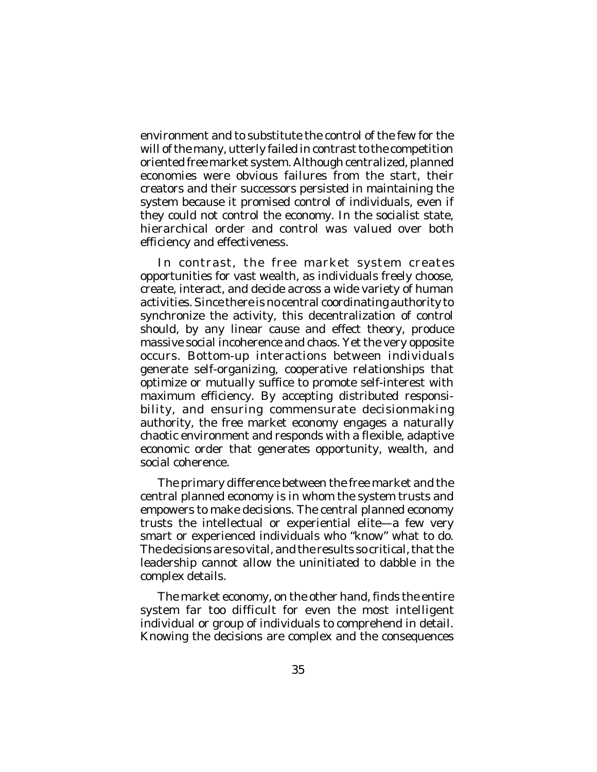environment and to substitute the control of the few for the will of the many, utterly failed in contrast to the competition oriented free market system. Although centralized, planned economies were obvious failures from the start, their creators and their successors persisted in maintaining the system because it promised control of individuals, even if they could not control the economy. In the socialist state, hierarchical order and control was valued over both efficiency and effectiveness.

In contrast, the free market system creates opportunities for vast wealth, as individuals freely choose, create, interact, and decide across a wide variety of human activities. Since there is no central coordinating authority to synchronize the activity, this decentralization of control should, by any linear cause and effect theory, produce massive social incoherence and chaos. Yet the very opposite occurs. Bottom-up interactions between individuals generate self-organizing, cooperative relationships that optimize or mutually suffice to promote self-interest with maximum efficiency. By accepting distributed responsibility, and ensuring commensurate decisionmaking authority, the free market economy engages a naturally chaotic environment and responds with a flexible, adaptive economic order that generates opportunity, wealth, and social coherence.

The primary difference between the free market and the central planned economy is in whom the system trusts and empowers to make decisions. The central planned economy trusts the intellectual or experiential elite—a few very smart or experienced individuals who "know" what to do. The decisions are so vital, and the results so critical, that the leadership cannot allow the uninitiated to dabble in the complex details.

The market economy, on the other hand, finds the entire system far too difficult for even the most intelligent individual or group of individuals to comprehend in detail. Knowing the decisions are complex and the consequences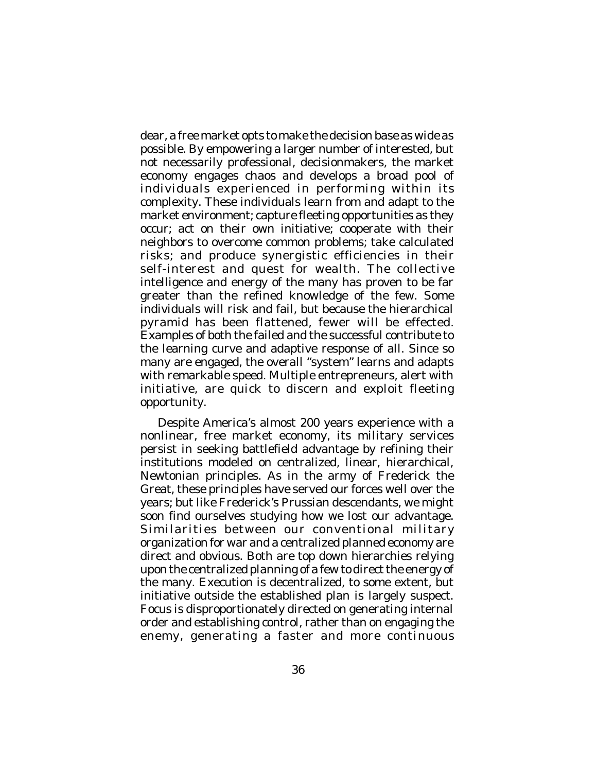dear, a free market opts to make the decision base as wide as possible. By empowering a larger number of interested, but not necessarily professional, decisionmakers, the market economy engages chaos and develops a broad pool of individuals experienced in performing within its complexity. These individuals learn from and adapt to the market environment; capture fleeting opportunities as they occur; act on their own initiative; cooperate with their neighbors to overcome common problems; take calculated risks; and produce synergistic efficiencies in their self-interest and quest for wealth. The collective intelligence and energy of the many has proven to be far greater than the refined knowledge of the few. Some individuals will risk and fail, but because the hierarchical pyramid has been flattened, fewer will be effected. Examples of both the failed and the successful contribute to the learning curve and adaptive response of all. Since so many are engaged, the overall "system" learns and adapts with remarkable speed. Multiple entrepreneurs, alert with initiative, are quick to discern and exploit fleeting opportunity.

Despite America's almost 200 years experience with a nonlinear, free market economy, its military services persist in seeking battlefield advantage by refining their institutions modeled on centralized, linear, hierarchical, Newtonian principles. As in the army of Frederick the Great, these principles have served our forces well over the years; but like Frederick's Prussian descendants, we might soon find ourselves studying how we lost our advantage. Similarities between our conventional military organization for war and a centralized planned economy are direct and obvious. Both are top down hierarchies relying upon the centralized planning of a few to direct the energy of the many. Execution is decentralized, to some extent, but initiative outside the established plan is largely suspect. Focus is disproportionately directed on generating internal order and establishing control, rather than on engaging the enemy, generating a faster and more continuous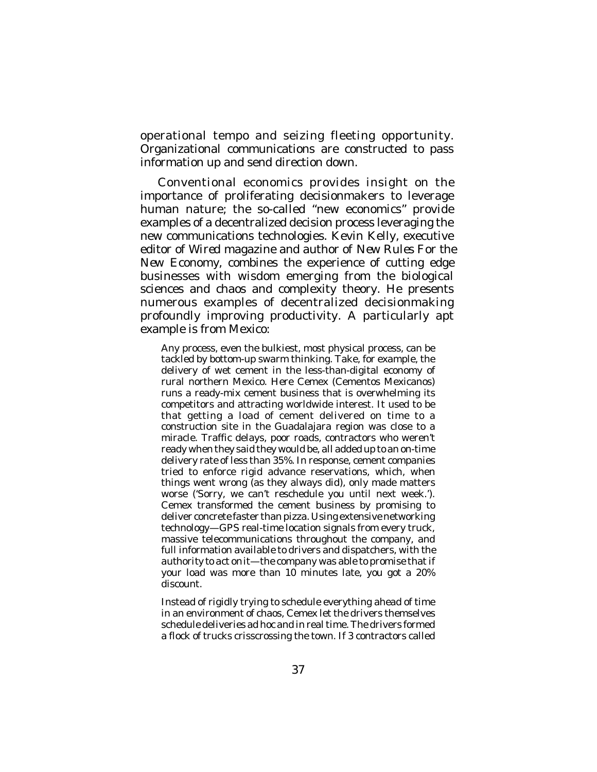operational tempo and seizing fleeting opportunity. Organizational communications are constructed to pass information up and send direction down.

Conventional economics provides insight on the importance of proliferating decisionmakers to leverage human nature; the so-called "new economics" provide examples of a decentralized decision process leveraging the new communications technologies. Kevin Kelly, executive editor of *Wired* magazine and author of *New Rules For the New Economy*, combines the experience of cutting edge businesses with wisdom emerging from the biological sciences and chaos and complexity theory. He presents numerous examples of decentralized decisionmaking profoundly improving productivity. A particularly apt example is from Mexico:

Any process, even the bulkiest, most physical process, can be tackled by bottom-up swarm thinking. Take, for example, the delivery of wet cement in the less-than-digital economy of rural northern Mexico. Here Cemex (Cementos Mexicanos) runs a ready-mix cement business that is overwhelming its competitors and attracting worldwide interest. It used to be that getting a load of cement delivered on time to a construction site in the Guadalajara region was close to a miracle. Traffic delays, poor roads, contractors who weren't ready when they said they would be, all added up to an on-time delivery rate of less than 35%. In response, cement companies tried to enforce rigid advance reservations, which, when things went wrong (as they always did), only made matters worse ('Sorry, we can't reschedule you until next week.'). Cemex transformed the cement business by promising to deliver concrete faster than pizza. Using extensive networking technology—GPS real-time location signals from every truck, massive telecommunications throughout the company, and full information available to drivers and dispatchers, *with the authority to act on*it—the company was able to promise that if your load was more than 10 minutes late, you got a 20% discount.

Instead of rigidly trying to schedule everything ahead of time in an environment of chaos, Cemex let the drivers themselves schedule deliveries ad hoc and in real time. The drivers formed a flock of trucks crisscrossing the town. If 3 contractors called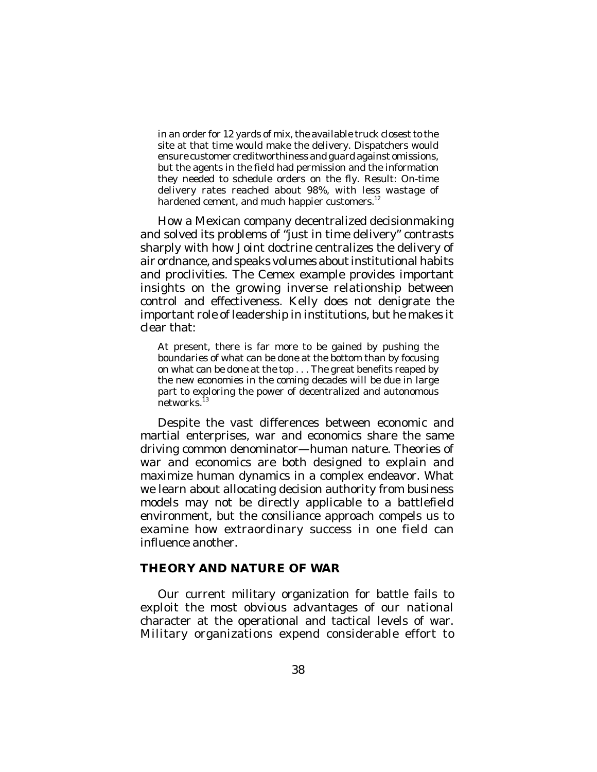in an order for 12 yards of mix, the available truck closest to the site at that time would make the delivery. Dispatchers would ensure customer creditworthiness and guard against omissions, but the agents in the field had permission and the information they needed to schedule orders on the fly. Result: On-time delivery rates reached about 98%, with less wastage of hardened cement, and much happier customers.<sup>12</sup>

How a Mexican company decentralized decisionmaking and solved its problems of "just in time delivery" contrasts sharply with how Joint doctrine centralizes the delivery of air ordnance, and speaks volumes about institutional habits and proclivities. The Cemex example provides important insights on the growing inverse relationship between control and effectiveness. Kelly does not denigrate the important role of leadership in institutions, but he makes it clear that:

At present, there is far more to be gained by pushing the boundaries of what can be done at the bottom than by focusing on what can be done at the top . . . The great benefits reaped by the new economies in the coming decades will be due in large part to exploring the power of decentralized and autonomous .<br>networks.<sup>i3</sup>

Despite the vast differences between economic and martial enterprises, war and economics share the same driving common denominator—human nature. Theories of war and economics are both designed to explain and maximize human dynamics in a complex endeavor. What we learn about allocating decision authority from business models may not be directly applicable to a battlefield environment, but the consiliance approach compels us to examine how extraordinary success in one field can influence another.

## **THEORY AND NATURE OF WAR**

Our current military organization for battle fails to exploit the most obvious advantages of our national character at the operational and tactical levels of war. Military organizations expend considerable effort to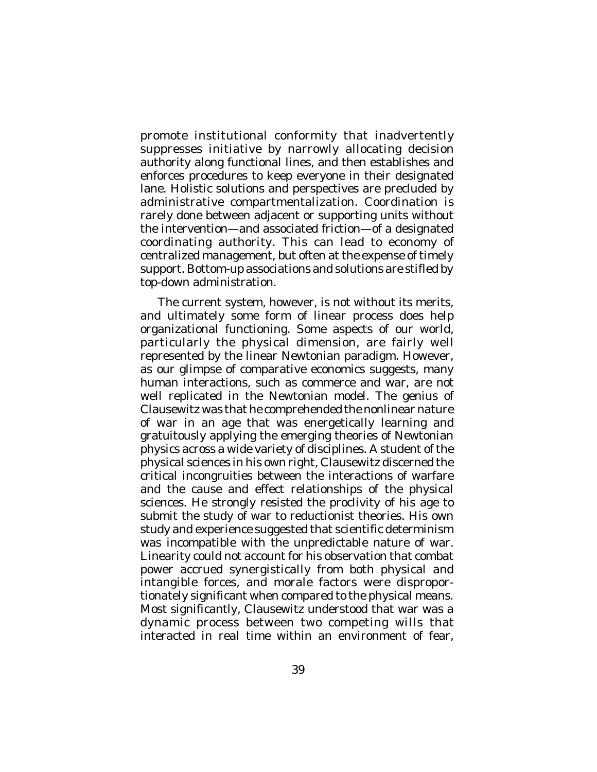promote institutional conformity that inadvertently suppresses initiative by narrowly allocating decision authority along functional lines, and then establishes and enforces procedures to keep everyone in their designated lane. Holistic solutions and perspectives are precluded by administrative compartmentalization. Coordination is rarely done between adjacent or supporting units without the intervention—and associated friction—of a designated coordinating authority. This can lead to economy of centralized management, but often at the expense of timely support. Bottom-up associations and solutions are stifled by top-down administration.

The current system, however, is not without its merits, and ultimately some form of linear process does help organizational functioning. Some aspects of our world, particularly the physical dimension, are fairly well represented by the linear Newtonian paradigm. However, as our glimpse of comparative economics suggests, many human interactions, such as commerce and war, are not well replicated in the Newtonian model. The genius of Clausewitz was that he comprehended the nonlinear nature of war in an age that was energetically learning and gratuitously applying the emerging theories of Newtonian physics across a wide variety of disciplines. A student of the physical sciences in his own right, Clausewitz discerned the critical incongruities between the interactions of warfare and the cause and effect relationships of the physical sciences. He strongly resisted the proclivity of his age to submit the study of war to reductionist theories. His own study and experience suggested that scientific determinism was incompatible with the unpredictable nature of war. Linearity could not account for his observation that combat power accrued synergistically from both physical and intangible forces, and morale factors were disproportionately significant when compared to the physical means. Most significantly, Clausewitz understood that war was a dynamic process between two competing wills that interacted in real time within an environment of fear,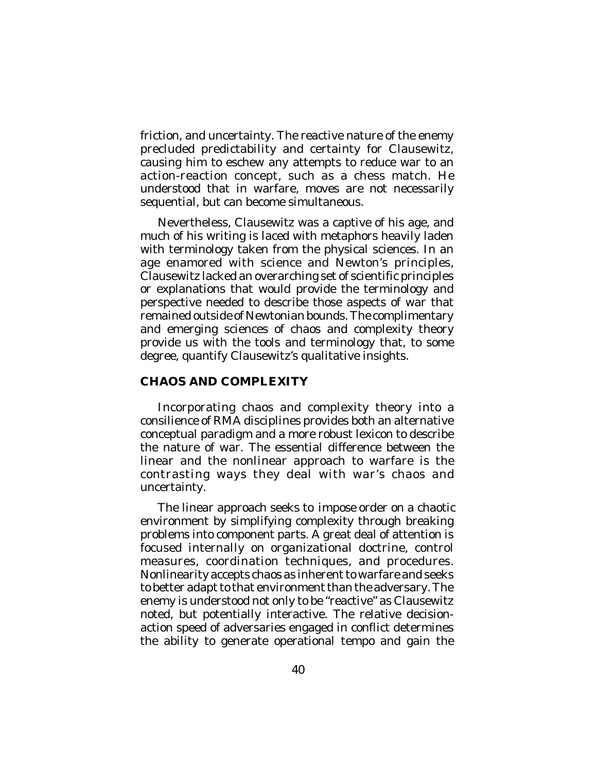friction, and uncertainty. The reactive nature of the enemy precluded predictability and certainty for Clausewitz, causing him to eschew any attempts to reduce war to an action-reaction concept, such as a chess match. He understood that in warfare, moves are not necessarily sequential, but can become simultaneous.

Nevertheless, Clausewitz was a captive of his age, and much of his writing is laced with metaphors heavily laden with terminology taken from the physical sciences. In an age enamored with science and Newton's principles, Clausewitz lacked an overarching set of scientific principles or explanations that would provide the terminology and perspective needed to describe those aspects of war that remained outside of Newtonian bounds. The complimentary and emerging sciences of chaos and complexity theory provide us with the tools and terminology that, to some degree, quantify Clausewitz's qualitative insights.

### **CHAOS AND COMPLEXITY**

Incorporating chaos and complexity theory into a consilience of RMA disciplines provides both an alternative conceptual paradigm and a more robust lexicon to describe the nature of war. The essential difference between the linear and the nonlinear approach to warfare is the contrasting ways they deal with war's chaos and uncertainty.

The linear approach seeks to *impose* order on a chaotic environment by simplifying complexity through breaking problems into component parts. A great deal of attention is focused internally on organizational doctrine, control measures, coordination techniques, and procedures. Nonlinearity accepts chaos as inherent to warfare and seeks to better adapt to that environment than the adversary. The enemy is understood not only to be "reactive" as Clausewitz noted, but potentially interactive. The relative decisionaction speed of adversaries engaged in conflict determines the ability to generate operational tempo and gain the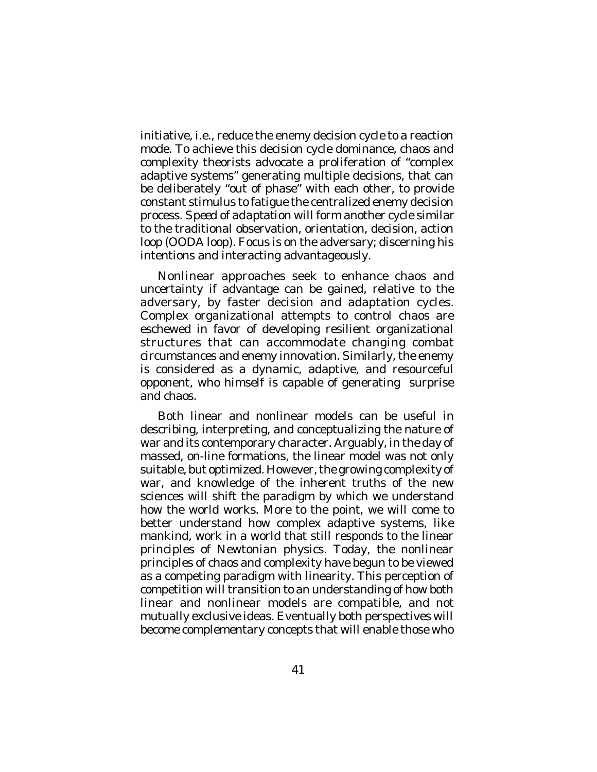initiative, i.e., reduce the enemy decision cycle to a reaction mode. To achieve this decision cycle dominance, chaos and complexity theorists advocate a proliferation of "complex adaptive systems" generating multiple decisions, that can be deliberately "out of phase" with each other, to provide constant stimulus to fatigue the centralized enemy decision process. *Speed of adaptation* will form another cycle similar to the traditional observation, orientation, decision, action loop (OODA loop). Focus is on the adversary; discerning his intentions and interacting advantageously.

Nonlinear approaches seek to enhance chaos and uncertainty if advantage can be gained, relative to the adversary, by faster decision and adaptation cycles. Complex organizational attempts to control chaos are eschewed in favor of developing resilient organizational structures that can accommodate changing combat circumstances and enemy innovation. Similarly, the enemy is considered as a dynamic, adaptive, and resourceful opponent, who himself is capable of generating surprise and chaos.

Both linear and nonlinear models can be useful in describing, interpreting, and conceptualizing the nature of war and its contemporary character. Arguably, in the day of massed, on-line formations, the linear model was not only suitable, but optimized. However, the growing complexity of war, and knowledge of the inherent truths of the new sciences will shift the paradigm by which we understand how the world works. More to the point, we will come to better understand how complex adaptive systems, like mankind, work in a world that still responds to the linear principles of Newtonian physics. Today, the nonlinear principles of chaos and complexity have begun to be viewed as a competing paradigm with linearity. This perception of competition will transition to an understanding of how both linear and nonlinear models are compatible, and not mutually exclusive ideas. Eventually both perspectives will become complementary concepts that will enable those who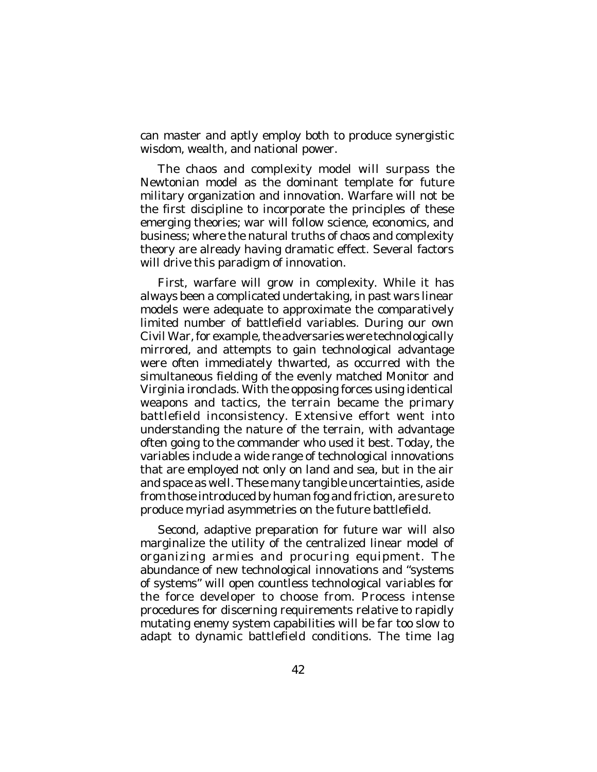can master and aptly employ both to produce synergistic wisdom, wealth, and national power.

The chaos and complexity model will surpass the Newtonian model as the dominant template for future military organization and innovation. Warfare will not be the first discipline to incorporate the principles of these emerging theories; war will follow science, economics, and business; where the natural truths of chaos and complexity theory are already having dramatic effect. Several factors will drive this paradigm of innovation.

First, warfare will grow in complexity. While it has always been a complicated undertaking, in past wars linear models were adequate to approximate the comparatively limited number of battlefield variables. During our own Civil War, for example, the adversaries were technologically mirrored, and attempts to gain technological advantage were often immediately thwarted, as occurred with the simultaneous fielding of the evenly matched Monitor and Virginia ironclads. With the opposing forces using identical weapons and tactics, the terrain became the primary battlefield inconsistency. Extensive effort went into understanding the nature of the terrain, with advantage often going to the commander who used it best. Today, the variables include a wide range of technological innovations that are employed not only on land and sea, but in the air and space as well. These many tangible uncertainties, aside from those introduced by human fog and friction, are sure to produce myriad asymmetries on the future battlefield.

Second, adaptive preparation for future war will also marginalize the utility of the centralized linear model of organizing armies and procuring equipment. The abundance of new technological innovations and "systems of systems" will open countless technological variables for the force developer to choose from. Process intense procedures for discerning requirements relative to rapidly mutating enemy system capabilities will be far too slow to adapt to dynamic battlefield conditions. The time lag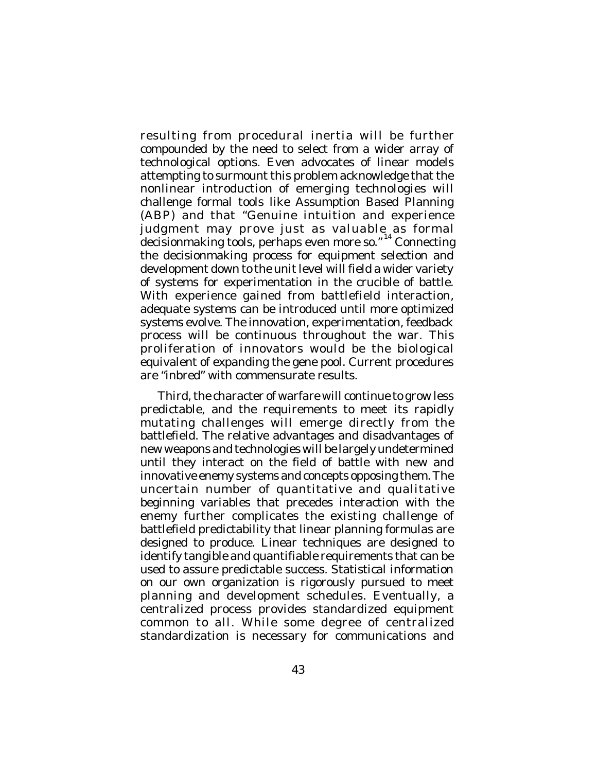resulting from procedural inertia will be further compounded by the need to select from a wider array of technological options. Even advocates of linear models attempting to surmount this problem acknowledge that the nonlinear introduction of emerging technologies will challenge formal tools like Assumption Based Planning (ABP) and that "Genuine intuition and experience judgment may prove just as valuable as formal decisionmaking tools, perhaps even more so." 14 Connecting the decisionmaking process for equipment selection and development down to the unit level will field a wider variety of systems for experimentation in the crucible of battle. With experience gained from battlefield interaction, adequate systems can be introduced until more optimized systems evolve. The innovation, experimentation, feedback process will be continuous throughout the war. This proliferation of innovators would be the biological equivalent of expanding the gene pool. Current procedures are "inbred" with commensurate results.

Third, the character of warfare will continue to grow less predictable, and the requirements to meet its rapidly mutating challenges will emerge directly from the battlefield. The relative advantages and disadvantages of new weapons and technologies will be largely undetermined until they interact on the field of battle with new and innovative enemy systems and concepts opposing them. The uncertain number of quantitative and qualitative beginning variables that precedes interaction with the enemy further complicates the existing challenge of battlefield predictability that linear planning formulas are designed to produce. Linear techniques are designed to identify tangible and quantifiable requirements that can be used to assure predictable success. Statistical information on our own organization is rigorously pursued to meet planning and development schedules. Eventually, a centralized process provides standardized equipment common to all. While some degree of centralized standardization is necessary for communications and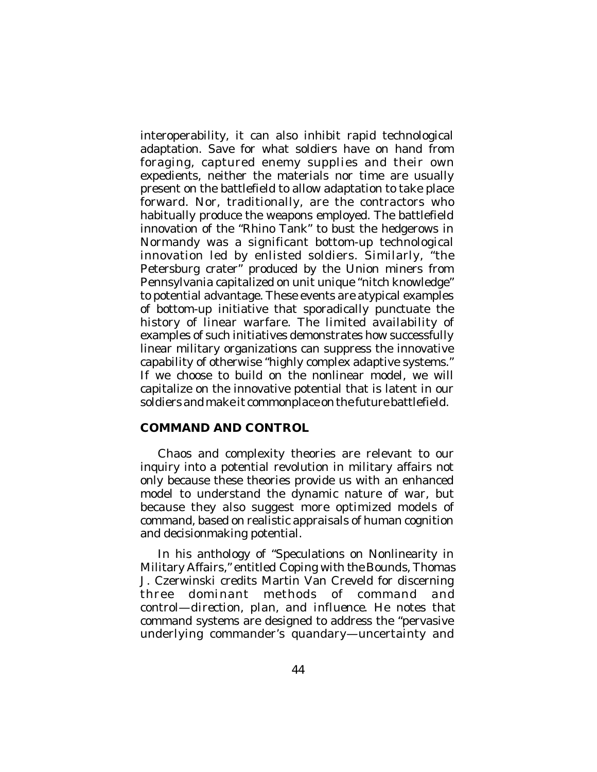interoperability, it can also inhibit rapid technological adaptation. Save for what soldiers have on hand from foraging, captured enemy supplies and their own expedients, neither the materials nor time are usually present on the battlefield to allow adaptation to take place forward. Nor, traditionally, are the contractors who habitually produce the weapons employed. The battlefield innovation of the "Rhino Tank" to bust the hedgerows in Normandy was a significant bottom-up technological innovation led by enlisted soldiers. Similarly, "the Petersburg crater" produced by the Union miners from Pennsylvania capitalized on unit unique "nitch knowledge" to potential advantage. These events are atypical examples of bottom-up initiative that sporadically punctuate the history of linear warfare. The limited availability of examples of such initiatives demonstrates how successfully linear military organizations can suppress the innovative capability of otherwise "highly complex adaptive systems." If we choose to build on the nonlinear model, we will capitalize on the innovative potential that is latent in our soldiers and make it commonplace on the future battlefield.

## **COMMAND AND CONTROL**

Chaos and complexity theories are relevant to our inquiry into a potential revolution in military affairs not only because these theories provide us with an enhanced model to understand the dynamic nature of war, but because they also suggest more optimized models of command, based on realistic appraisals of human cognition and decisionmaking potential.

In his anthology of "Speculations on Nonlinearity in Military Affairs," entitled *Coping with the Bounds*, Thomas J. Czerwinski credits Martin Van Creveld for discerning three dominant methods of command and control—*direction, plan, and influence*. He notes that command systems are designed to address the "pervasive underlying commander's quandary—uncertainty and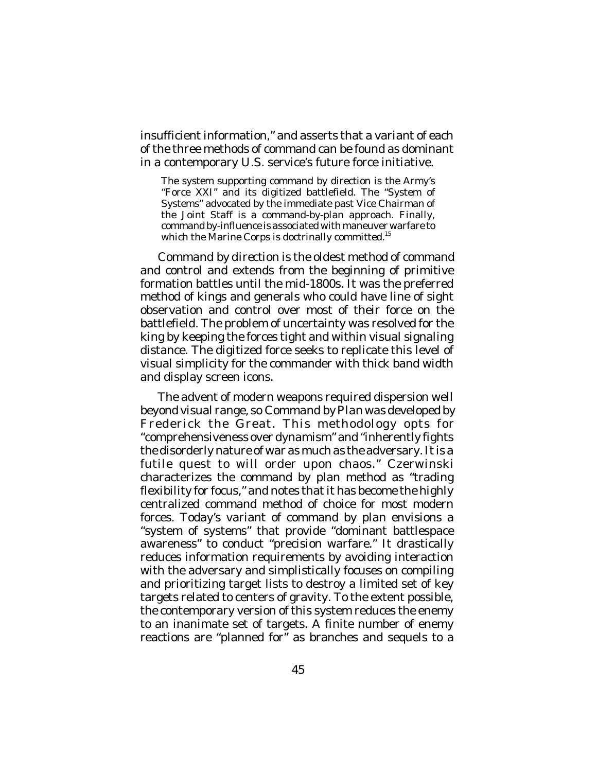insufficient information," and asserts that a variant of each of the three methods of command can be found as dominant in a contemporary U.S. service's future force initiative.

The system supporting command by direction is the Army's "Force XXI" and its digitized battlefield. The "System of Systems" advocated by the immediate past Vice Chairman of the Joint Staff is a command-by-plan approach. Finally, command by-influence is associated with maneuver warfare to which the Marine Corps is doctrinally committed.<sup>15</sup>

*Command by direction* is the oldest method of command and control and extends from the beginning of primitive formation battles until the mid-1800s. It was the preferred method of kings and generals who could have line of sight observation and control over most of their force on the battlefield. The problem of uncertainty was resolved for the king by keeping the forces tight and within visual signaling distance. The digitized force seeks to replicate this level of visual simplicity for the commander with thick band width and display screen icons.

The advent of modern weapons required dispersion well beyond visual range, so *Command by Plan* was developed by Frederick the Great. This methodology opts for "comprehensiveness over dynamism" and "inherently fights the disorderly nature of war as much as the adversary. It is a futile quest to will order upon chaos." Czerwinski characterizes the command by plan method as "trading flexibility for focus," and notes that it has become the highly centralized command method of choice for most modern forces. Today's variant of command by plan envisions a "system of systems" that provide "dominant battlespace awareness" to conduct "precision warfare." It drastically reduces information requirements by avoiding interaction with the adversary and simplistically focuses on compiling and prioritizing target lists to destroy a limited set of key targets related to centers of gravity. To the extent possible, the contemporary version of this system reduces the enemy to an inanimate set of targets. A finite number of enemy reactions are "planned for" as branches and sequels to a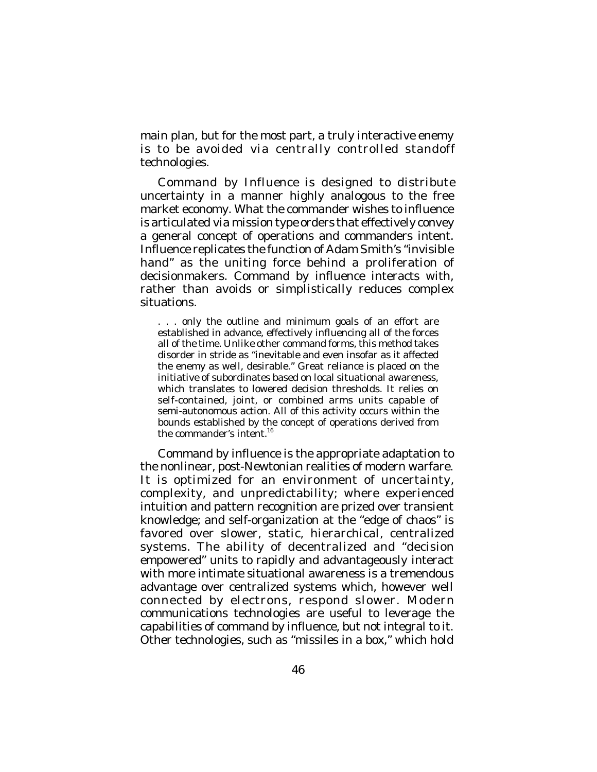main plan, but for the most part, a truly interactive enemy is to be avoided *via* centrally controlled standoff technologies.

*Command by Influence* is designed to distribute uncertainty in a manner highly analogous to the free market economy. What the commander wishes to influence is articulated *via* mission type orders that effectively convey a general concept of operations and commanders intent. Influence replicates the function of Adam Smith's "invisible hand" as the uniting force behind a proliferation of decisionmakers. Command by influence interacts with, rather than avoids or simplistically reduces complex situations.

. . . only the outline and minimum goals of an effort are established in advance, effectively influencing all of the forces all of the time. Unlike other command forms, this method takes disorder in stride as "inevitable and even insofar as it affected the enemy as well, desirable." Great reliance is placed on the initiative of subordinates based on local situational awareness, which translates to lowered decision thresholds. It relies on self-contained, joint, or combined arms units capable of semi-autonomous action. All of this activity occurs within the bounds established by the concept of operations derived from the commander's intent. 16

Command by influence is the appropriate adaptation to the nonlinear, post-Newtonian realities of modern warfare. It is optimized for an environment of uncertainty, complexity, and unpredictability; where experienced intuition and pattern recognition are prized over transient knowledge; and self-organization at the "edge of chaos" is favored over slower, static, hierarchical, centralized systems. The ability of decentralized and "decision empowered" units to rapidly and advantageously interact with more intimate situational awareness is a tremendous advantage over centralized systems which, however well connected by electrons, respond slower. Modern communications technologies are useful to leverage the capabilities of command by influence, but not integral to it. Other technologies, such as "missiles in a box," which hold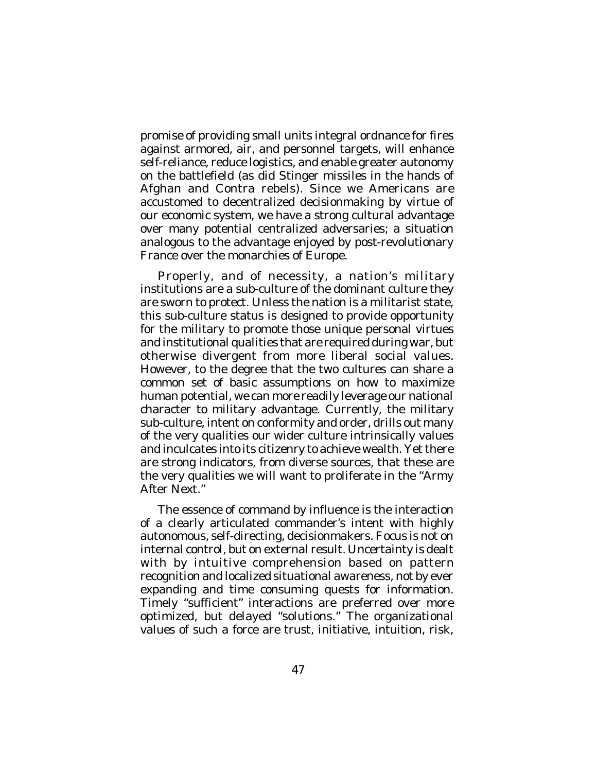promise of providing small units integral ordnance for fires against armored, air, and personnel targets, will enhance self-reliance, reduce logistics, and enable greater autonomy on the battlefield (as did Stinger missiles in the hands of Afghan and Contra rebels). Since we Americans are accustomed to decentralized decisionmaking by virtue of our economic system, we have a strong cultural advantage over many potential centralized adversaries; a situation analogous to the advantage enjoyed by post-revolutionary France over the monarchies of Europe.

Properly, and of necessity, a nation's military institutions are a sub-culture of the dominant culture they are sworn to protect. Unless the nation is a militarist state, this sub-culture status is designed to provide opportunity for the military to promote those unique personal virtues and institutional qualities that are required during war, but otherwise divergent from more liberal social values. However, to the degree that the two cultures can share a common set of basic assumptions on how to maximize human potential, we can more readily leverage our national character to military advantage. Currently, the military sub-culture, intent on conformity and order, drills out many of the very qualities our wider culture intrinsically values and inculcates into its citizenry to achieve wealth. Yet there are strong indicators, from diverse sources, that these are the very qualities we will want to proliferate in the "Army After Next<sup>"</sup>

The essence of command by influence is the interaction of a clearly articulated commander's intent with highly autonomous, self-directing, decisionmakers. Focus is not on internal control, but on external result. Uncertainty is dealt with by intuitive comprehension based on pattern recognition and localized situational awareness, not by ever expanding and time consuming quests for information. Timely "sufficient" interactions are preferred over more optimized, but delayed "solutions." The organizational values of such a force are trust, initiative, intuition, risk,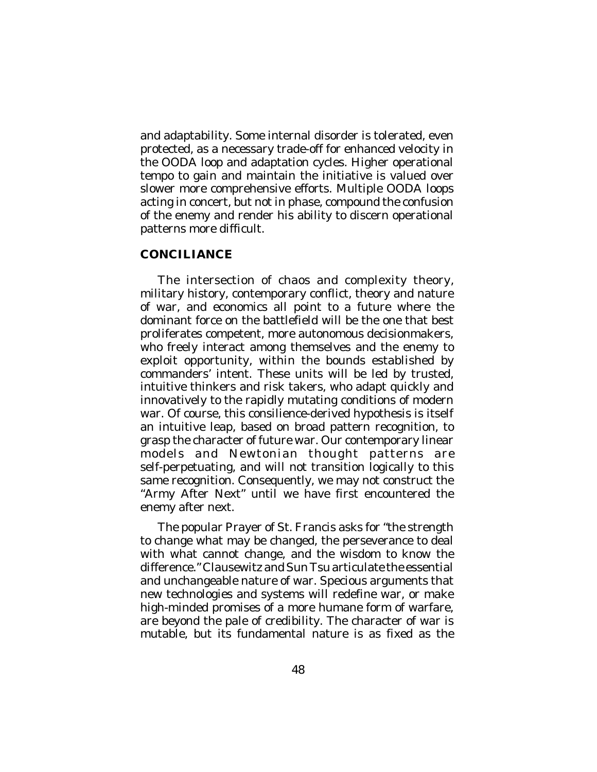and adaptability. Some internal disorder is tolerated, even protected, as a necessary trade-off for enhanced velocity in the OODA loop and adaptation cycles. Higher operational tempo to gain and maintain the initiative is valued over slower more comprehensive efforts. Multiple OODA loops acting in concert, but not in phase, compound the confusion of the enemy and render his ability to discern operational patterns more difficult.

# **CONCILIANCE**

The intersection of chaos and complexity theory, military history, contemporary conflict, theory and nature of war, and economics all point to a future where the dominant force on the battlefield will be the one that best proliferates competent, more autonomous decisionmakers, who freely interact among themselves and the enemy to exploit opportunity, within the bounds established by commanders' intent. These units will be led by trusted, intuitive thinkers and risk takers, who adapt quickly and innovatively to the rapidly mutating conditions of modern war. Of course, this consilience-derived hypothesis is itself an intuitive leap, based on broad pattern recognition, to grasp the character of future war. Our contemporary linear models and Newtonian thought patterns are self-perpetuating, and will not transition logically to this same recognition. Consequently, we may not construct the "Army After Next" until we have first encountered the enemy after next.

The popular Prayer of St. Francis asks for "the strength to change what may be changed, the perseverance to deal with what cannot change, and the wisdom to know the difference." Clausewitz and Sun Tsu articulate the essential and unchangeable nature of war. Specious arguments that new technologies and systems will redefine war, or make high-minded promises of a more humane form of warfare, are beyond the pale of credibility. The character of war is mutable, but its fundamental nature is as fixed as the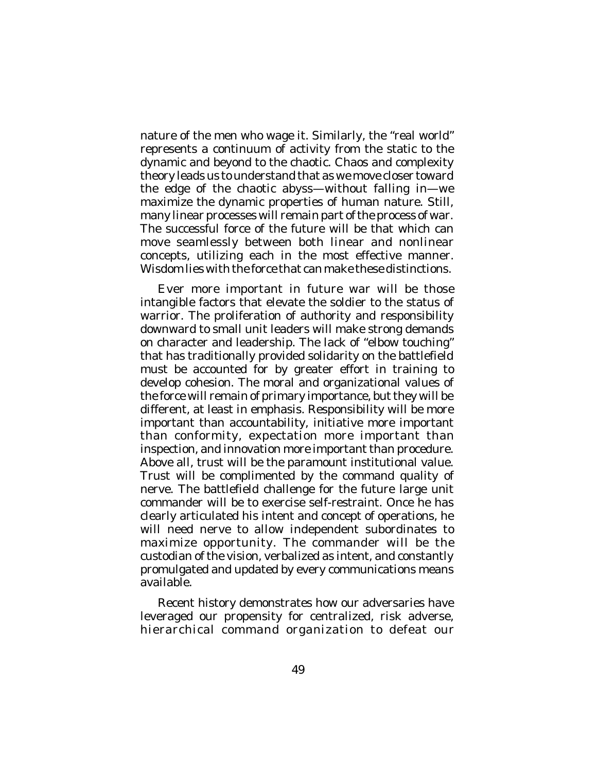nature of the men who wage it. Similarly, the "real world" represents a continuum of activity from the static to the dynamic and beyond to the chaotic. Chaos and complexity theory leads us to understand that as we move closer toward the edge of the chaotic abyss—without falling in—we maximize the dynamic properties of human nature. Still, many linear processes will remain part of the process of war. The successful force of the future will be that which can move seamlessly between both linear and nonlinear concepts, utilizing each in the most effective manner. Wisdom lies with the force that can make these distinctions.

Ever more important in future war will be those intangible factors that elevate the soldier to the status of warrior. The proliferation of authority and responsibility downward to small unit leaders will make strong demands on character and leadership. The lack of "elbow touching" that has traditionally provided solidarity on the battlefield must be accounted for by greater effort in training to develop cohesion. The moral and organizational values of the force will remain of primary importance, but they will be different, at least in emphasis. Responsibility will be more important than accountability, initiative more important than conformity, expectation more important than inspection, and innovation more important than procedure. Above all, trust will be the paramount institutional value. Trust will be complimented by the command quality of nerve. The battlefield challenge for the future large unit commander will be to exercise self-restraint. Once he has clearly articulated his intent and concept of operations, he will need nerve to allow independent subordinates to maximize opportunity. The commander will be the custodian of the vision, verbalized as intent, and constantly promulgated and updated by every communications means available.

Recent history demonstrates how our adversaries have leveraged our propensity for centralized, risk adverse, hierarchical command organization to defeat our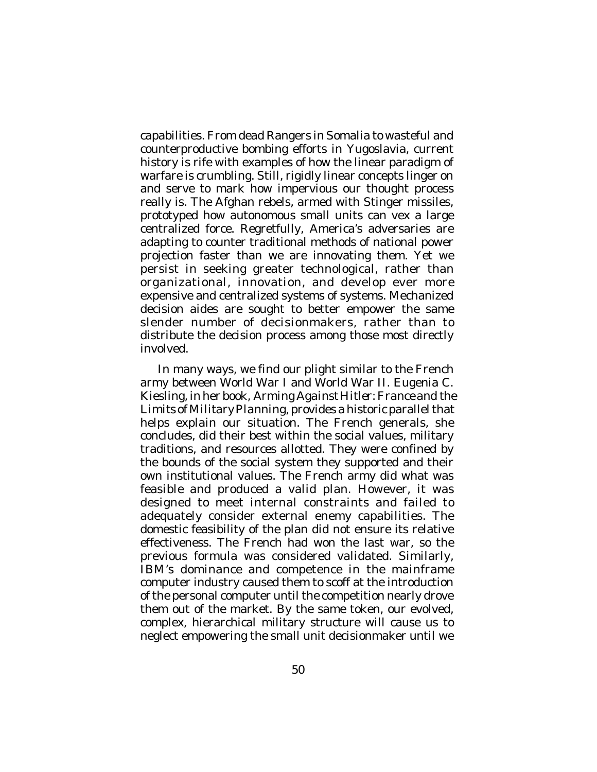capabilities. From dead Rangers in Somalia to wasteful and counterproductive bombing efforts in Yugoslavia, current history is rife with examples of how the linear paradigm of motory is the trian stranger of and the arconcepts linger on and serve to mark how impervious our thought process really is. The Afghan rebels, armed with Stinger missiles, prototyped how autonomous small units can vex a large centralized force. Regretfully, America's adversaries are adapting to counter traditional methods of national power projection faster than we are innovating them. Yet we persist in seeking greater technological, rather than organizational, innovation, and develop ever more expensive and centralized systems of systems. Mechanized decision aides are sought to better empower the same slender number of decisionmakers, rather than to distribute the decision process among those most directly involved.

In many ways, we find our plight similar to the French army between World War I and World War II. Eugenia C. Kiesling, in her book, *Arming Against Hitler: France and the Limits of Military Planning*, provides a historic parallel that helps explain our situation. The French generals, she concludes, did their best within the social values, military traditions, and resources allotted. They were confined by the bounds of the social system they supported and their own institutional values. The French army did what was feasible and produced a valid plan. However, it was designed to meet internal constraints and failed to adequately consider external enemy capabilities. The domestic feasibility of the plan did not ensure its relative effectiveness. The French had won the last war, so the previous formula was considered validated. Similarly, IBM's dominance and competence in the mainframe computer industry caused them to scoff at the introduction of the personal computer until the competition nearly drove them out of the market. By the same token, our evolved, complex, hierarchical military structure will cause us to neglect empowering the small unit decisionmaker until we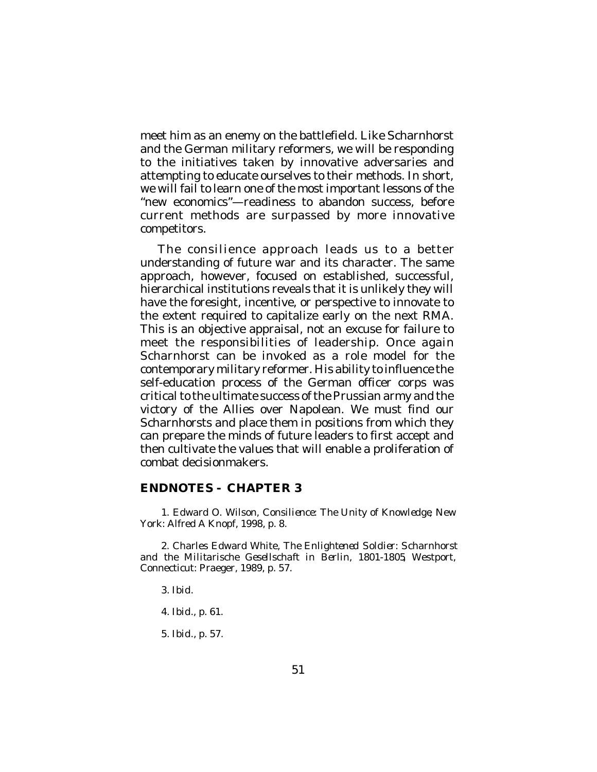meet him as an enemy on the battlefield. Like Scharnhorst and the German military reformers, we will be responding to the initiatives taken by innovative adversaries and attempting to educate ourselves to their methods. In short, we will fail to learn one of the most important lessons of the "new economics"—readiness to abandon success, before current methods are surpassed by more innovative competitors.

The consilience approach leads us to a better understanding of future war and its character. The same approach, however, focused on established, successful, hierarchical institutions reveals that it is unlikely they will have the foresight, incentive, or perspective to innovate to the extent required to capitalize early on the next RMA. This is an objective appraisal, not an excuse for failure to meet the responsibilities of leadership. Once again Scharnhorst can be invoked as a role model for the contemporary military reformer. His ability to influence the self-education process of the German officer corps was critical to the ultimate success of the Prussian army and the victory of the Allies over Napolean. We must find our Scharnhorsts and place them in positions from which they can prepare the minds of future leaders to first accept and then cultivate the values that will enable a proliferation of combat decisionmakers.

### **ENDNOTES - CHAPTER 3**

1. Edward O. Wilson, *Consilience: The Unity of Knowledge*, New York: Alfred A Knopf, 1998, p. 8.

2. Charles Edward White, *The Enlightened Soldier: Scharnhorst and the Militarische Gesellschaft in Berlin, 1801-1805*, Westport, Connecticut: Praeger, 1989, p. 57.

3. *Ibid*.

- 4. *Ibid*., p. 61.
- 5. *Ibid*., p. 57.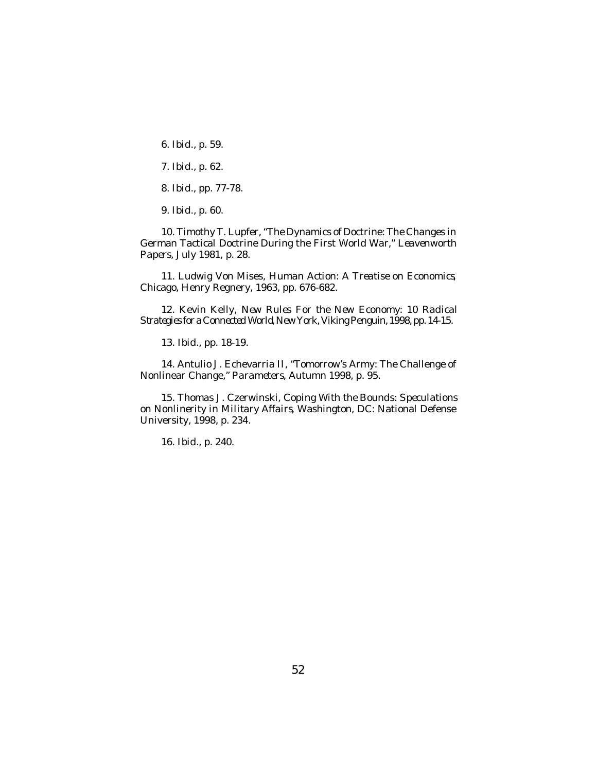6. *Ibid*., p. 59.

7. *Ibid*., p. 62.

8. *Ibid*., pp. 77-78.

9. *Ibid*., p. 60.

10. Timothy T. Lupfer, "The Dynamics of Doctrine: The Changes in German Tactical Doctrine During the First World War," *Leavenworth Papers*, July 1981, p. 28.

11. Ludwig Von Mises, *Human Action: A Treatise on Economics*, Chicago, Henry Regnery, 1963, pp. 676-682.

12. Kevin Kelly, *New Rules For the New Economy: 10 Radical Strategies for a Connected World*, New York, Viking Penguin, 1998, pp. 14-15.

13. *Ibid*., pp. 18-19.

14. Antulio J. Echevarria II, "Tomorrow's Army: The Challenge of Nonlinear Change," *Parameters*, Autumn 1998, p. 95.

15. Thomas J. Czerwinski, *Coping With the Bounds: Speculations on Nonlinerity in Military Affairs*, Washington, DC: National Defense University, 1998, p. 234.

16. *Ibid*., p. 240.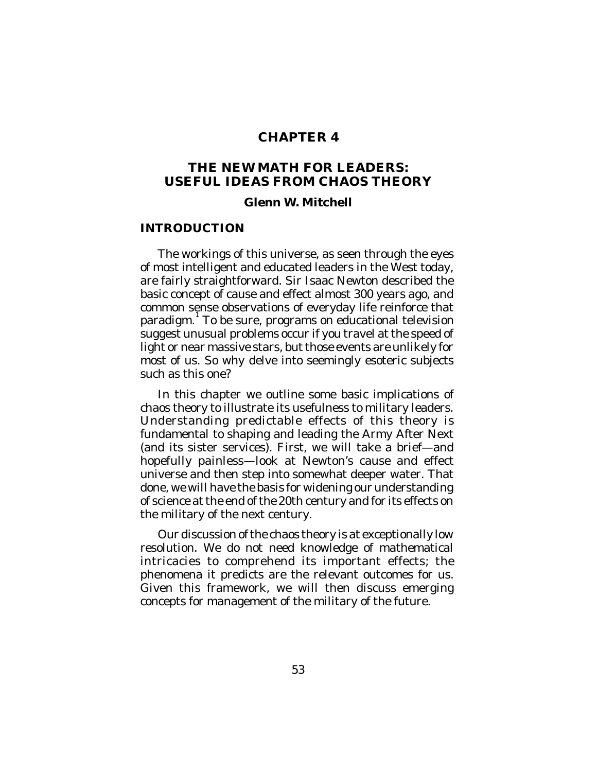# **CHAPTER 4**

# **THE NEW MATH FOR LEADERS: USEFUL IDEAS FROM CHAOS THEORY**

#### **Glenn W. Mitchell**

### **INTRODUCTION**

The workings of this universe, as seen through the eyes of most intelligent and educated leaders in the West today, are fairly straightforward. Sir Isaac Newton described the basic concept of cause and effect almost 300 years ago, and common sense observations of everyday life reinforce that paradigm.<sup>1</sup> To be sure, programs on educational television suggest unusual problems occur if you travel at the speed of light or near massive stars, but those events are unlikely for most of us. So why delve into seemingly esoteric subjects such as this one?

In this chapter we outline some basic implications of chaos theory to illustrate its usefulness to military leaders. Understanding predictable effects of this theory is fundamental to shaping and leading the Army After Next (and its sister services). First, we will take a brief—and hopefully painless—look at Newton's cause and effect universe and then step into somewhat deeper water. That done, we will have the basis for widening our understanding of science at the end of the 20th century and for its effects on the military of the next century.

Our discussion of the chaos theory is at exceptionally low resolution. We do not need knowledge of mathematical intricacies to comprehend its important effects; the phenomena it predicts are the relevant outcomes for us. Given this framework, we will then discuss emerging concepts for management of the military of the future.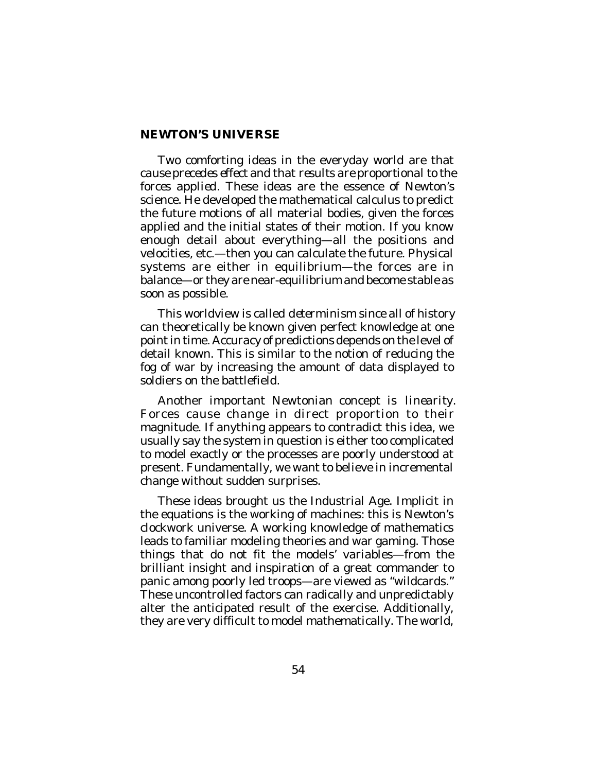# **NEWTON'S UNIVERSE**

Two comforting ideas in the everyday world are that *cause precedes effect* and that *results are proportional to the forces applied.* These ideas are the essence of Newton's science. He developed the mathematical calculus to predict the future motions of all material bodies, given the forces applied and the initial states of their motion. If you know enough detail about everything—all the positions and velocities, etc.—then you can calculate the future. Physical systems are either in equilibrium—the forces are in balance—or they are near-equilibrium and become stable as soon as possible.

This worldview is called *determinism* since all of history can theoretically be known given perfect knowledge at one point in time. Accuracy of predictions depends on the level of detail known. This is similar to the notion of reducing the fog of war by increasing the amount of data displayed to soldiers on the battlefield.

Another important Newtonian concept is *linearity*. Forces cause change in direct proportion to their magnitude. If anything appears to contradict this idea, we usually say the system in question is either too complicated to model exactly or the processes are poorly understood at present. Fundamentally, we want to believe in incremental change without sudden surprises.

These ideas brought us the Industrial Age. Implicit in the equations is the working of machines: this is Newton's clockwork universe. A working knowledge of mathematics leads to familiar modeling theories and war gaming. Those things that do not fit the models' variables—from the brilliant insight and inspiration of a great commander to panic among poorly led troops—are viewed as "wildcards." These uncontrolled factors can radically and unpredictably alter the anticipated result of the exercise. Additionally, they are very difficult to model mathematically. The world,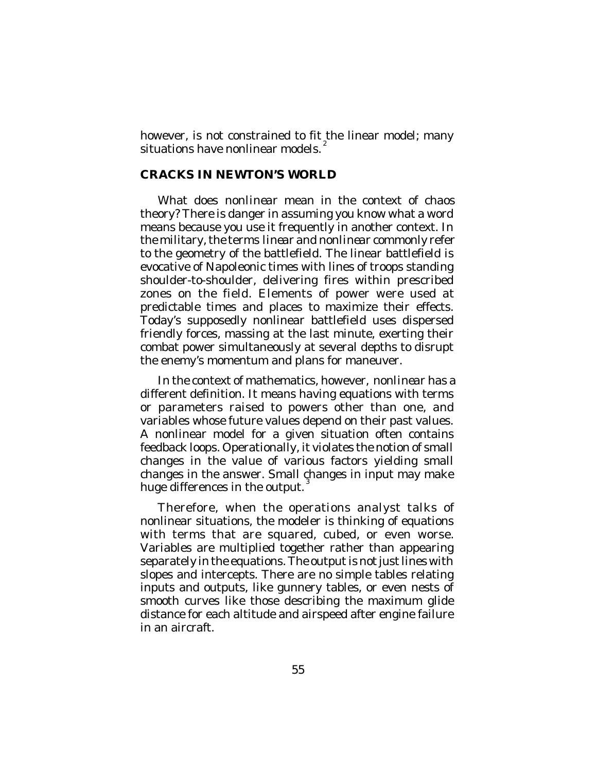however, is not constrained to fit the linear model; many situations have nonlinear models. $^2$ 

# **CRACKS IN NEWTON'S WORLD**

What does *nonlinear* mean in the context of chaos theory? There is danger in assuming you know what a word means because you use it frequently in another context. In the military, the terms *linear* and *nonlinear* commonly refer to the geometry of the battlefield. The linear battlefield is evocative of Napoleonic times with lines of troops standing shoulder-to-shoulder, delivering fires within prescribed zones on the field. Elements of power were used at predictable times and places to maximize their effects. Today's supposedly nonlinear battlefield uses dispersed friendly forces, massing at the last minute, exerting their combat power simultaneously at several depths to disrupt the enemy's momentum and plans for maneuver.

In the context of mathematics, however, *nonlinear* has a different definition. It means having equations with terms or parameters raised to powers other than one, and variables whose future values depend on their past values. A nonlinear model for a given situation often contains feedback loops. Operationally, it violates the notion of small changes in the value of various factors yielding small changes in the answer. Small changes in input may make huge differences in the output.

Therefore, when the operations analyst talks of nonlinear situations, the modeler is thinking of equations with terms that are squared, cubed, or even worse. Variables are multiplied together rather than appearing separately in the equations. The output is not just lines with slopes and intercepts. There are no simple tables relating inputs and outputs, like gunnery tables, or even nests of smooth curves like those describing the maximum glide distance for each altitude and airspeed after engine failure in an aircraft.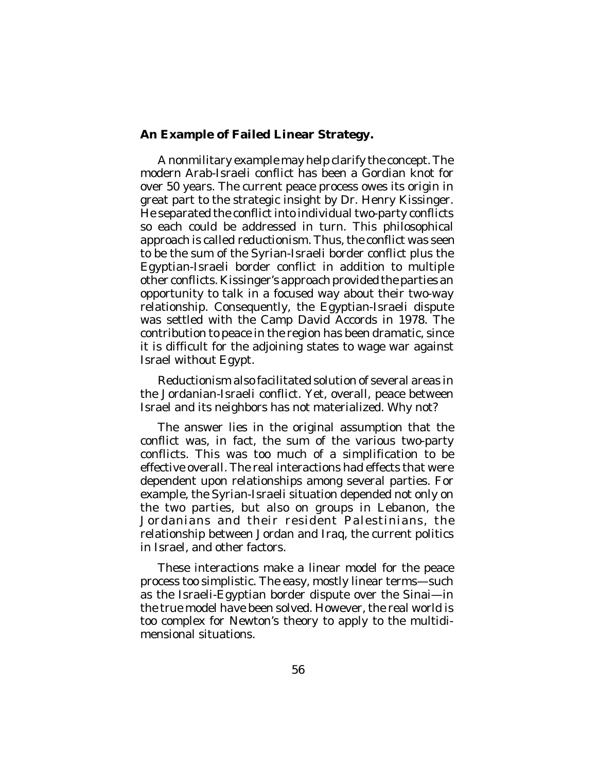# **An Example of Failed Linear Strategy.**

A nonmilitary example may help clarify the concept. The modern Arab-Israeli conflict has been a Gordian knot for over 50 years. The current peace process owes its origin in great part to the strategic insight by Dr. Henry Kissinger. He separated the conflict into individual two-party conflicts so each could be addressed in turn. This philosophical approach is called *reductionism*. Thus, the conflict was seen to be the sum of the Syrian-Israeli border conflict plus the Egyptian-Israeli border conflict in addition to multiple other conflicts. Kissinger's approach provided the parties an opportunity to talk in a focused way about their two-way relationship. Consequently, the Egyptian-Israeli dispute was settled with the Camp David Accords in 1978. The contribution to peace in the region has been dramatic, since it is difficult for the adjoining states to wage war against Israel without Egypt.

Reductionism also facilitated solution of several areas in the Jordanian-Israeli conflict. Yet, overall, peace between Israel and its neighbors has not materialized. Why not?

The answer lies in the original assumption that the conflict was, in fact, the sum of the various two-party conflicts. This was too much of a simplification to be effective overall. The real interactions had effects that were dependent upon relationships among several parties. For example, the Syrian-Israeli situation depended not only on the two parties, but also on groups in Lebanon, the Jordanians and their resident Palestinians, the relationship between Jordan and Iraq, the current politics in Israel, and other factors.

These interactions make a linear model for the peace process too simplistic. The easy, mostly linear terms—such as the Israeli-Egyptian border dispute over the Sinai—in the true model have been solved. However, the real world is too complex for Newton's theory to apply to the multidimensional situations.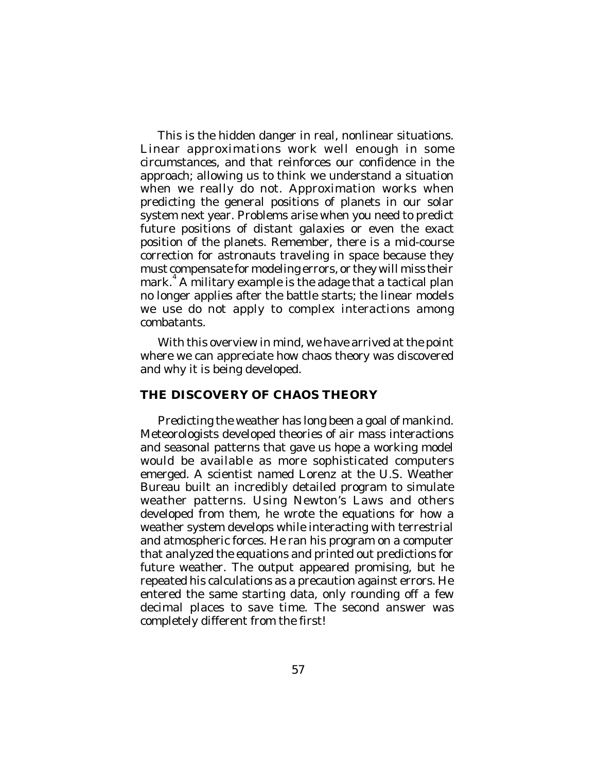This is the hidden danger in real, nonlinear situations. Linear approximations work well enough in some circumstances, and that reinforces our confidence in the approach; allowing us to think we understand a situation when we really do not. Approximation works when predicting the general positions of planets in our solar system next year. Problems arise when you need to predict future positions of distant galaxies or even the exact position of the planets. Remember, there is a mid-course correction for astronauts traveling in space because they must compensate for modeling errors, or they will miss their mark. 4 A military example is the adage that a tactical plan no longer applies after the battle starts; the linear models we use do not apply to complex interactions among combatants.

With this overview in mind, we have arrived at the point where we can appreciate how chaos theory was discovered and why it is being developed.

# **THE DISCOVERY OF CHAOS THEORY**

Predicting the weather has long been a goal of mankind. Meteorologists developed theories of air mass interactions and seasonal patterns that gave us hope a working model would be available as more sophisticated computers emerged. A scientist named Lorenz at the U.S. Weather Bureau built an incredibly detailed program to simulate weather patterns. Using Newton's Laws and others developed from them, he wrote the equations for how a weather system develops while interacting with terrestrial and atmospheric forces. He ran his program on a computer that analyzed the equations and printed out predictions for future weather. The output appeared promising, but he repeated his calculations as a precaution against errors. He entered the same starting data, only rounding off a few decimal places to save time. The second answer was completely different from the first!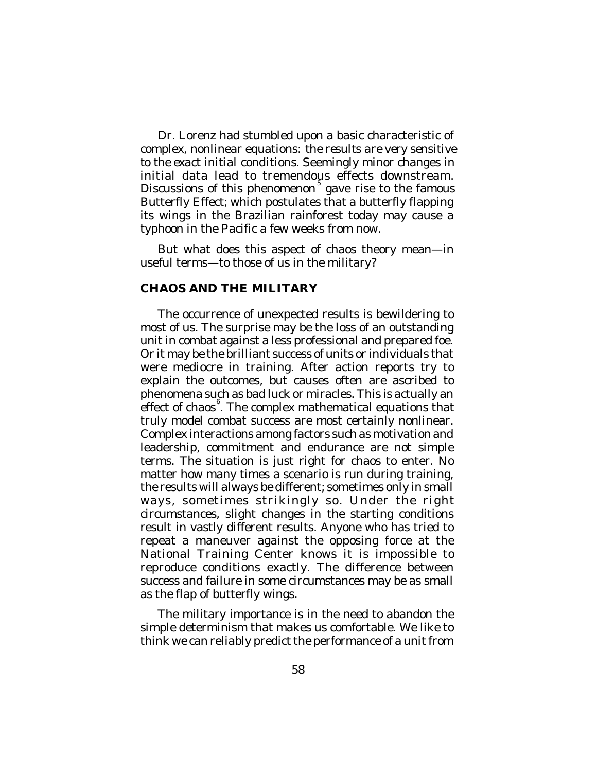Dr. Lorenz had stumbled upon a basic characteristic of complex, nonlinear equations: *the results are very sensitive to the exact initial conditions*. Seemingly minor changes in initial data lead to tremendous effects downstream. Discussions of this phenomenon<sup>5</sup> gave rise to the famous Butterfly Effect; which postulates that a butterfly flapping its wings in the Brazilian rainforest today may cause a typhoon in the Pacific a few weeks from now.

But what does this aspect of chaos theory mean—in useful terms—to those of us in the military?

### **CHAOS AND THE MILITARY**

The occurrence of unexpected results is bewildering to most of us. The surprise may be the loss of an outstanding unit in combat against a less professional and prepared foe. Or it may be the brilliant success of units or individuals that were mediocre in training. After action reports try to explain the outcomes, but causes often are ascribed to phenomena such as bad luck or miracles. This is actually an .<br>effect of chaos<sup>6</sup>. The complex mathematical equations that truly model combat success are most certainly nonlinear. Complex interactions among factors such as motivation and leadership, commitment and endurance are not simple terms. The situation is just right for chaos to enter. No matter how many times a scenario is run during training, the results will always be different; sometimes only in small ways, sometimes strikingly so. Under the right circumstances, slight changes in the starting conditions result in vastly different results. Anyone who has tried to repeat a maneuver against the opposing force at the National Training Center knows it is impossible to reproduce conditions exactly. The difference between success and failure in some circumstances may be as small as the flap of butterfly wings.

The military importance is in the need to abandon the simple determinism that makes us comfortable. We like to think we can reliably predict the performance of a unit from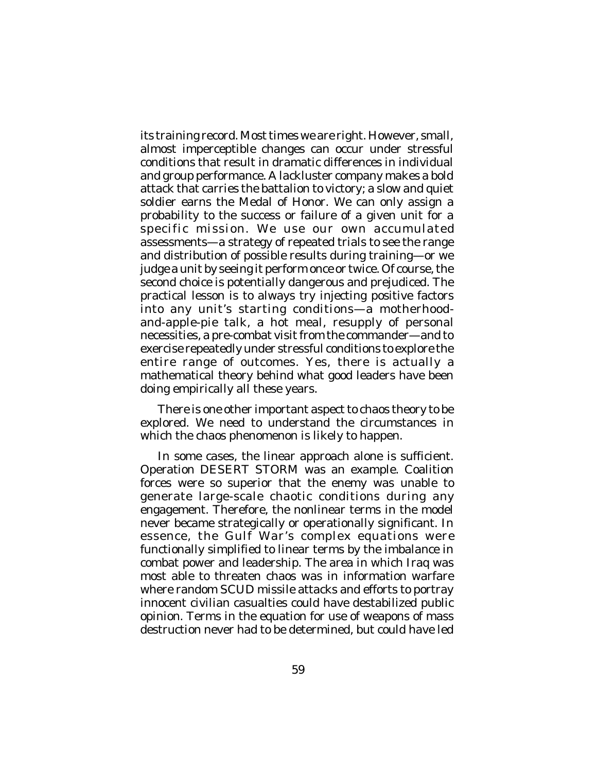its training record. Most times we are right. However, small, almost imperceptible changes can occur under stressful conditions that result in dramatic differences in individual and group performance. A lackluster company makes a bold attack that carries the battalion to victory; a slow and quiet soldier earns the Medal of Honor. We can only assign a probability to the success or failure of a given unit for a specific mission. We use our own accumulated assessments—a strategy of repeated trials to see the range and distribution of possible results during training—or we judge a unit by seeing it perform once or twice. Of course, the second choice is potentially dangerous and prejudiced. The practical lesson is to always try injecting positive factors into any unit's starting conditions—a motherhoodand-apple-pie talk, a hot meal, resupply of personal necessities, a pre-combat visit from the commander—and to exercise repeatedly under stressful conditions to explore the entire range of outcomes. Yes, there is actually a mathematical theory behind what good leaders have been doing empirically all these years.

There is one other important aspect to chaos theory to be explored. We need to understand the circumstances in which the chaos phenomenon is likely to happen.

In some cases, the linear approach alone is sufficient. Operation DESERT STORM was an example. Coalition forces were so superior that the enemy was unable to generate large-scale chaotic conditions during any engagement. Therefore, the nonlinear terms in the model never became strategically or operationally significant. In essence, the Gulf War's complex equations were functionally simplified to linear terms by the imbalance in combat power and leadership. The area in which Iraq was most able to threaten chaos was in information warfare where random SCUD missile attacks and efforts to portray innocent civilian casualties could have destabilized public opinion. Terms in the equation for use of weapons of mass destruction never had to be determined, but could have led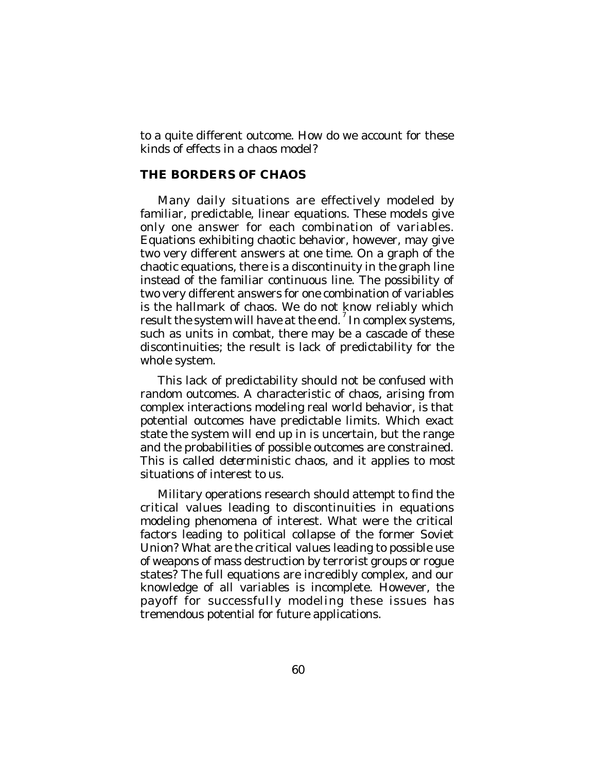to a quite different outcome. How do we account for these kinds of effects in a chaos model?

### **THE BORDERS OF CHAOS**

Many daily situations are effectively modeled by familiar, predictable, linear equations. These models give only one answer for each combination of variables. Equations exhibiting chaotic behavior, however, may give two very different answers at one time. On a graph of the chaotic equations, there is a discontinuity in the graph line instead of the familiar continuous line. The possibility of two very different answers for one combination of variables is the hallmark of chaos. We do not know reliably which result the system will have at the end.<sup>7</sup> In complex systems, such as units in combat, there may be a cascade of these discontinuities; the result is lack of predictability for the whole system.

This lack of predictability should not be confused with random outcomes. A characteristic of chaos, arising from complex interactions modeling real world behavior, is that potential outcomes have predictable limits. Which exact state the system will end up in is uncertain, but the range and the probabilities of possible outcomes are constrained. This is called *deterministic chaos*, and it applies to most situations of interest to us.

Military operations research should attempt to find the critical values leading to discontinuities in equations modeling phenomena of interest. What were the critical factors leading to political collapse of the former Soviet Union? What are the critical values leading to possible use of weapons of mass destruction by terrorist groups or rogue states? The full equations are incredibly complex, and our knowledge of all variables is incomplete. However, the payoff for successfully modeling these issues has tremendous potential for future applications.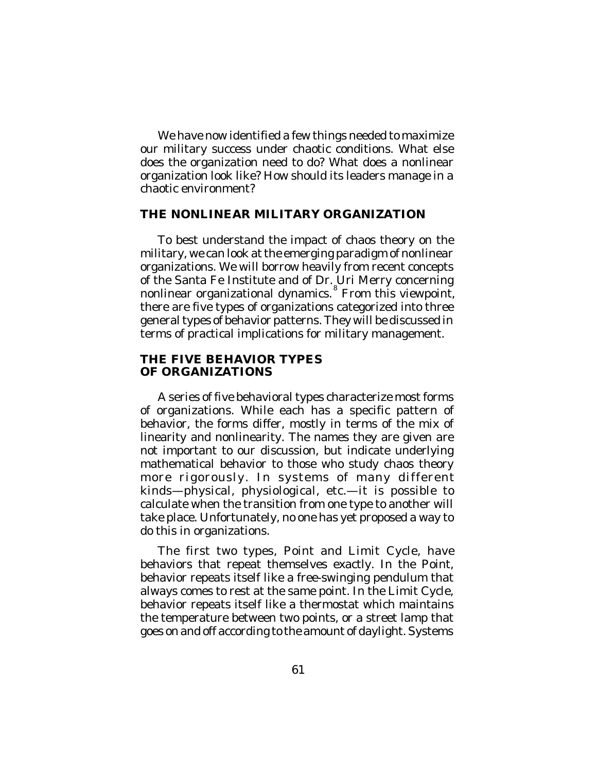We have now identified a few things needed to maximize our military success under chaotic conditions. What else does the organization need to do? What does a nonlinear organization look like? How should its leaders manage in a chaotic environment?

# **THE NONLINEAR MILITARY ORGANIZATION**

To best understand the impact of chaos theory on the military, we can look at the emerging paradigm of nonlinear organizations. We will borrow heavily from recent concepts of the Santa Fe Institute and of Dr. Uri Merry concerning nonlinear organizational dynamics. 8 From this viewpoint, there are five types of organizations categorized into three general types of behavior patterns. They will be discussed in terms of practical implications for military management.

## **THE FIVE BEHAVIOR TYPES OF ORGANIZATIONS**

A series of five behavioral types characterize most forms of organizations. While each has a specific pattern of behavior, the forms differ, mostly in terms of the mix of linearity and nonlinearity. The names they are given are not important to our discussion, but indicate underlying mathematical behavior to those who study chaos theory more rigorously. In systems of many different kinds—physical, physiological, etc.—it is possible to calculate when the transition from one type to another will take place. Unfortunately, no one has yet proposed a way to do this in organizations.

The first two types, Point and Limit Cycle, have behaviors that repeat themselves exactly. In the Point, behavior repeats itself like a free-swinging pendulum that always comes to rest at the same point. In the Limit Cycle, behavior repeats itself like a thermostat which maintains the temperature between two points, or a street lamp that goes on and off according to the amount of daylight. Systems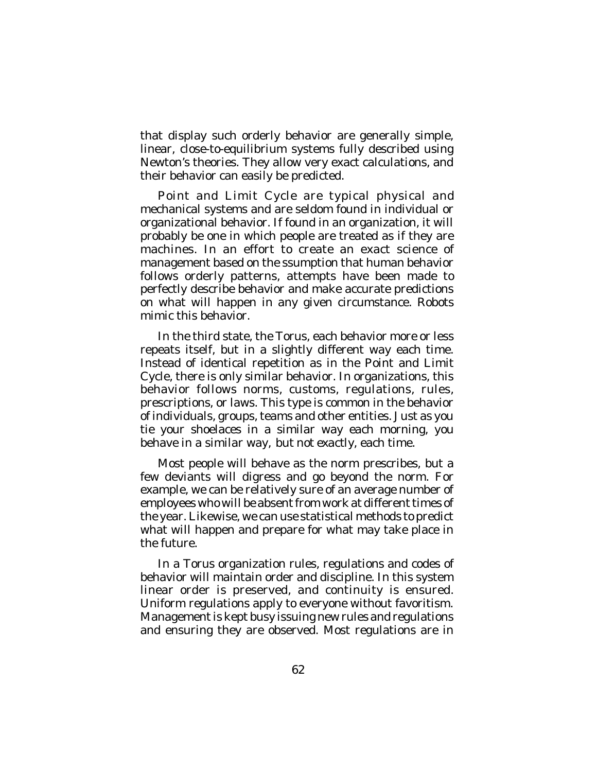that display such orderly behavior are generally simple, linear, close-to-equilibrium systems fully described using Newton's theories. They allow very exact calculations, and their behavior can easily be predicted.

Point and Limit Cycle are typical physical and mechanical systems and are seldom found in individual or organizational behavior. If found in an organization, it will probably be one in which people are treated as if they are machines. In an effort to create an exact science of management based on the ssumption that human behavior follows orderly patterns, attempts have been made to perfectly describe behavior and make accurate predictions on what will happen in any given circumstance. Robots mimic this behavior.

In the third state, the Torus, each behavior more or less repeats itself, but in a slightly different way each time. Instead of identical repetition as in the Point and Limit Cycle, there is only similar behavior. In organizations, this behavior follows norms, customs, regulations, rules, prescriptions, or laws. This type is common in the behavior of individuals, groups, teams and other entities. Just as you tie your shoelaces in a similar way each morning, you behave in a similar way, *but not exactly*, each time.

Most people will behave as the norm prescribes, but a few deviants will digress and go beyond the norm. For example, we can be relatively sure of an average number of employees who will be absent from work at different times of the year. Likewise, we can use statistical methods to predict what will happen and prepare for what may take place in the future.

In a Torus organization rules, regulations and codes of behavior will maintain order and discipline. In this system linear order is preserved, and continuity is ensured. Uniform regulations apply to everyone without favoritism. Management is kept busy issuing new rules and regulations and ensuring they are observed. Most regulations are in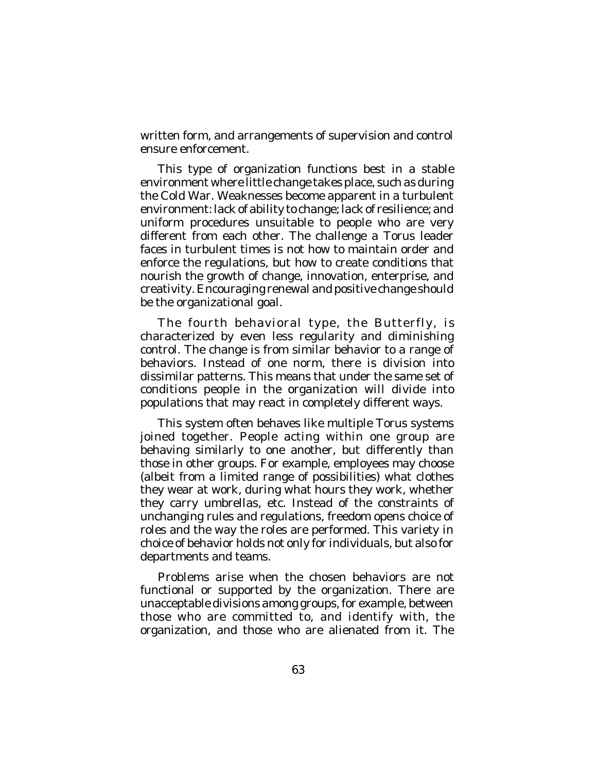written form, and arrangements of supervision and control ensure enforcement.

This type of organization functions best in a stable environment where little change takes place, such as during the Cold War. Weaknesses become apparent in a turbulent environment: lack of ability to change; lack of resilience; and uniform procedures unsuitable to people who are very different from each other. The challenge a Torus leader faces in turbulent times is not how to maintain order and enforce the regulations, but how to create conditions that nourish the growth of change, innovation, enterprise, and creativity. Encouraging renewal and positive change should be the organizational goal.

The fourth behavioral type, the Butterfly, is characterized by even less regularity and diminishing control. The change is from similar behavior to a range of behaviors. Instead of one norm, there is division into dissimilar patterns. This means that under the same set of conditions people in the organization will divide into populations that may react in completely different ways.

This system often behaves like multiple Torus systems joined together. People acting within one group are behaving similarly to one another, but differently than those in other groups. For example, employees may choose (albeit from a limited range of possibilities) what clothes they wear at work, during what hours they work, whether they carry umbrellas, etc. Instead of the constraints of unchanging rules and regulations, freedom opens choice of roles and the way the roles are performed. This variety in choice of behavior holds not only for individuals, but also for departments and teams.

Problems arise when the chosen behaviors are not functional or supported by the organization. There are unacceptable divisions among groups, for example, between those who are committed to, and identify with, the organization, and those who are alienated from it. The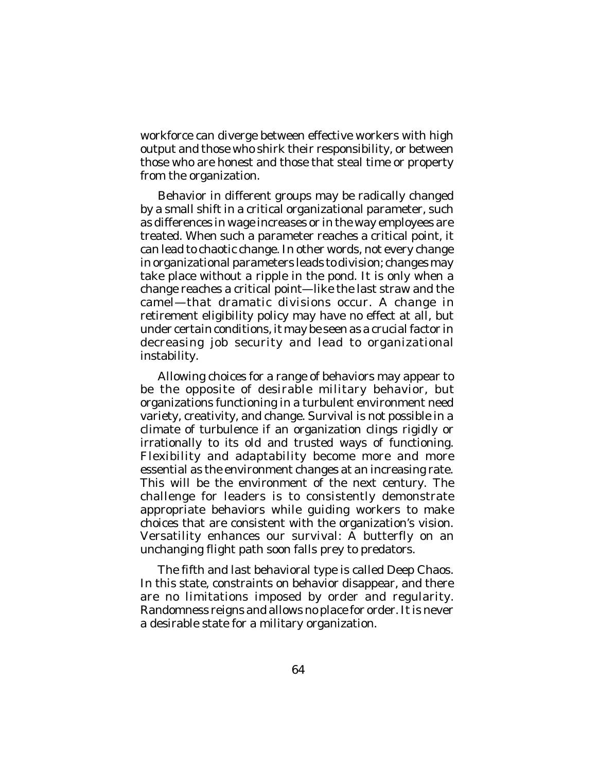workforce can diverge between effective workers with high output and those who shirk their responsibility, or between those who are honest and those that steal time or property from the organization.

Behavior in different groups may be radically changed by a small shift in a critical organizational parameter, such as differences in wage increases or in the way employees are treated. When such a parameter reaches a critical point, it can lead to chaotic change. In other words, not every change in organizational parameters leads to division; changes may take place without a ripple in the pond. It is only when a change reaches a critical point—like the last straw and the camel—that dramatic divisions occur. A change in retirement eligibility policy may have no effect at all, but under certain conditions, it may be seen as a crucial factor in decreasing job security and lead to organizational instability.

Allowing choices for a range of behaviors may appear to be the opposite of desirable military behavior, but organizations functioning in a turbulent environment need variety, creativity, and change. Survival is not possible in a climate of turbulence if an organization clings rigidly or irrationally to its old and trusted ways of functioning. Flexibility and adaptability become more and more essential as the environment changes at an increasing rate. This will be the environment of the next century. The challenge for leaders is to consistently demonstrate appropriate behaviors while guiding workers to make choices that are consistent with the organization's vision. Versatility enhances our survival: A butterfly on an unchanging flight path soon falls prey to predators.

The fifth and last behavioral type is called Deep Chaos. In this state, constraints on behavior disappear, and there are no limitations imposed by order and regularity. Randomness reigns and allows no place for order. It is never a desirable state for a military organization.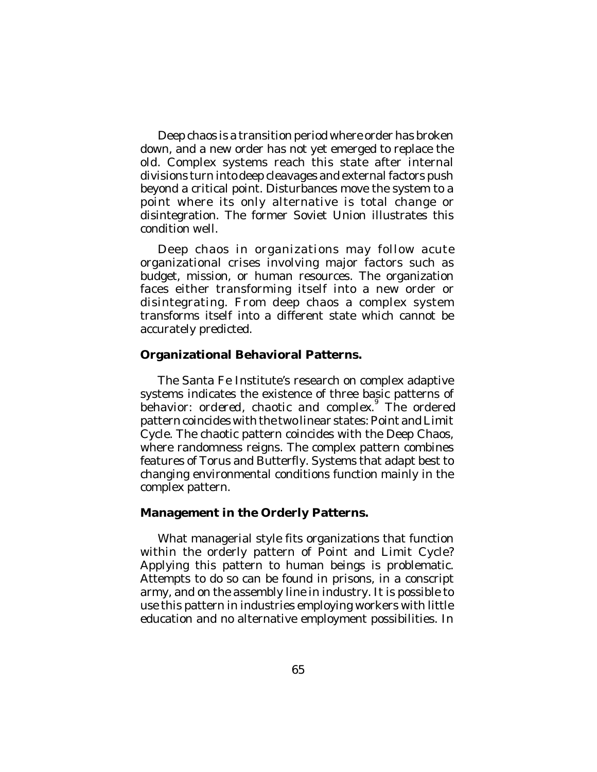Deep chaos is a transition period where order has broken down, and a new order has not yet emerged to replace the old. Complex systems reach this state after internal divisions turn into deep cleavages and external factors push beyond a critical point. Disturbances move the system to a point where its only alternative is total change or disintegration. The former Soviet Union illustrates this condition well.

Deep chaos in organizations may follow acute organizational crises involving major factors such as budget, mission, or human resources. The organization faces either transforming itself into a new order or disintegrating. From deep chaos a complex system transforms itself into a different state which cannot be accurately predicted.

### **Organizational Behavioral Patterns.**

The Santa Fe Institute's research on complex adaptive systems indicates the existence of three basic patterns of behavior: ordered, chaotic and complex.<sup>9</sup> The ordered pattern coincides with the two linear states: Point and Limit Cycle. The chaotic pattern coincides with the Deep Chaos, where randomness reigns. The complex pattern combines features of Torus and Butterfly. Systems that adapt best to changing environmental conditions function mainly in the complex pattern.

### **Management in the Orderly Patterns.**

What managerial style fits organizations that function within the orderly pattern of Point and Limit Cycle? Applying this pattern to human beings is problematic. Attempts to do so can be found in prisons, in a conscript army, and on the assembly line in industry. It is possible to use this pattern in industries employing workers with little education and no alternative employment possibilities. In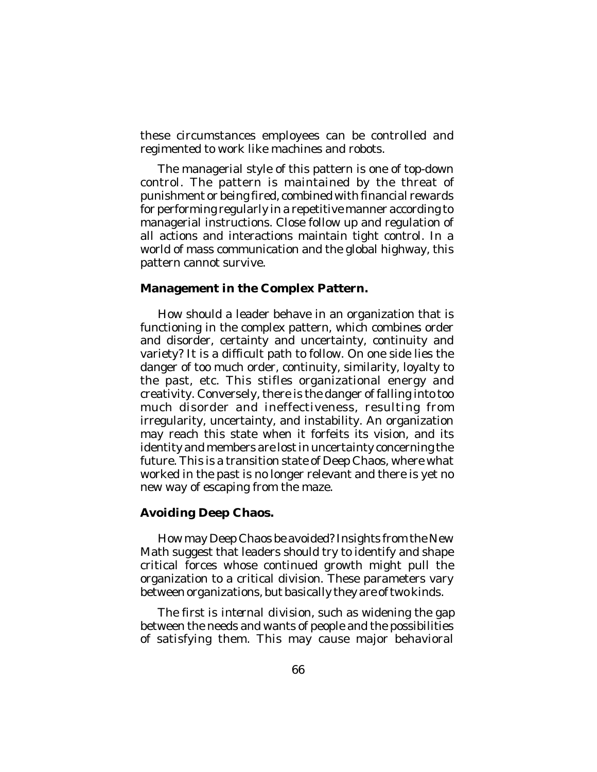these circumstances employees can be controlled and regimented to work like machines and robots.

The managerial style of this pattern is one of top-down control. The pattern is maintained by the threat of punishment or being fired, combined with financial rewards for performing regularly in a repetitive manner according to managerial instructions. Close follow up and regulation of all actions and interactions maintain tight control. In a world of mass communication and the global highway, this pattern cannot survive.

# **Management in the Complex Pattern.**

How should a leader behave in an organization that is functioning in the complex pattern, which combines order and disorder, certainty and uncertainty, continuity and variety? It is a difficult path to follow. On one side lies the danger of too much order, continuity, similarity, loyalty to the past, etc. This stifles organizational energy and creativity. Conversely, there is the danger of falling into too much disorder and ineffectiveness, resulting from irregularity, uncertainty, and instability. An organization may reach this state when it forfeits its vision, and its identity and members are lost in uncertainty concerning the future. This is a transition state of Deep Chaos, where what worked in the past is no longer relevant and there is yet no new way of escaping from the maze.

# **Avoiding Deep Chaos.**

How may Deep Chaos be avoided? Insights from the New Math suggest that leaders should try to identify and shape critical forces whose continued growth might pull the organization to a critical division. These parameters vary between organizations, but basically they are of two kinds.

The first is *internal division*, such as widening the gap between the needs and wants of people and the possibilities of satisfying them. This may cause major behavioral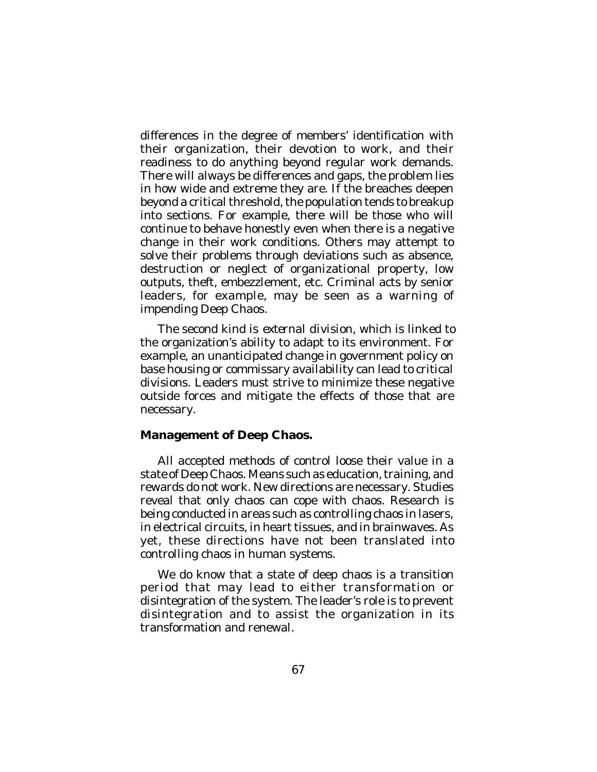differences in the degree of members' identification with their organization, their devotion to work, and their readiness to do anything beyond regular work demands. There will always be differences and gaps, the problem lies in how wide and extreme they are. If the breaches deepen beyond a critical threshold, the population tends to breakup into sections. For example, there will be those who will continue to behave honestly even when there is a negative change in their work conditions. Others may attempt to solve their problems through deviations such as absence, destruction or neglect of organizational property, low outputs, theft, embezzlement, etc. Criminal acts by senior leaders, for example, may be seen as a warning of impending Deep Chaos.

The second kind is *external division*, which is linked to the organization's ability to adapt to its environment. For example, an unanticipated change in government policy on base housing or commissary availability can lead to critical divisions. Leaders must strive to minimize these negative outside forces and mitigate the effects of those that are necessary.

# **Management of Deep Chaos.**

All accepted methods of control loose their value in a state of Deep Chaos. Means such as education, training, and rewards do not work. New directions are necessary. Studies reveal that only chaos can cope with chaos. Research is being conducted in areas such as controlling chaos in lasers, in electrical circuits, in heart tissues, and in brainwaves. As yet, these directions have not been translated into controlling chaos in human systems.

We do know that a state of deep chaos is a transition period that may lead to either transformation or disintegration of the system. The leader's role is to prevent disintegration and to assist the organization in its transformation and renewal.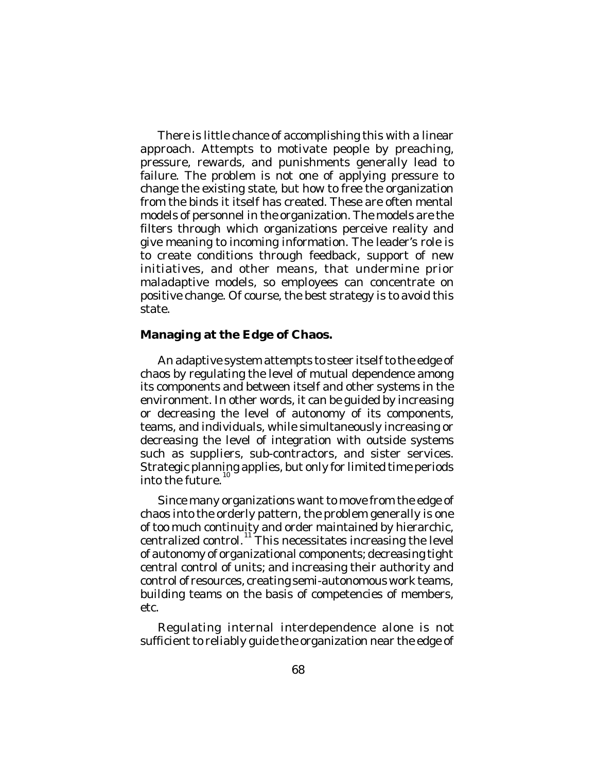There is little chance of accomplishing this with a linear approach. Attempts to motivate people by preaching, pressure, rewards, and punishments generally lead to failure. The problem is not one of applying pressure to change the existing state, but how to free the organization from the binds it itself has created. These are often mental models of personnel in the organization. The models are the filters through which organizations perceive reality and give meaning to incoming information. The leader's role is to create conditions through feedback, support of new initiatives, and other means, that undermine prior maladaptive models, so employees can concentrate on positive change. Of course, the best strategy is to avoid this state.

## **Managing at the Edge of Chaos.**

An adaptive system attempts to steer itself to the edge of chaos by regulating the level of mutual dependence among its components and between itself and other systems in the environment. In other words, it can be guided by increasing or decreasing the level of autonomy of its components, teams, and individuals, while simultaneously increasing or decreasing the level of integration with outside systems such as suppliers, sub-contractors, and sister services. Strategic planning applies, but only for limited time periods into the future. 10

Since many organizations want to move from the edge of chaos into the orderly pattern, the problem generally is one of too much continuity and order maintained by hierarchic, centralized control.<sup>11</sup> This necessitates increasing the level of autonomy of organizational components; decreasing tight central control of units; and increasing their authority and control of resources, creating semi-autonomous work teams, building teams on the basis of competencies of members, etc.

Regulating internal interdependence alone is not sufficient to reliably guide the organization near the edge of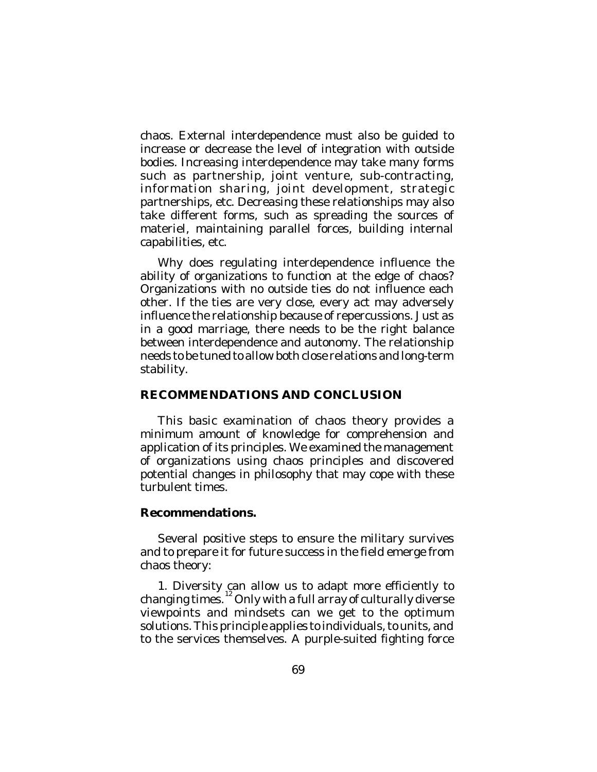chaos. External interdependence must also be guided to increase or decrease the level of integration with outside bodies. Increasing interdependence may take many forms such as partnership, joint venture, sub-contracting, information sharing, joint development, strategic partnerships, etc. Decreasing these relationships may also take different forms, such as spreading the sources of materiel, maintaining parallel forces, building internal capabilities, etc.

Why does regulating interdependence influence the ability of organizations to function at the edge of chaos? Organizations with no outside ties do not influence each other. If the ties are very close, every act may adversely influence the relationship because of repercussions. Just as in a good marriage, there needs to be the right balance between interdependence and autonomy. The relationship needs to be tuned to allow both close relations and long-term stability.

### **RECOMMENDATIONS AND CONCLUSION**

This basic examination of chaos theory provides a minimum amount of knowledge for comprehension and application of its principles. We examined the management of organizations using chaos principles and discovered potential changes in philosophy that may cope with these turbulent times.

### **Recommendations.**

Several positive steps to ensure the military survives and to prepare it for future success in the field emerge from chaos theory:

1. Diversity can allow us to adapt more efficiently to changing times.  $^{12}$  Only with a full array of culturally diverse viewpoints and mindsets can we get to the optimum solutions. This principle applies to individuals, to units, and to the services themselves. A purple-suited fighting force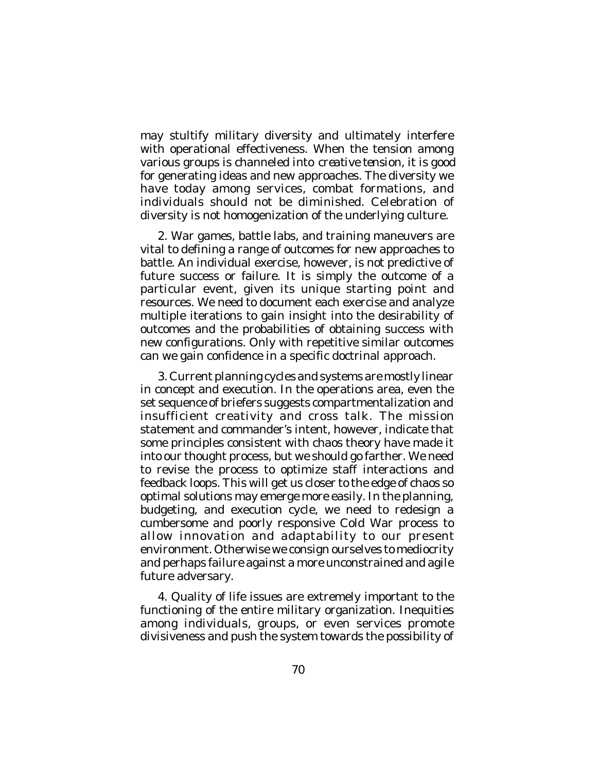may stultify military diversity and ultimately interfere with operational effectiveness. When the tension among various groups is channeled into *creative tension,* it is good for generating ideas and new approaches. The diversity we have today among services, combat formations, and individuals should not be diminished. Celebration of diversity is not homogenization of the underlying culture.

2. War games, battle labs, and training maneuvers are vital to defining a range of outcomes for new approaches to battle. An individual exercise, however, is not predictive of future success or failure. It is simply the outcome of a particular event, given its unique starting point and resources. We need to document each exercise and analyze multiple iterations to gain insight into the desirability of outcomes and the probabilities of obtaining success with new configurations. Only with repetitive similar outcomes can we gain confidence in a specific doctrinal approach.

3. Current planning cycles and systems are mostly linear in concept and execution. In the operations area, even the set sequence of briefers suggests compartmentalization and insufficient creativity and cross talk. The mission statement and commander's intent, however, indicate that some principles consistent with chaos theory have made it into our thought process, but we should go farther. We need to revise the process to optimize staff interactions and feedback loops. This will get us closer to the edge of chaos so optimal solutions may emerge more easily. In the planning, budgeting, and execution cycle, we need to redesign a cumbersome and poorly responsive Cold War process to allow innovation and adaptability to our present environment. Otherwise we consign ourselves to mediocrity and perhaps failure against a more unconstrained and agile future adversary.

4. Quality of life issues are extremely important to the functioning of the entire military organization. Inequities among individuals, groups, or even services promote divisiveness and push the system towards the possibility of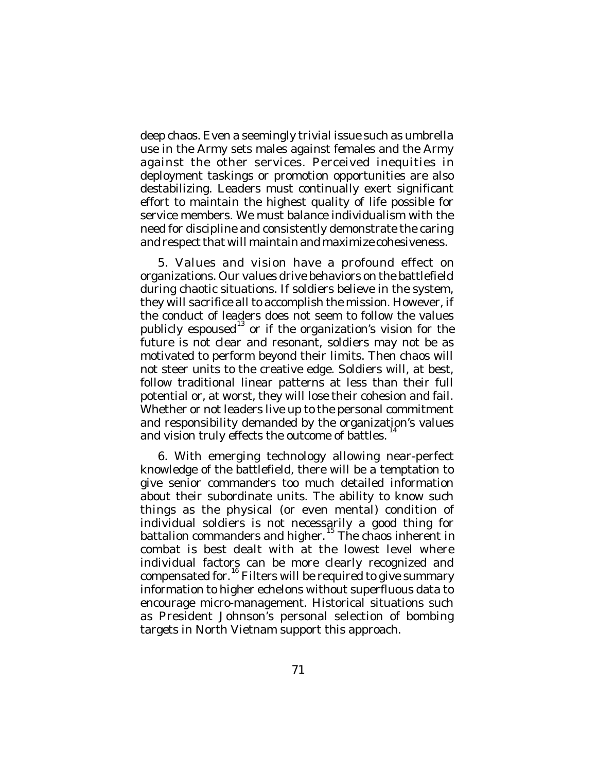deep chaos. Even a seemingly trivial issue such as umbrella use in the Army sets males against females and the Army against the other services. Perceived inequities in deployment taskings or promotion opportunities are also destabilizing. Leaders must continually exert significant effort to maintain the highest quality of life possible for service members. We must balance individualism with the need for discipline and consistently demonstrate the caring and respect that will maintain and maximize cohesiveness.

5. Values and vision have a profound effect on organizations. Our values drive behaviors on the battlefield during chaotic situations. If soldiers believe in the system, they will sacrifice all to accomplish the mission. However, if the conduct of leaders does not seem to follow the values publicly espoused<sup>13</sup> or if the organization's vision for the future is not clear and resonant, soldiers may not be as motivated to perform beyond their limits. Then chaos will not steer units to the creative edge. Soldiers will, at best, follow traditional linear patterns at less than their full potential or, at worst, they will lose their cohesion and fail. Whether or not leaders live up to the personal commitment and responsibility demanded by the organization's values 14 and vision truly effects the outcome of battles.

6. With emerging technology allowing near-perfect knowledge of the battlefield, there will be a temptation to give senior commanders too much detailed information about their subordinate units. The ability to know such things as the physical (or even mental) condition of individual soldiers is not necessarily a good thing for battalion commanders and higher.<sup>15</sup> The chaos inherent in combat is best dealt with at the lowest level where individual factors can be more clearly recognized and compensated for.<sup>16</sup> Filters will be required to give summary information to higher echelons without superfluous data to encourage micro-management. Historical situations such as President Johnson's personal selection of bombing targets in North Vietnam support this approach.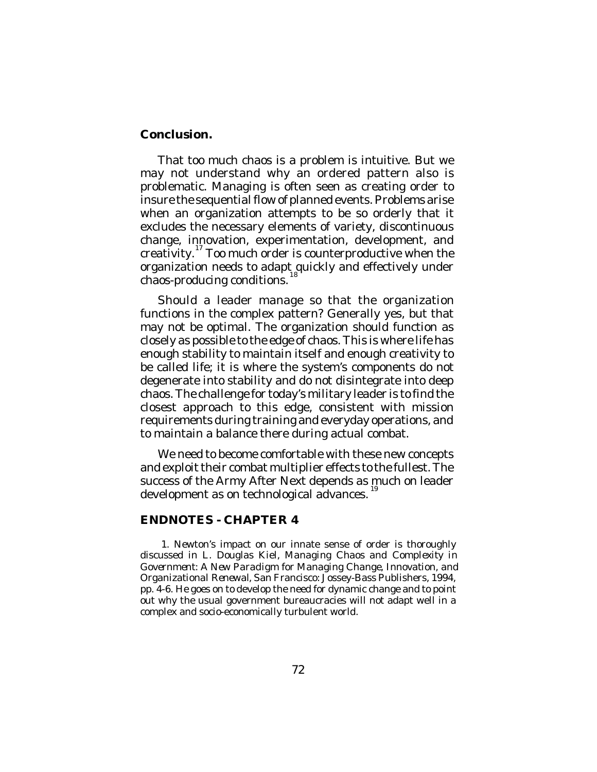## **Conclusion.**

That too much chaos is a problem is intuitive. But we may not understand why an ordered pattern also is problematic. Managing is often seen as creating order to insure the sequential flow of planned events. Problems arise when an organization attempts to be so orderly that it excludes the necessary elements of variety, discontinuous change, innovation, experimentation, development, and creativity. 17 Too much order is counterproductive when the organization needs to adapt quickly and effectively under chaos-producing conditions.

Should a leader manage so that the organization functions in the complex pattern? Generally yes, but that may not be optimal. The organization should function as closely as possible to the edge of chaos. This is where life has enough stability to maintain itself and enough creativity to be called life; it is where the system's components do not degenerate into stability and do not disintegrate into deep chaos. The challenge for today's military leader is to find the closest approach to this edge, consistent with mission requirements during training and everyday operations, and to maintain a balance there during actual combat.

We need to become comfortable with these new concepts and exploit their combat multiplier effects to the fullest. The success of the Army After Next depends as much on leader development as on technological advances.<sup>19</sup>

### **ENDNOTES - CHAPTER 4**

1. Newton's impact on our innate sense of order is thoroughly discussed in L. Douglas Kiel, *Managing Chaos and Complexity in Government: A New Paradigm for Managing Change, Innovation, and Organizational Renewal*, San Francisco: Jossey-Bass Publishers, 1994, pp. 4-6. He goes on to develop the need for dynamic change and to point out why the usual government bureaucracies will not adapt well in a complex and socio-economically turbulent world.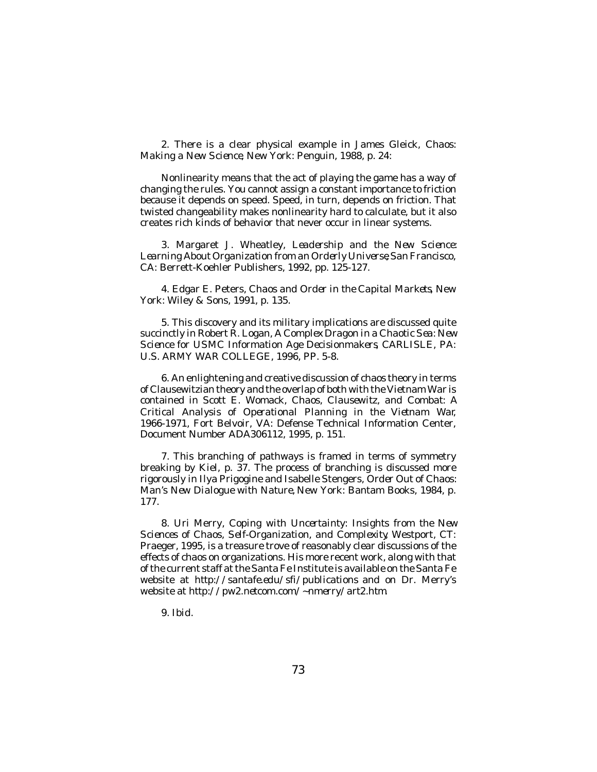2. There is a clear physical example in James Gleick, *Chaos: Making a New Science*, New York: Penguin, 1988, p. 24:

Nonlinearity means that the act of playing the game has a way of changing the rules. You cannot assign a constant importance to friction because it depends on speed. Speed, in turn, depends on friction. That twisted changeability makes nonlinearity hard to calculate, but it also creates rich kinds of behavior that never occur in linear systems.

3. Margaret J. Wheatley, *Leadership and the New Science: Learning About Organization from an Orderly Universe*, San Francisco, CA: Berrett-Koehler Publishers, 1992, pp. 125-127.

4. Edgar E. Peters, *Chaos and Order in the Capital Markets*, New York: Wiley & Sons, 1991, p. 135.

5. This discovery and its military implications are discussed quite succinctly in Robert R. Logan, *A Complex Dragon in a Chaotic Sea: New Science for USMC Information Age Decisionmakers*, CARLISLE, PA: U.S. ARMY WAR COLLEGE, 1996, PP. 5-8.

6. An enlightening and creative discussion of chaos theory in terms of Clausewitzian theory and the overlap of both with the Vietnam War is contained in Scott E. Womack, *Chaos, Clausewitz, and Combat: A Critical Analysis of Operational Planning in the Vietnam War*, 1966-1971, Fort Belvoir, VA: Defense Technical Information Center, Document Number ADA306112, 1995, p. 151.

7. This branching of pathways is framed in terms of symmetry breaking by Kiel, p. 37. The process of branching is discussed more rigorously in Ilya Prigogine and Isabelle Stengers, *Order Out of Chaos: Man's New Dialogue with Nature,* New York: Bantam Books, 1984, p. 177.

8. Uri Merry, *Coping with Uncertainty: Insights from the New Sciences of Chaos, Self-Organization, and Complexity*, Westport, CT: Praeger, 1995, is a treasure trove of reasonably clear discussions of the effects of chaos on organizations. His more recent work, along with that of the current staff at the Santa Fe Institute is available on the Santa Fe website at *http://santafe.edu/sfi/publications* and on Dr. Merry's website at *http://pw2.netcom.com/~nmerry/art2.htm*.

9. *Ibid*.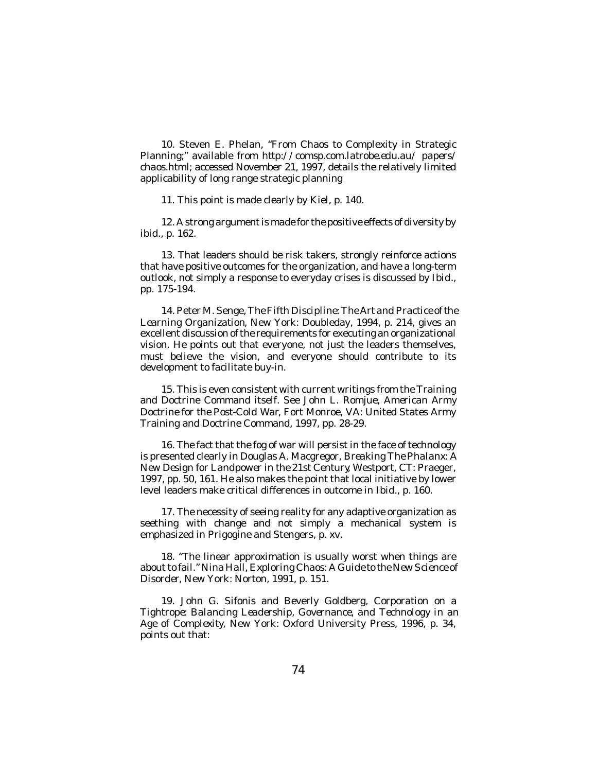10. Steven E. Phelan, "From Chaos to Complexity in Strategic Planning;" available from *http://comsp.com.latrobe.edu.au/ papers/ chaos.html*; accessed November 21, 1997, details the relatively limited applicability of long range strategic planning

11. This point is made clearly by Kiel, p. 140.

12. A strong argument is made for the positive effects of diversity by *ibid*., p. 162.

13. That leaders should be risk takers, strongly reinforce actions that have positive outcomes for the organization, and have a long-term outlook, not simply a response to everyday crises is discussed by *Ibid., pp. 175-194.*

14. Peter M. Senge,*The Fifth Discipline: The Art and Practice of the Learning Organization*, New York: Doubleday, 1994, p. 214, gives an excellent discussion of the requirements for executing an organizational vision. He points out that everyone, not just the leaders themselves, must believe the vision, and everyone should contribute to its development to facilitate buy-in.

15. This is even consistent with current writings from the Training and Doctrine Command itself. See John L. Romjue, *American Army Doctrine for the Post-Cold War*, Fort Monroe, VA: United States Army Training and Doctrine Command, 1997, pp. 28-29.

16. The fact that the fog of war will persist in the face of technology is presented clearly in Douglas A. Macgregor, *Breaking The Phalanx: A New Design for Landpower in the 21st Century*, Westport, CT: Praeger, 1997, pp. 50, 161. He also makes the point that local initiative by lower level leaders make critical differences in outcome in *Ibid*., p. 160.

17. The necessity of seeing reality for any adaptive organization as seething with change and not simply a mechanical system is emphasized in Prigogine and Stengers, p. xv.

18. "The linear approximation is usually worst when things are about to fail." Nina Hall, *Exploring Chaos: A Guide to the New Science of Disorder*, New York: Norton, 1991, p. 151.

19. John G. Sifonis and Beverly Goldberg, *Corporation on a Tightrope: Balancing Leadership, Governance, and Technology in an Age of Complexity*, New York: Oxford University Press, 1996, p. 34, points out that: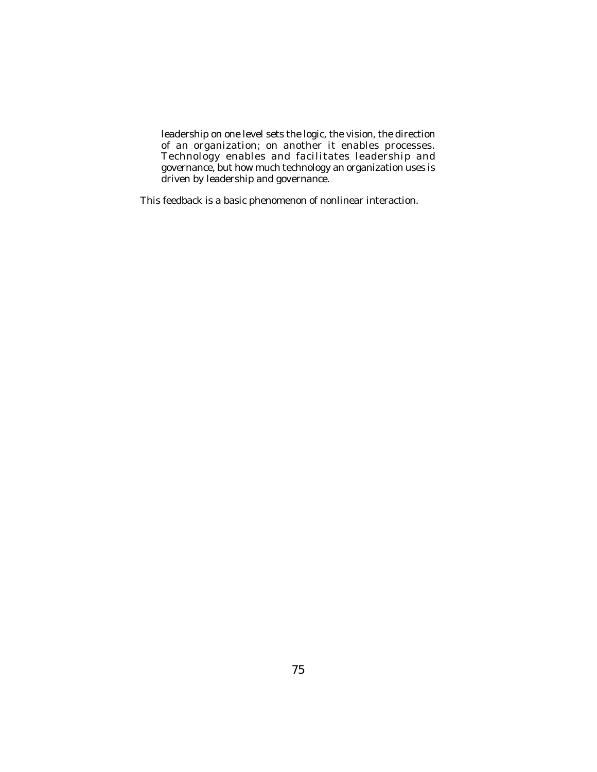leadership on one level sets the logic, the vision, the direction of an organization; on another it enables processes. Technology enables and facilitates leadership and governance, but how much technology an organization uses is driven by leadership and governance.

This feedback is a basic phenomenon of nonlinear interaction.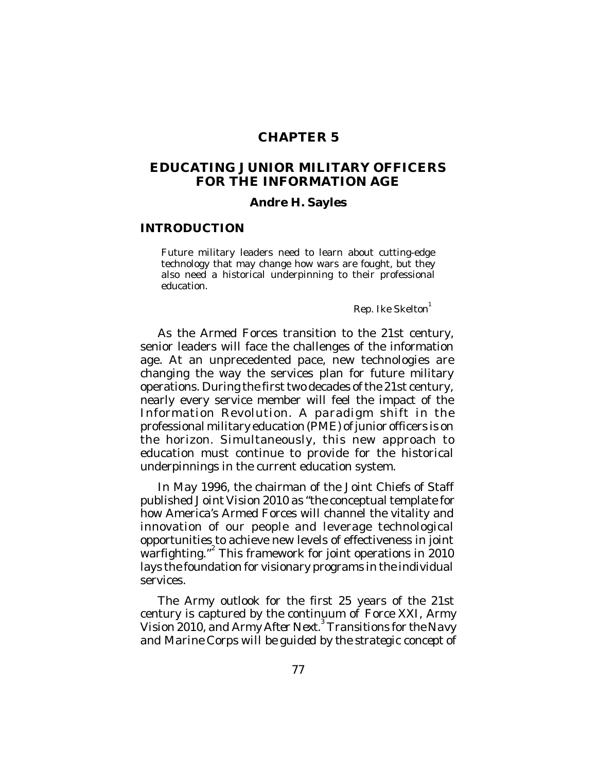# **CHAPTER 5**

# **EDUCATING JUNIOR MILITARY OFFICERS FOR THE INFORMATION AGE**

#### **Andre H. Sayles**

#### **INTRODUCTION**

Future military leaders need to learn about cutting-edge technology that may change how wars are fought, but they also need a historical underpinning to their professional education.

Rep. Ike Skelton 1

As the Armed Forces transition to the 21st century, senior leaders will face the challenges of the information age. At an unprecedented pace, new technologies are changing the way the services plan for future military operations. During the first two decades of the 21st century, nearly every service member will feel the impact of the Information Revolution. A paradigm shift in the professional military education (PME) of junior officers is on the horizon. Simultaneously, this new approach to education must continue to provide for the historical underpinnings in the current education system.

In May 1996, the chairman of the Joint Chiefs of Staff published *Joint Vision 2010* as "the conceptual template for how America's Armed Forces will channel the vitality and innovation of our people and leverage technological opportunities to achieve new levels of effectiveness in joint warfighting."<sup>2</sup> This framework for joint operations in 2010 lays the foundation for visionary programs in the individual services.

The Army outlook for the first 25 years of the 21st century is captured by the continuum of *Force XXI, Army Vision 2010, and Army After Next.* 3  *Transitions for the Navy and Marine Corps will be guided by the strategic concept of*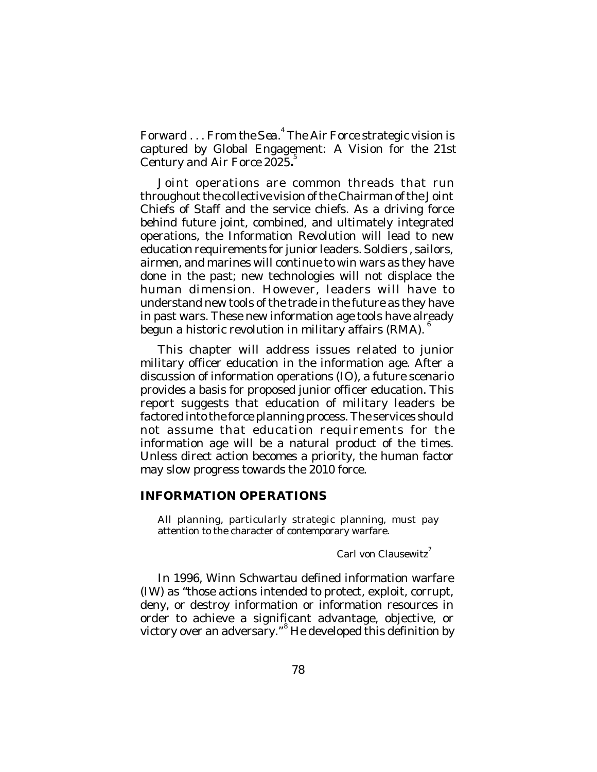*Forward . . . From the Sea*. 4 The Air Force strategic vision is captured by Global Engagement: *A Vision for the 21st Century and Air Force 2025***.** 5

Joint operations are common threads that run throughout the collective vision of the Chairman of the Joint Chiefs of Staff and the service chiefs. As a driving force behind future joint, combined, and ultimately integrated operations, the Information Revolution will lead to new education requirements for junior leaders. Soldiers , sailors, airmen, and marines will continue to win wars as they have done in the past; new technologies will not displace the human dimension. However, leaders will have to understand new tools of the trade in the future as they have in past wars. These new information age tools have already begun a historic revolution in military affairs (RMA).  $^6$ 

This chapter will address issues related to junior military officer education in the information age. After a discussion of information operations (IO), a future scenario provides a basis for proposed junior officer education. This report suggests that education of military leaders be factored into the force planning process. The services should not assume that education requirements for the information age will be a natural product of the times. Unless direct action becomes a priority, the human factor may slow progress towards the 2010 force.

### **INFORMATION OPERATIONS**

All planning, particularly strategic planning, must pay attention to the character of contemporary warfare.

Carl von Clausewitz<sup>7</sup>

In 1996, Winn Schwartau defined information warfare (IW) as "those actions intended to protect, exploit, corrupt, deny, or destroy information or information resources in order to achieve a significant advantage, objective, or victory over an adversary." <sup>8</sup> He developed this definition by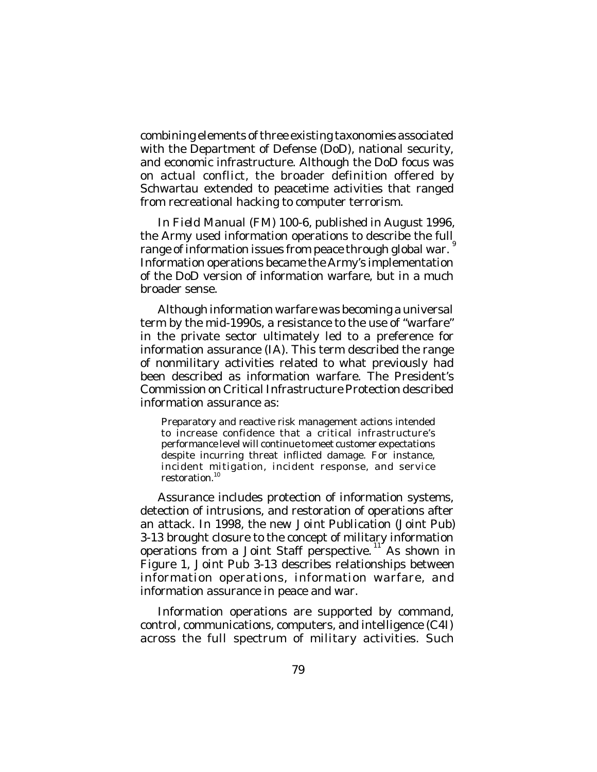combining elements of three existing taxonomies associated with the Department of Defense (DoD), national security, and economic infrastructure. Although the DoD focus was on actual conflict, the broader definition offered by Schwartau extended to peacetime activities that ranged from recreational hacking to computer terrorism.

In *Field Manual (FM) 100-6,* published in August 1996, the Army used information operations to describe the full range of information issues from peace through global war.  $\degree$ Information operations became the Army's implementation of the DoD version of information warfare, but in a much broader sense.

Although information warfare was becoming a universal term by the mid-1990s, a resistance to the use of "warfare" in the private sector ultimately led to a preference for information assurance (IA). This term described the range of nonmilitary activities related to what previously had been described as information warfare. The President's Commission on Critical Infrastructure Protection described information assurance as:

Preparatory and reactive risk management actions intended to increase confidence that a critical infrastructure's performance level will continue to meet customer expectations despite incurring threat inflicted damage. For instance, incident mitigation, incident response, and service restoration. 10

Assurance includes protection of information systems, detection of intrusions, and restoration of operations after an attack. In 1998, the new *Joint Publication* (Joint Pub) 3-13 brought closure to the concept of military information operations from a Joint Staff perspective.<sup>11</sup> As shown in Figure 1, *Joint Pub* 3-13 describes relationships between information operations, information warfare, and information assurance in peace and war.

Information operations are supported by command, control, communications, computers, and intelligence (C4I) across the full spectrum of military activities. Such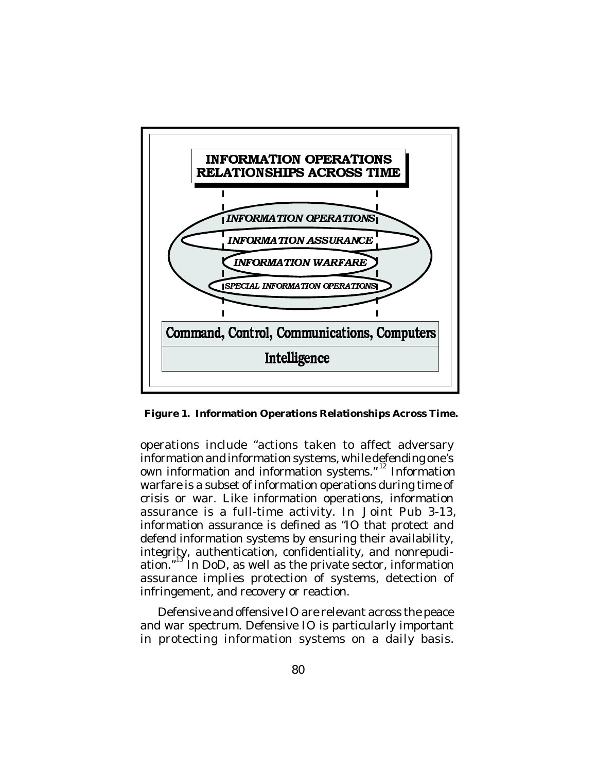

**Figure 1. Information Operations Relationships Across Time.**

operations include "actions taken to affect adversary information and information systems, while defending one's own information and information systems."<sup>12</sup> Information warfare is a subset of information operations during time of crisis or war. Like information operations, information assurance is a full-time activity. In *Joint Pub 3-13,* information assurance is defined as "IO that protect and defend information systems by ensuring their availability, integrity, authentication, confidentiality, and nonrepudiation."<sup>13</sup> In DoD, as well as the private sector, information assurance implies protection of systems, detection of infringement, and recovery or reaction.

Defensive and offensive IO are relevant across the peace and war spectrum. Defensive IO is particularly important in protecting information systems on a daily basis.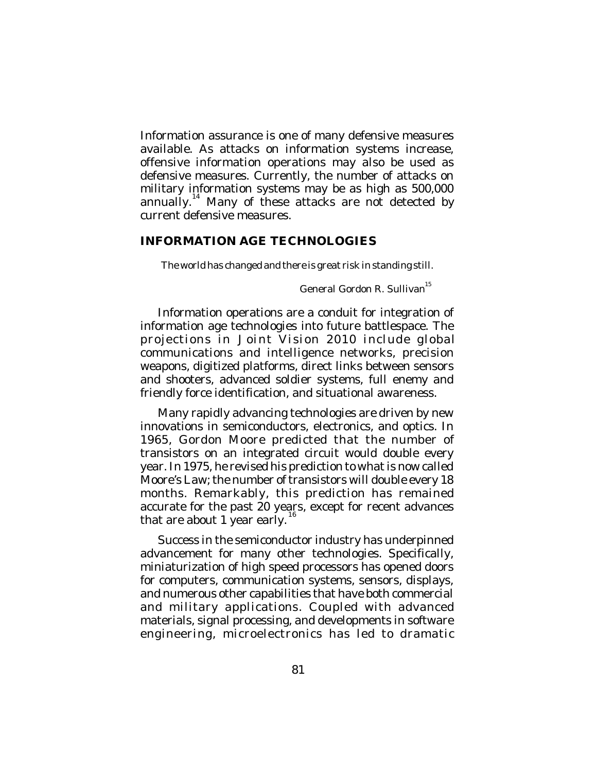Information assurance is one of many defensive measures available. As attacks on information systems increase, offensive information operations may also be used as defensive measures. Currently, the number of attacks on military information systems may be as high as 500,000 annually. 14 Many of these attacks are not detected by current defensive measures.

### **INFORMATION AGE TECHNOLOGIES**

The world has changed and there is great risk in standing still.

General Gordon R. Sullivan<sup>15</sup>

Information operations are a conduit for integration of information age technologies into future battlespace. The projections in *Joint Vision* 2010 include global communications and intelligence networks, precision weapons, digitized platforms, direct links between sensors and shooters, advanced soldier systems, full enemy and friendly force identification, and situational awareness.

Many rapidly advancing technologies are driven by new innovations in semiconductors, electronics, and optics. In 1965, Gordon Moore predicted that the number of transistors on an integrated circuit would double every year. In 1975, he revised his prediction to what is now called Moore's Law; the number of transistors will double every 18 months. Remarkably, this prediction has remained accurate for the past 20 years, except for recent advances that are about 1 year early.

Success in the semiconductor industry has underpinned advancement for many other technologies. Specifically, miniaturization of high speed processors has opened doors for computers, communication systems, sensors, displays, and numerous other capabilities that have both commercial and military applications. Coupled with advanced materials, signal processing, and developments in software engineering, microelectronics has led to dramatic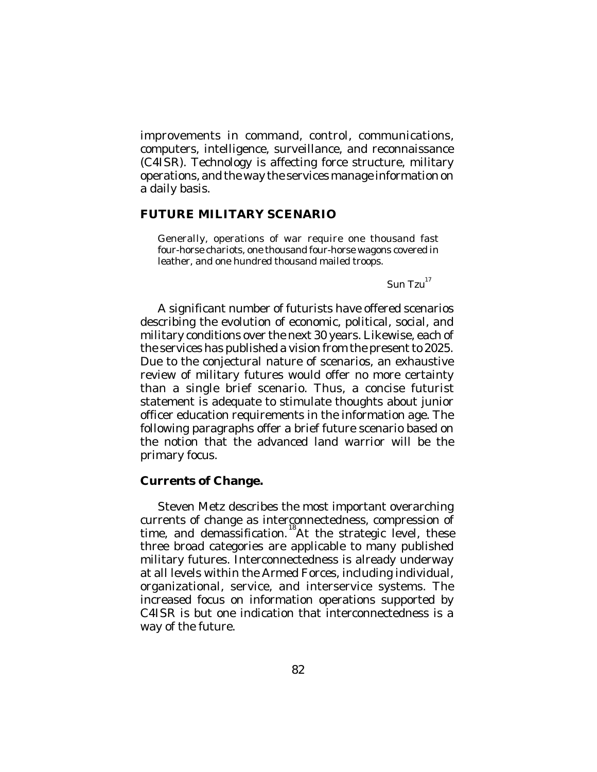improvements in command, control, communications, computers, intelligence, surveillance, and reconnaissance (C4ISR). Technology is affecting force structure, military operations, and the way the services manage information on a daily basis.

### **FUTURE MILITARY SCENARIO**

Generally, operations of war require one thousand fast four-horse chariots, one thousand four-horse wagons covered in leather, and one hundred thousand mailed troops.

 $\mathsf{Sun}$  Tzu $^{^{17}}$ 

A significant number of futurists have offered scenarios describing the evolution of economic, political, social, and military conditions over the next 30 years. Likewise, each of the services has published a vision from the present to 2025. Due to the conjectural nature of scenarios, an exhaustive review of military futures would offer no more certainty than a single brief scenario. Thus, a concise futurist statement is adequate to stimulate thoughts about junior officer education requirements in the information age. The following paragraphs offer a brief future scenario based on the notion that the advanced land warrior will be the primary focus.

### **Currents of Change.**

Steven Metz describes the most important overarching currents of change as interconnectedness, compression of time, and demassification.<sup>18</sup>At the strategic level, these three broad categories are applicable to many published military futures. Interconnectedness is already underway at all levels within the Armed Forces, including individual, organizational, service, and interservice systems. The increased focus on information operations supported by C4ISR is but one indication that interconnectedness is a way of the future.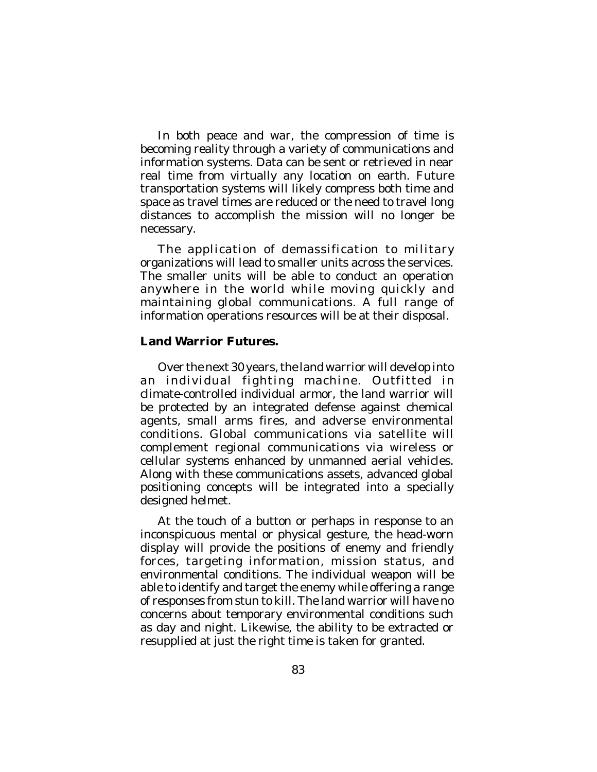In both peace and war, the compression of time is becoming reality through a variety of communications and information systems. Data can be sent or retrieved in near real time from virtually any location on earth. Future transportation systems will likely compress both time and space as travel times are reduced or the need to travel long distances to accomplish the mission will no longer be necessary.

The application of demassification to military organizations will lead to smaller units across the services. The smaller units will be able to conduct an operation anywhere in the world while moving quickly and maintaining global communications. A full range of information operations resources will be at their disposal.

### **Land Warrior Futures.**

Over the next 30 years, the land warrior will develop into an individual fighting machine. Outfitted in climate-controlled individual armor, the land warrior will be protected by an integrated defense against chemical agents, small arms fires, and adverse environmental conditions. Global communications via satellite will complement regional communications via wireless or cellular systems enhanced by unmanned aerial vehicles. Along with these communications assets, advanced global positioning concepts will be integrated into a specially designed helmet.

At the touch of a button or perhaps in response to an inconspicuous mental or physical gesture, the head-worn display will provide the positions of enemy and friendly forces, targeting information, mission status, and environmental conditions. The individual weapon will be able to identify and target the enemy while offering a range of responses from stun to kill. The land warrior will have no concerns about temporary environmental conditions such as day and night. Likewise, the ability to be extracted or resupplied at just the right time is taken for granted.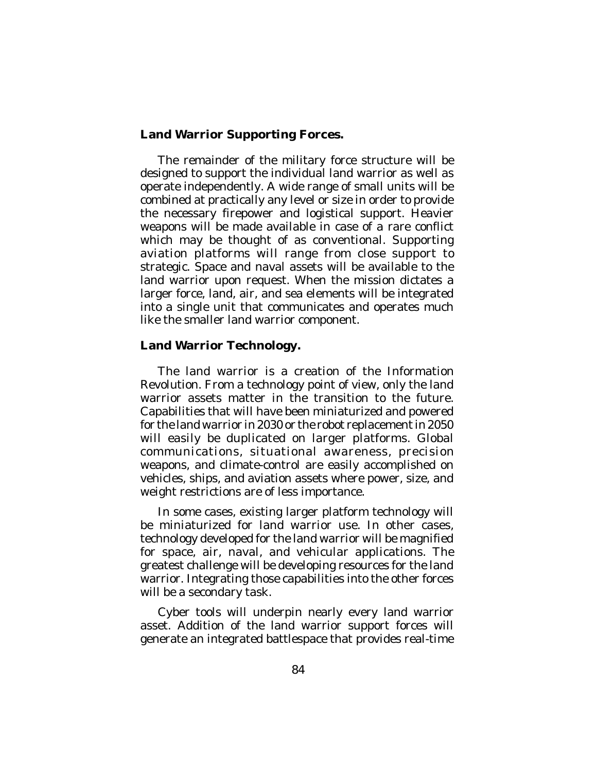## **Land Warrior Supporting Forces.**

The remainder of the military force structure will be designed to support the individual land warrior as well as operate independently. A wide range of small units will be combined at practically any level or size in order to provide the necessary firepower and logistical support. Heavier weapons will be made available in case of a rare conflict which may be thought of as conventional. Supporting aviation platforms will range from close support to strategic. Space and naval assets will be available to the land warrior upon request. When the mission dictates a larger force, land, air, and sea elements will be integrated into a single unit that communicates and operates much like the smaller land warrior component.

# **Land Warrior Technology.**

The land warrior is a creation of the Information Revolution. From a technology point of view, only the land warrior assets matter in the transition to the future. Capabilities that will have been miniaturized and powered for the land warrior in 2030 or the robot replacement in 2050 will easily be duplicated on larger platforms. Global communications, situational awareness, precision weapons, and climate-control are easily accomplished on vehicles, ships, and aviation assets where power, size, and weight restrictions are of less importance.

In some cases, existing larger platform technology will be miniaturized for land warrior use. In other cases, technology developed for the land warrior will be magnified for space, air, naval, and vehicular applications. The greatest challenge will be developing resources for the land warrior. Integrating those capabilities into the other forces will be a secondary task.

Cyber tools will underpin nearly every land warrior asset. Addition of the land warrior support forces will generate an integrated battlespace that provides real-time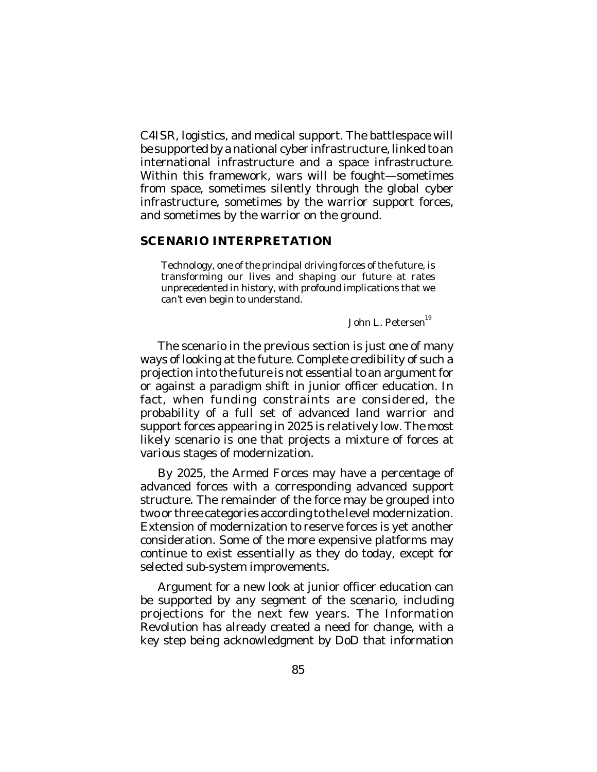C4ISR, logistics, and medical support. The battlespace will be supported by a national cyber infrastructure, linked to an international infrastructure and a space infrastructure. Within this framework, wars will be fought—sometimes from space, sometimes silently through the global cyber infrastructure, sometimes by the warrior support forces, and sometimes by the warrior on the ground.

### **SCENARIO INTERPRETATION**

Technology, one of the principal driving forces of the future, is transforming our lives and shaping our future at rates unprecedented in history, with profound implications that we can't even begin to understand.

John L. Petersen<sup>19</sup>

The scenario in the previous section is just one of many ways of looking at the future. Complete credibility of such a projection into the future is not essential to an argument for or against a paradigm shift in junior officer education. In fact, when funding constraints are considered, the probability of a full set of advanced land warrior and support forces appearing in 2025 is relatively low. The most likely scenario is one that projects a mixture of forces at various stages of modernization.

By 2025, the Armed Forces may have a percentage of advanced forces with a corresponding advanced support structure. The remainder of the force may be grouped into two or three categories according to the level modernization. Extension of modernization to reserve forces is yet another consideration. Some of the more expensive platforms may continue to exist essentially as they do today, except for selected sub-system improvements.

Argument for a new look at junior officer education can be supported by any segment of the scenario, including projections for the next few years. The Information Revolution has already created a need for change, with a key step being acknowledgment by DoD that information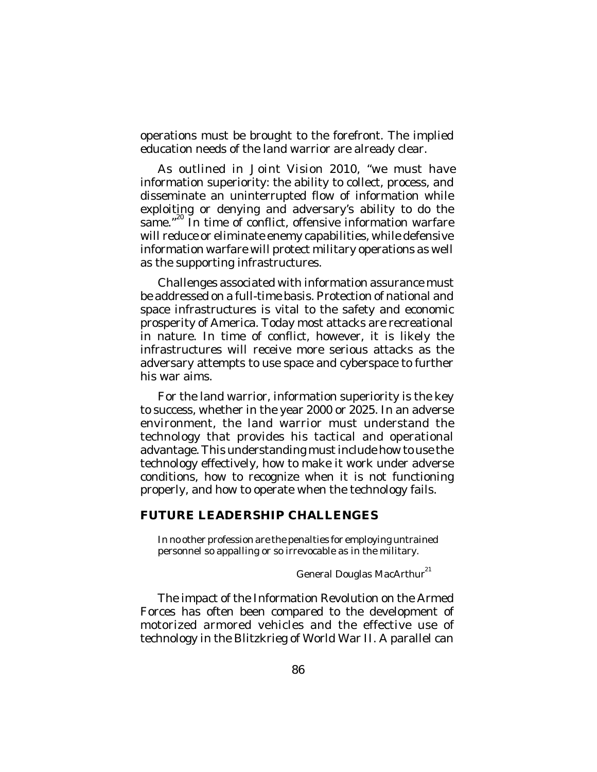operations must be brought to the forefront. The implied education needs of the land warrior are already clear.

As outlined in *Joint Vision 2010*, "we must have information superiority: the ability to collect, process, and disseminate an uninterrupted flow of information while exploiting or denying and adversary's ability to do the same."<sup>20</sup> In time of conflict, offensive information warfare will reduce or eliminate enemy capabilities, while defensive information warfare will protect military operations as well as the supporting infrastructures.

Challenges associated with information assurance must be addressed on a full-time basis. Protection of national and space infrastructures is vital to the safety and economic prosperity of America. Today most attacks are recreational in nature. In time of conflict, however, it is likely the infrastructures will receive more serious attacks as the adversary attempts to use space and cyberspace to further his war aims.

For the land warrior, information superiority is the key to success, whether in the year 2000 or 2025. In an adverse environment, the land warrior must understand the technology that provides his tactical and operational advantage. This understanding must include how to use the technology effectively, how to make it work under adverse conditions, how to recognize when it is not functioning properly, and how to operate when the technology fails.

### **FUTURE LEADERSHIP CHALLENGES**

In no other profession are the penalties for employing untrained personnel so appalling or so irrevocable as in the military.

General Douglas MacArthur<sup>21</sup>

The impact of the Information Revolution on the Armed Forces has often been compared to the development of motorized armored vehicles and the effective use of technology in the Blitzkrieg of World War II. A parallel can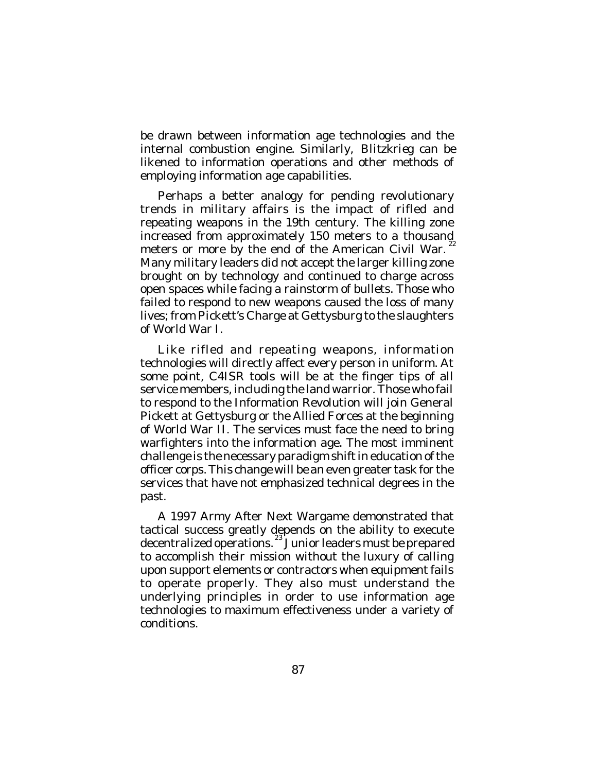be drawn between information age technologies and the internal combustion engine. Similarly, *Blitzkrieg* can be likened to information operations and other methods of employing information age capabilities.

Perhaps a better analogy for pending revolutionary trends in military affairs is the impact of rifled and repeating weapons in the 19th century. The killing zone increased from approximately 150 meters to a thousand meters or more by the end of the American Civil War.<sup>22</sup> Many military leaders did not accept the larger killing zone brought on by technology and continued to charge across open spaces while facing a rainstorm of bullets. Those who failed to respond to new weapons caused the loss of many lives; from Pickett's Charge at Gettysburg to the slaughters of World War I.

Like rifled and repeating weapons, information technologies will directly affect every person in uniform. At some point, C4ISR tools will be at the finger tips of all service members, including the land warrior. Those who fail to respond to the Information Revolution will join General Pickett at Gettysburg or the Allied Forces at the beginning of World War II. The services must face the need to bring warfighters into the information age. The most imminent challenge is the necessary paradigm shift in education of the officer corps. This change will be an even greater task for the services that have not emphasized technical degrees in the past.

A 1997 Army After Next Wargame demonstrated that tactical success greatly depends on the ability to execute decentralized operations.<sup>23</sup> Junior leaders must be prepared to accomplish their mission without the luxury of calling upon support elements or contractors when equipment fails to operate properly. They also must understand the underlying principles in order to use information age technologies to maximum effectiveness under a variety of conditions.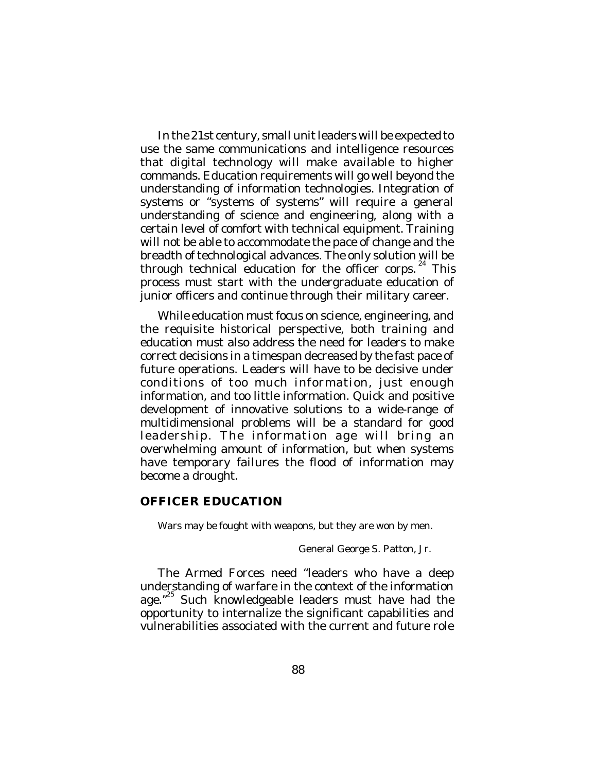In the 21st century, small unit leaders will be expected to use the same communications and intelligence resources that digital technology will make available to higher commands. Education requirements will go well beyond the understanding of information technologies. Integration of systems or "systems of systems" will require a general understanding of science and engineering, along with a certain level of comfort with technical equipment. Training will not be able to accommodate the pace of change and the breadth of technological advances. The only solution will be through technical education for the officer corps.<sup>24</sup> This process must start with the undergraduate education of junior officers and continue through their military career.

While education must focus on science, engineering, and the requisite historical perspective, both training and education must also address the need for leaders to make correct decisions in a timespan decreased by the fast pace of future operations. Leaders will have to be decisive under conditions of too much information, just enough information, and too little information. Quick and positive development of innovative solutions to a wide-range of multidimensional problems will be a standard for good leadership. The information age will bring an overwhelming amount of information, but when systems have temporary failures the flood of information may become a drought.

## **OFFICER EDUCATION**

Wars may be fought with weapons, but they are won by men.

General George S. Patton, Jr.

The Armed Forces need "leaders who have a deep understanding of warfare in the context of the information age."<sup>25</sup> Such knowledgeable leaders must have had the opportunity to internalize the significant capabilities and vulnerabilities associated with the current and future role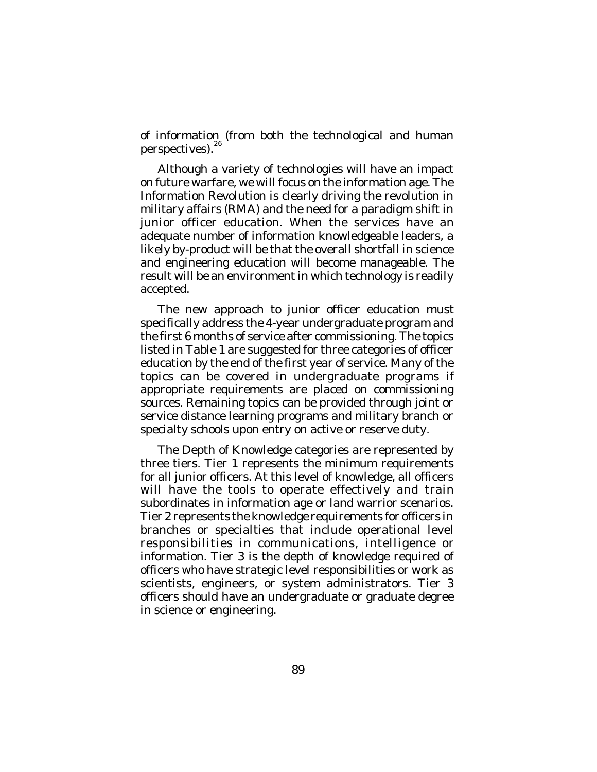of information (from both the technological and human perspectives).<sup>26</sup>

Although a variety of technologies will have an impact on future warfare, we will focus on the information age. The Information Revolution is clearly driving the revolution in military affairs (RMA) and the need for a paradigm shift in junior officer education. When the services have an adequate number of information knowledgeable leaders, a likely by-product will be that the overall shortfall in science and engineering education will become manageable. The result will be an environment in which technology is readily accepted.

The new approach to junior officer education must specifically address the 4-year undergraduate program and the first 6 months of service after commissioning. The topics listed in Table 1 are suggested for three categories of officer education by the end of the first year of service. Many of the topics can be covered in undergraduate programs if appropriate requirements are placed on commissioning sources. Remaining topics can be provided through joint or service distance learning programs and military branch or specialty schools upon entry on active or reserve duty.

The Depth of Knowledge categories are represented by three tiers. Tier 1 represents the minimum requirements for all junior officers. At this level of knowledge, all officers will have the tools to operate effectively and train subordinates in information age or land warrior scenarios. Tier 2 represents the knowledge requirements for officers in branches or specialties that include operational level responsibilities in communications, intelligence or information. Tier 3 is the depth of knowledge required of officers who have strategic level responsibilities or work as scientists, engineers, or system administrators. Tier 3 officers should have an undergraduate or graduate degree in science or engineering.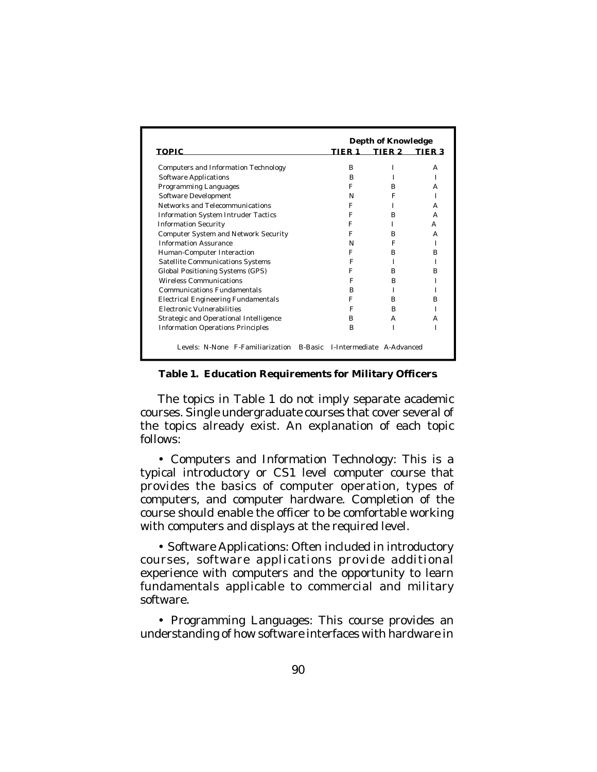|                                             | Depth of Knowledge |                                   |        |        |
|---------------------------------------------|--------------------|-----------------------------------|--------|--------|
| <b>TOPIC</b>                                |                    | TIER 1                            | TIER 2 | TIER 3 |
| Computers and Information Technology        |                    | R                                 |        | A      |
| Software Applications                       |                    | R                                 |        |        |
| Programming Languages                       |                    | F                                 | R      | А      |
| Software Development                        |                    | N                                 | F      |        |
| Networks and Telecommunications             |                    | F                                 |        | А      |
| <b>Information System Intruder Tactics</b>  |                    | F                                 | R      | А      |
| <b>Information Security</b>                 |                    | F                                 |        | А      |
| <b>Computer System and Network Security</b> |                    | F                                 | R      | А      |
| <b>Information Assurance</b>                |                    | N                                 | F      |        |
| Human-Computer Interaction                  |                    | F                                 | R      | R      |
| Satellite Communications Systems            |                    | F                                 |        |        |
| Global Positioning Systems (GPS)            |                    | F                                 | R      | R      |
| <b>Wireless Communications</b>              |                    | F                                 | R      |        |
| Communications Fundamentals                 |                    | R                                 |        |        |
| <b>Electrical Engineering Fundamentals</b>  |                    | F                                 | R      | R      |
| <b>Electronic Vulnerabilities</b>           |                    | F                                 | R      |        |
| Strategic and Operational Intelligence      |                    | B                                 | А      | А      |
| <b>Information Operations Principles</b>    |                    | в                                 |        |        |
| Levels: N-None F-Familiarization            |                    | B-Basic L-Intermediate A-Advanced |        |        |

#### **Table 1. Education Requirements for Military Officers.**

The topics in Table 1 do not imply separate academic courses. Single undergraduate courses that cover several of the topics already exist. An explanation of each topic follows:

• Computers and Information Technology: This is a typical introductory or CS1 level computer course that provides the basics of computer operation, types of computers, and computer hardware. Completion of the course should enable the officer to be comfortable working with computers and displays at the required level.

• Software Applications: Often included in introductory courses, software applications provide additional experience with computers and the opportunity to learn fundamentals applicable to commercial and military software.

• Programming Languages: This course provides an understanding of how software interfaces with hardware in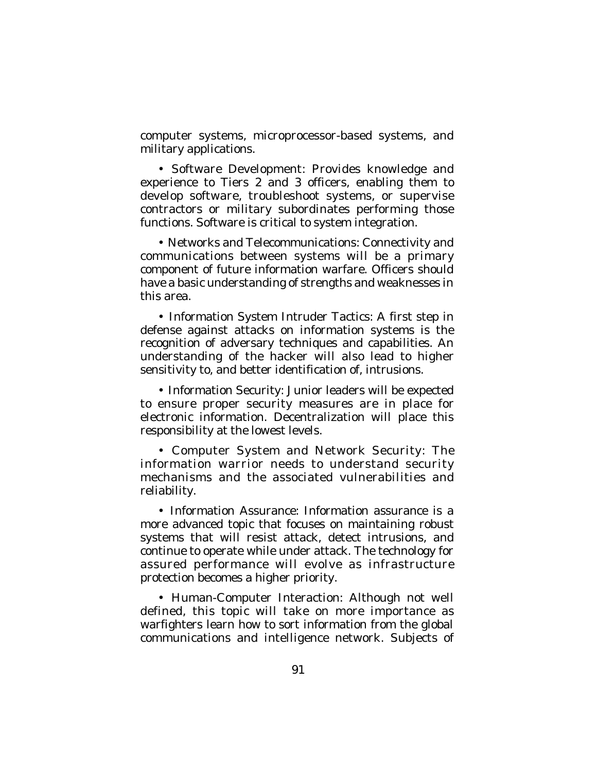computer systems, microprocessor-based systems, and military applications.

• Software Development: Provides knowledge and experience to Tiers 2 and 3 officers, enabling them to develop software, troubleshoot systems, or supervise contractors or military subordinates performing those functions. Software is critical to system integration.

• Networks and Telecommunications: Connectivity and communications between systems will be a primary component of future information warfare. Officers should have a basic understanding of strengths and weaknesses in this area.

• Information System Intruder Tactics: A first step in defense against attacks on information systems is the recognition of adversary techniques and capabilities. An understanding of the hacker will also lead to higher sensitivity to, and better identification of, intrusions.

• Information Security: Junior leaders will be expected to ensure proper security measures are in place for electronic information. Decentralization will place this responsibility at the lowest levels.

• Computer System and Network Security: The information warrior needs to understand security mechanisms and the associated vulnerabilities and reliability.

• Information Assurance: Information assurance is a more advanced topic that focuses on maintaining robust systems that will resist attack, detect intrusions, and continue to operate while under attack. The technology for assured performance will evolve as infrastructure protection becomes a higher priority.

• Human-Computer Interaction: Although not well defined, this topic will take on more importance as warfighters learn how to sort information from the global communications and intelligence network. Subjects of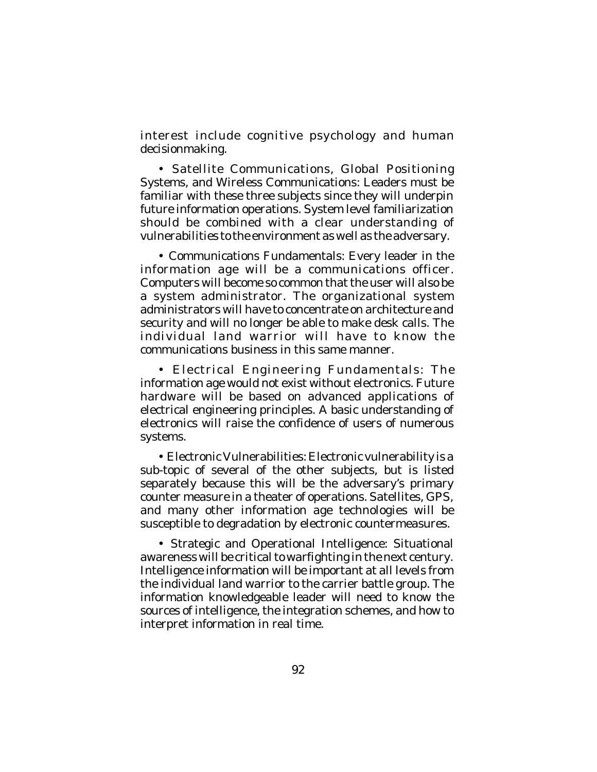interest include cognitive psychology and human decisionmaking.

• Satellite Communications, Global Positioning Systems, and Wireless Communications: Leaders must be familiar with these three subjects since they will underpin future information operations. System level familiarization should be combined with a clear understanding of vulnerabilities to the environment as well as the adversary.

• Communications Fundamentals: Every leader in the information age will be a communications officer. Computers will become so common that the user will also be a system administrator. The organizational system administrators will have to concentrate on architecture and security and will no longer be able to make desk calls. The individual land warrior will have to know the communications business in this same manner.

• Electrical Engineering Fundamentals: The information age would not exist without electronics. Future hardware will be based on advanced applications of electrical engineering principles. A basic understanding of electronics will raise the confidence of users of numerous systems.

• Electronic Vulnerabilities: Electronic vulnerability is a sub-topic of several of the other subjects, but is listed separately because this will be the adversary's primary counter measure in a theater of operations. Satellites, GPS, and many other information age technologies will be susceptible to degradation by electronic countermeasures.

• Strategic and Operational Intelligence: Situational awareness will be critical to warfighting in the next century. Intelligence information will be important at all levels from the individual land warrior to the carrier battle group. The information knowledgeable leader will need to know the sources of intelligence, the integration schemes, and how to interpret information in real time.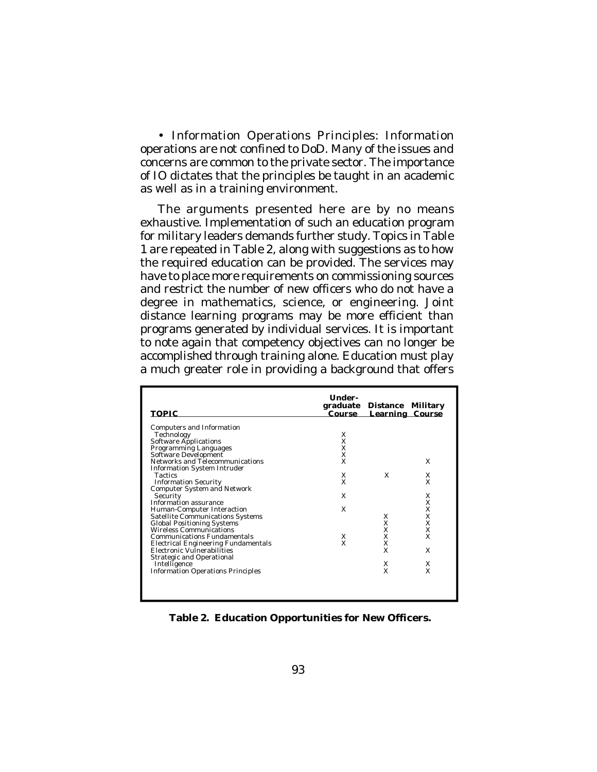• Information Operations Principles: Information operations are not confined to DoD. Many of the issues and concerns are common to the private sector. The importance of IO dictates that the principles be taught in an academic as well as in a training environment.

The arguments presented here are by no means exhaustive. Implementation of such an education program for military leaders demands further study. Topics in Table 1 are repeated in Table 2, along with suggestions as to how the required education can be provided. The services may have to place more requirements on commissioning sources and restrict the number of new officers who do not have a degree in mathematics, science, or engineering. Joint distance learning programs may be more efficient than programs generated by individual services. It is important to note again that competency objectives can no longer be accomplished through training alone. Education must play a much greater role in providing a background that offers

| <b>TOPIC</b>                                                                                                                                                                                                                                                                                                                                                                                                                                                                                                                                                                                                                                                 | Under-<br>graduate<br>Course                                               | Distance Military<br><b>Learning Course</b>                      |                                                               |
|--------------------------------------------------------------------------------------------------------------------------------------------------------------------------------------------------------------------------------------------------------------------------------------------------------------------------------------------------------------------------------------------------------------------------------------------------------------------------------------------------------------------------------------------------------------------------------------------------------------------------------------------------------------|----------------------------------------------------------------------------|------------------------------------------------------------------|---------------------------------------------------------------|
| Computers and Information<br>Technology<br>Software Applications<br>Programming Languages<br>Software Development<br>Networks and Telecommunications<br>Information System Intruder<br>Tactics<br><b>Information Security</b><br><b>Computer System and Network</b><br>Security<br>Information assurance<br>Human-Computer Interaction<br>Satellite Communications Systems<br><b>Global Positioning Systems</b><br>Wireless Communications<br><b>Communications Fundamentals</b><br><b>Electrical Engineering Fundamentals</b><br>Electronic Vulnerabilities<br><b>Strategic and Operational</b><br>Intelligence<br><b>Information Operations Principles</b> | Х<br>X<br>$_{\rm X}^{\rm X}$<br>$\mathsf{x}$<br>X<br>X<br>X<br>X<br>Х<br>X | X<br>X<br>X<br>$_{\rm X}^{\rm X}$<br>X<br>$\mathsf{x}$<br>Х<br>X | X<br>Х<br>X<br>X<br>Χ<br>X<br>X<br>X<br>X<br>X<br>X<br>Х<br>X |

**Table 2. Education Opportunities for New Officers.**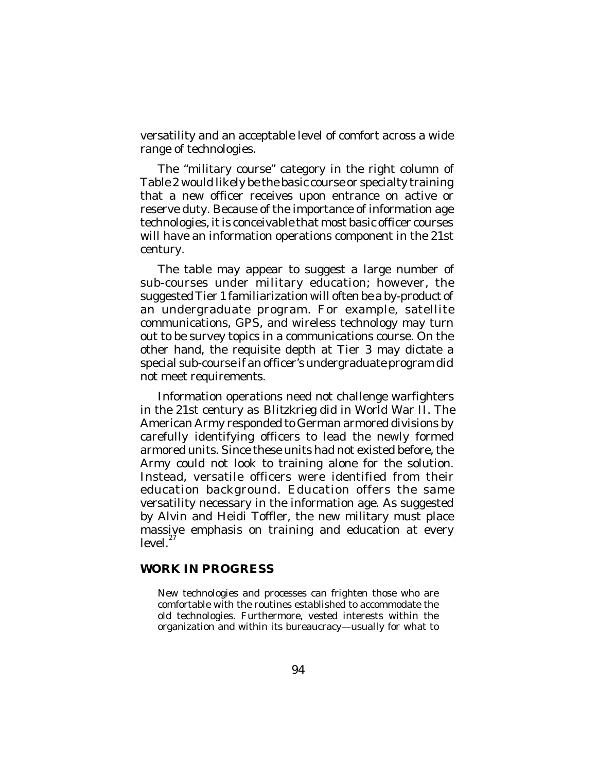versatility and an acceptable level of comfort across a wide range of technologies.

The "military course" category in the right column of Table 2 would likely be the basic course or specialty training that a new officer receives upon entrance on active or reserve duty. Because of the importance of information age technologies, it is conceivable that most basic officer courses will have an information operations component in the 21st century.

The table may appear to suggest a large number of sub-courses under military education; however, the suggested Tier 1 familiarization will often be a by-product of an undergraduate program. For example, satellite communications, GPS, and wireless technology may turn out to be survey topics in a communications course. On the other hand, the requisite depth at Tier 3 may dictate a special sub-course if an officer's undergraduate program did not meet requirements.

Information operations need not challenge warfighters in the 21st century as *Blitzkrieg* did in World War II. The American Army responded to German armored divisions by carefully identifying officers to lead the newly formed armored units. Since these units had not existed before, the Army could not look to training alone for the solution. Instead, versatile officers were identified from their education background. Education offers the same versatility necessary in the information age. As suggested by Alvin and Heidi Toffler, the new military must place massive emphasis on training and education at every level.<sup>27</sup>

### **WORK IN PROGRESS**

New technologies and processes can frighten those who are comfortable with the routines established to accommodate the old technologies. Furthermore, vested interests within the organization and within its bureaucracy—usually for what to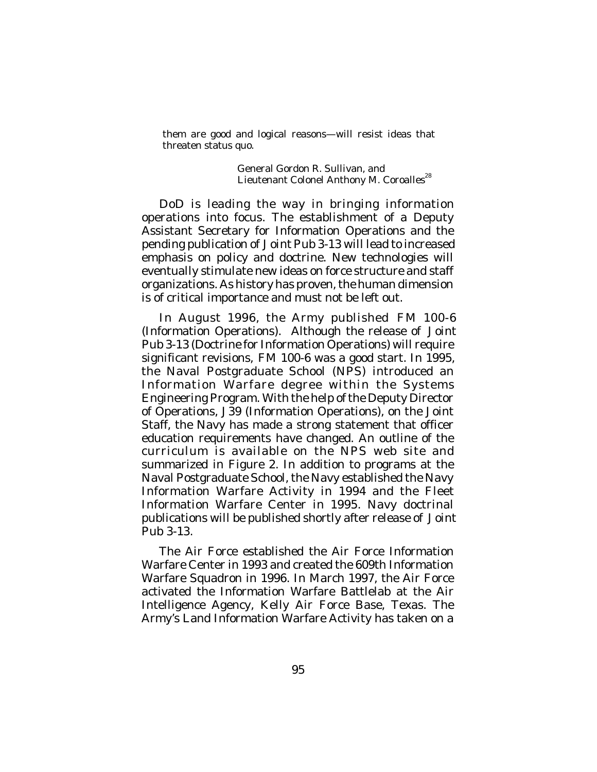them are good and logical reasons—will resist ideas that threaten status quo.

> General Gordon R. Sullivan, and Lieutenant Colonel Anthony M. Coroalles<sup>28</sup>

DoD is leading the way in bringing information operations into focus. The establishment of a Deputy Assistant Secretary for Information Operations and the pending publication of *Joint Pub 3-13* will lead to increased emphasis on policy and doctrine. New technologies will eventually stimulate new ideas on force structure and staff organizations. As history has proven, the human dimension is of critical importance and must not be left out.

In August 1996, the Army published *FM 100-6* (Information Operations). Although the release of *Joint Pub 3-13* (Doctrine for Information Operations) will require significant revisions, *FM 100-6* was a good start. In 1995, the Naval Postgraduate School (NPS) introduced an Information Warfare degree within the Systems Engineering Program. With the help of the Deputy Director of Operations, J39 (Information Operations), on the Joint Staff, the Navy has made a strong statement that officer education requirements have changed. An outline of the curriculum is available on the NPS web site and summarized in Figure 2. In addition to programs at the Naval Postgraduate School, the Navy established the Navy Information Warfare Activity in 1994 and the Fleet Information Warfare Center in 1995. Navy doctrinal publications will be published shortly after release of *Joint Pub 3-13*.

The Air Force established the Air Force Information Warfare Center in 1993 and created the 609th Information Warfare Squadron in 1996. In March 1997, the Air Force activated the Information Warfare Battlelab at the Air Intelligence Agency, Kelly Air Force Base, Texas. The Army's Land Information Warfare Activity has taken on a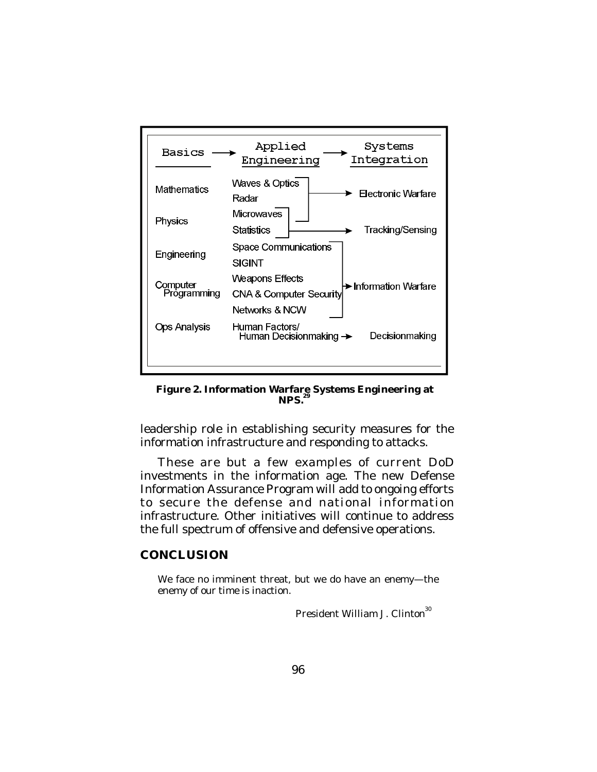

**Figure 2. Information Warfare Systems Engineering at 29NPS.**

leadership role in establishing security measures for the information infrastructure and responding to attacks.

These are but a few examples of current DoD investments in the information age. The new Defense Information Assurance Program will add to ongoing efforts to secure the defense and national information infrastructure. Other initiatives will continue to address the full spectrum of offensive and defensive operations.

### **CONCLUSION**

We face no imminent threat, but we do have an enemy—the enemy of our time is inaction.

President William J. Clinton<sup>30</sup>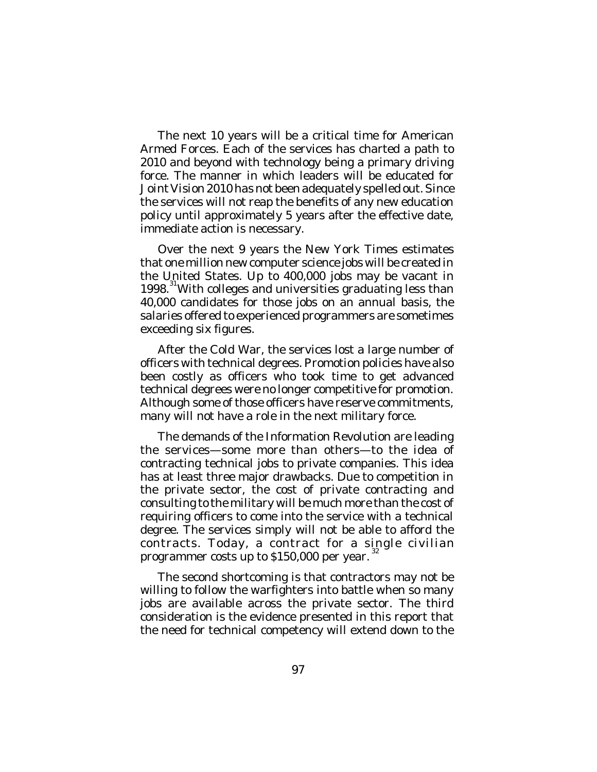The next 10 years will be a critical time for American Armed Forces. Each of the services has charted a path to 2010 and beyond with technology being a primary driving force. The manner in which leaders will be educated for *Joint Vision 2010* has not been adequately spelled out. Since the services will not reap the benefits of any new education policy until approximately 5 years after the effective date, immediate action is necessary.

Over the next 9 years the New York Times estimates that one million new computer science jobs will be created in the United States. Up to 400,000 jobs may be vacant in 1998. <sup>31</sup>With colleges and universities graduating less than 40,000 candidates for those jobs on an annual basis, the salaries offered to experienced programmers are sometimes exceeding six figures.

After the Cold War, the services lost a large number of officers with technical degrees. Promotion policies have also been costly as officers who took time to get advanced technical degrees were no longer competitive for promotion. Although some of those officers have reserve commitments, many will not have a role in the next military force.

The demands of the Information Revolution are leading the services—some more than others—to the idea of contracting technical jobs to private companies. This idea has at least three major drawbacks. Due to competition in the private sector, the cost of private contracting and consulting to the military will be much more than the cost of requiring officers to come into the service with a technical degree. The services simply will not be able to afford the contracts. Today, a contract for a single civilian 32 programmer costs up to \$150,000 per year.

The second shortcoming is that contractors may not be willing to follow the warfighters into battle when so many jobs are available across the private sector. The third consideration is the evidence presented in this report that the need for technical competency will extend down to the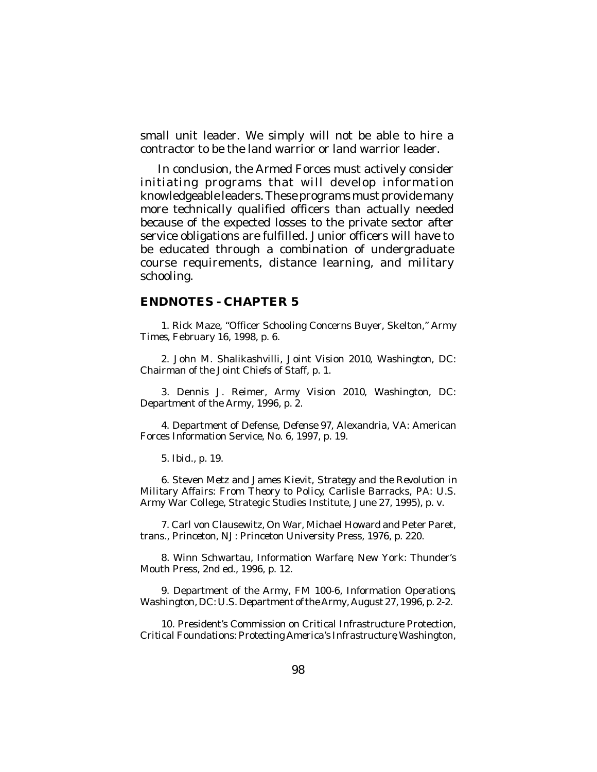small unit leader. We simply will not be able to hire a contractor to be the land warrior or land warrior leader.

In conclusion, the Armed Forces must actively consider initiating programs that will develop information knowledgeable leaders. These programs must provide many more technically qualified officers than actually needed because of the expected losses to the private sector after service obligations are fulfilled. Junior officers will have to be educated through a combination of undergraduate course requirements, distance learning, and military schooling.

#### **ENDNOTES - CHAPTER 5**

1. Rick Maze, "Officer Schooling Concerns Buyer, Skelton," *Army Times*, February 16, 1998, p. 6.

2. John M. Shalikashvilli, *Joint Vision 2010*, Washington, DC: Chairman of the Joint Chiefs of Staff, p. 1.

3. Dennis J. Reimer, *Army Vision 2010*, Washington, DC: Department of the Army, 1996, p. 2.

4. Department of Defense, *Defense 97*, Alexandria, VA: American Forces Information Service, No. 6, 1997, p. 19.

5. *Ibid*., p. 19.

6. Steven Metz and James Kievit, *Strategy and the Revolution in Military Affairs: From Theory to Policy*, Carlisle Barracks, PA: U.S. Army War College, Strategic Studies Institute, June 27, 1995), p. v.

7. Carl von Clausewitz, *On War*, Michael Howard and Peter Paret, trans., Princeton, NJ: Princeton University Press, 1976, p. 220.

8. Winn Schwartau, *Information Warfare*, New York: Thunder's Mouth Press, 2nd ed., 1996, p. 12.

9. Department of the Army, *FM 100-6, Information Operations*, Washington, DC: U.S. Department of the Army, August 27, 1996, p. 2-2.

10. President's Commission on Critical Infrastructure Protection, *Critical Foundations: Protecting America's Infrastructure*, Washington,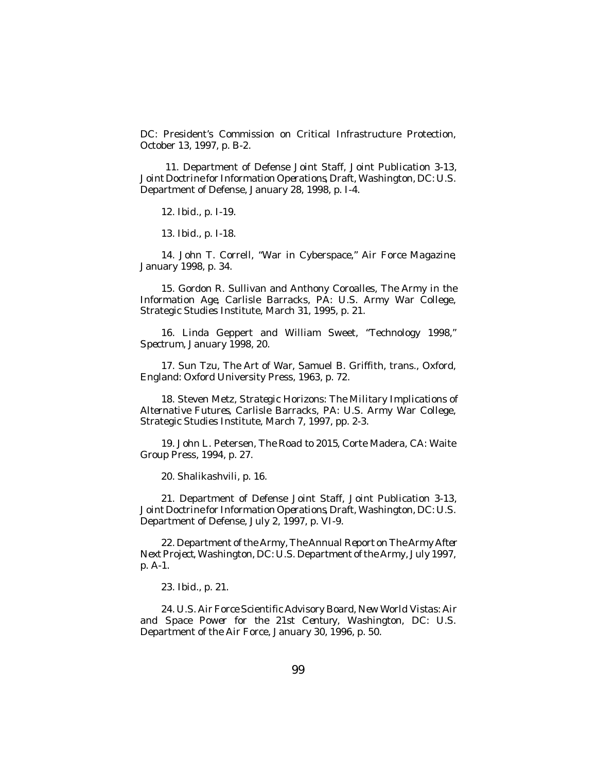DC: President's Commission on Critical Infrastructure Protection, October 13, 1997, p. B-2.

 11. Department of Defense Joint Staff, *Joint Publication 3-13, Joint Doctrine for Information Operations*, Draft, Washington, DC: U.S. Department of Defense, January 28, 1998, p. I-4.

12. *Ibid*., p. I-19.

13. *Ibid*., p. I-18.

14. John T. Correll, "War in Cyberspace," *Air Force Magazine*, January 1998, p. 34.

15. Gordon R. Sullivan and Anthony Coroalles, *The Army in the Information Age*, Carlisle Barracks, PA: U.S. Army War College, Strategic Studies Institute, March 31, 1995, p. 21.

16. Linda Geppert and William Sweet, "Technology 1998," *Spectrum*, January 1998, 20.

17. Sun Tzu, *The Art of War*, Samuel B. Griffith, trans., Oxford, England: Oxford University Press, 1963, p. 72.

18. Steven Metz, *Strategic Horizons: The Military Implications of Alternative Futures*, Carlisle Barracks, PA: U.S. Army War College, Strategic Studies Institute, March 7, 1997, pp. 2-3.

19. John L. Petersen, *The Road to 2015*, Corte Madera, CA: Waite Group Press, 1994, p. 27.

20. Shalikashvili, p. 16.

21. Department of Defense Joint Staff, *Joint Publication 3-13, Joint Doctrine for Information Operations*, Draft, Washington, DC: U.S. Department of Defense, July 2, 1997, p. VI-9.

22. Department of the Army, *The Annual Report on The Army After Next Project*, Washington, DC: U.S. Department of the Army, July 1997, p. A-1.

23. *Ibid*., p. 21.

24. U.S. Air Force Scientific Advisory Board, *New World Vistas: Air and Space Power for the 21st Centur*y, Washington, DC: U.S. Department of the Air Force, January 30, 1996, p. 50.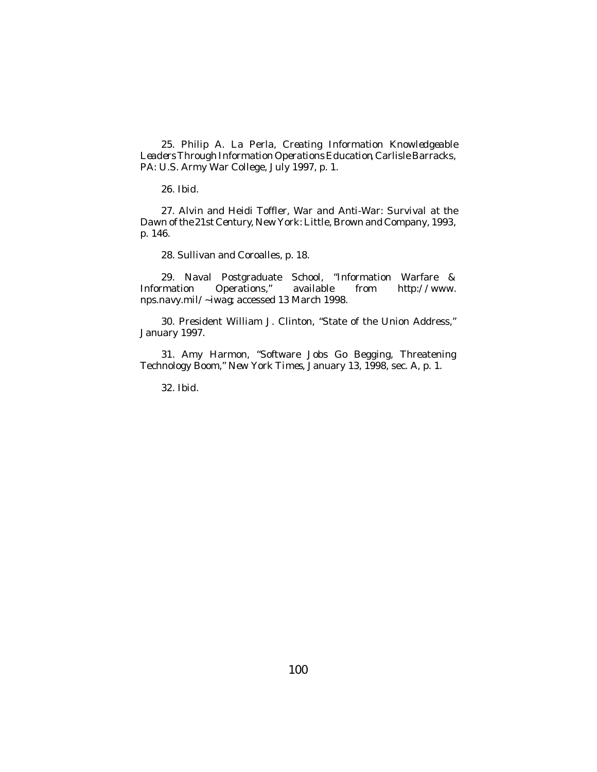25. Philip A. La Perla, *Creating Information Knowledgeable Leaders Through Information Operations Education*, Carlisle Barracks, PA: U.S. Army War College, July 1997, p. 1.

26. *Ibid*.

27. Alvin and Heidi Toffler, *War and Anti-War: Survival at the Dawn of the 21st Century*, New York: Little, Brown and Company, 1993, p. 146.

28. Sullivan and Coroalles, p. 18.

29. Naval Postgraduate School, "Information Warfare & Information Operations," available from *http://www. nps.navy.mil/~iwag*; accessed 13 March 1998.

30. President William J. Clinton, "State of the Union Address," January 1997.

31. Amy Harmon, "Software Jobs Go Begging, Threatening Technology Boom," *New York Times*, January 13, 1998, sec. A, p. 1.

32. *Ibid*.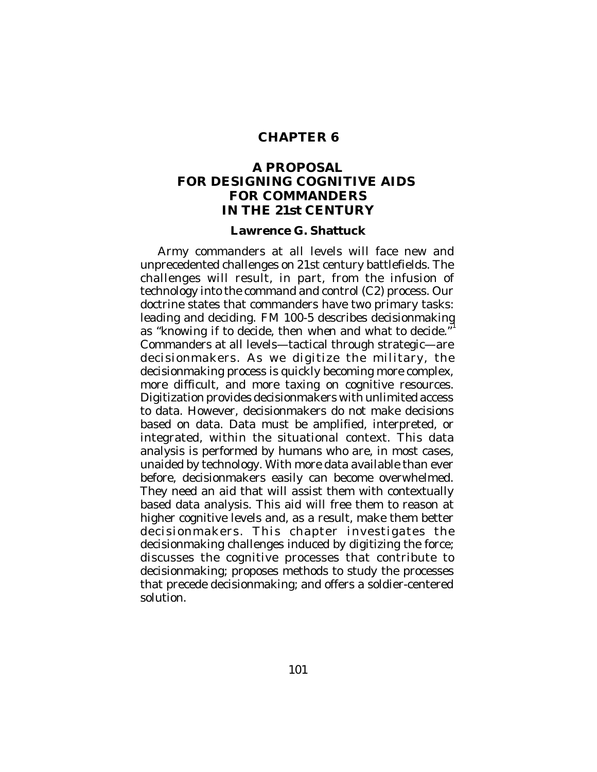# **CHAPTER 6**

# **A PROPOSAL FOR DESIGNING COGNITIVE AIDS FOR COMMANDERS IN THE 21st CENTURY**

#### **Lawrence G. Shattuck**

Army commanders at all levels will face new and unprecedented challenges on 21st century battlefields. The challenges will result, in part, from the infusion of technology into the command and control (C2) process. Our doctrine states that commanders have two primary tasks: leading and deciding. *FM 100-5* describes decisionmaking as "*knowing if* to decide, then *when* and *what* to decide." 1 Commanders at all levels—tactical through strategic—are decisionmakers. As we digitize the military, the decisionmaking process is quickly becoming more complex, more difficult, and more taxing on cognitive resources. Digitization provides decisionmakers with unlimited access to data. However, decisionmakers do not make decisions based on data. Data must be amplified, interpreted, or integrated, within the situational context. This data analysis is performed by humans who are, in most cases, unaided by technology. With more data available than ever before, decisionmakers easily can become overwhelmed. They need an aid that will assist them with contextually based data analysis. This aid will free them to reason at higher cognitive levels and, as a result, make them better decisionmakers. This chapter investigates the decisionmaking challenges induced by digitizing the force; discusses the cognitive processes that contribute to decisionmaking; proposes methods to study the processes that precede decisionmaking; and offers a soldier-centered solution.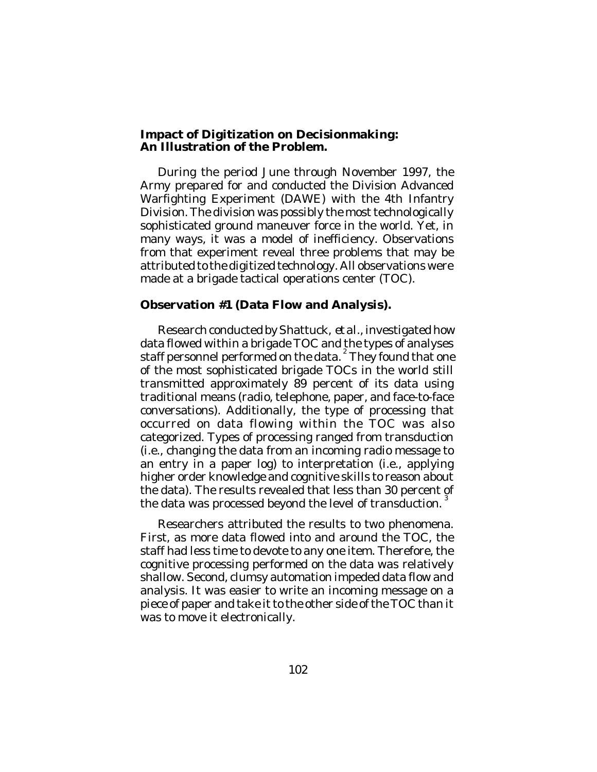### **Impact of Digitization on Decisionmaking: An Illustration of the Problem.**

During the period June through November 1997, the Army prepared for and conducted the Division Advanced Warfighting Experiment (DAWE) with the 4th Infantry Division. The division was possibly the most technologically sophisticated ground maneuver force in the world. Yet, in many ways, it was a model of inefficiency. Observations from that experiment reveal three problems that may be attributed to the digitized technology. All observations were made at a brigade tactical operations center (TOC).

## **Observation #1 (Data Flow and Analysis).**

Research conducted by Shattuck, *et al*., investigated how data flowed within a brigade TOC and the types of analyses staff personnel performed on the data.<sup>2</sup> They found that one of the most sophisticated brigade TOCs in the world still transmitted approximately 89 percent of its data using traditional means (radio, telephone, paper, and face-to-face conversations). Additionally, the type of processing that occurred on data flowing within the TOC was also categorized. Types of processing ranged from transduction (i.e., changing the data from an incoming radio message to an entry in a paper log) to interpretation (i.e., applying higher order knowledge and cognitive skills to reason about the data). The results revealed that less than 30 percent of the data was processed beyond the level of transduction. 3

Researchers attributed the results to two phenomena. First, as more data flowed into and around the TOC, the staff had less time to devote to any one item. Therefore, the cognitive processing performed on the data was relatively shallow. Second, clumsy automation impeded data flow and analysis. It was easier to write an incoming message on a piece of paper and take it to the other side of the TOC than it was to move it electronically.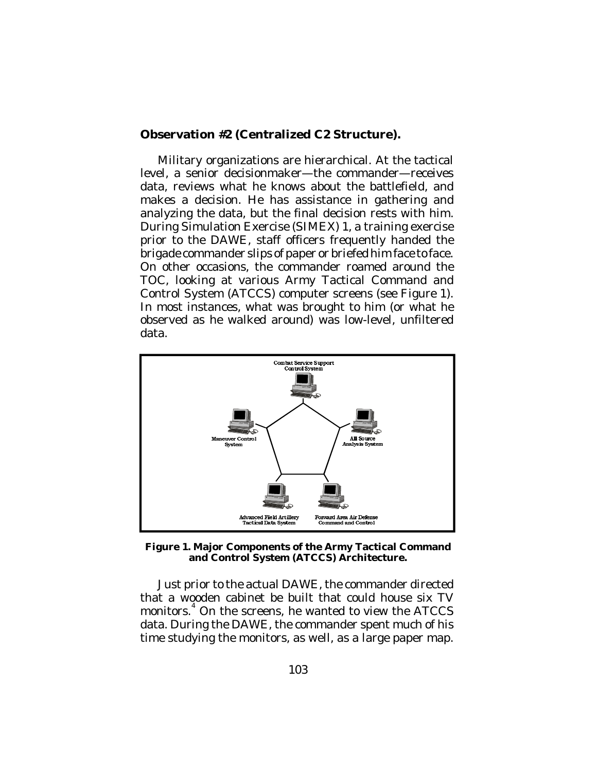# **Observation #2 (Centralized C2 Structure).**

Military organizations are hierarchical. At the tactical level, a senior decisionmaker—the commander—receives data, reviews what he knows about the battlefield, and makes a decision. He has assistance in gathering and analyzing the data, but the final decision rests with him. During Simulation Exercise (SIMEX) 1, a training exercise prior to the DAWE, staff officers frequently handed the brigade commander slips of paper or briefed him face to face. On other occasions, the commander roamed around the TOC, looking at various Army Tactical Command and Control System (ATCCS) computer screens (see Figure 1). In most instances, what was brought to him (or what he observed as he walked around) was low-level, unfiltered data.



**Figure 1. Major Components of the Army Tactical Command and Control System (ATCCS) Architecture.**

Just prior to the actual DAWE, the commander directed that a wooden cabinet be built that could house six TV monitors. 4 On the screens, he wanted to view the ATCCS data. During the DAWE, the commander spent much of his time studying the monitors, as well, as a large paper map.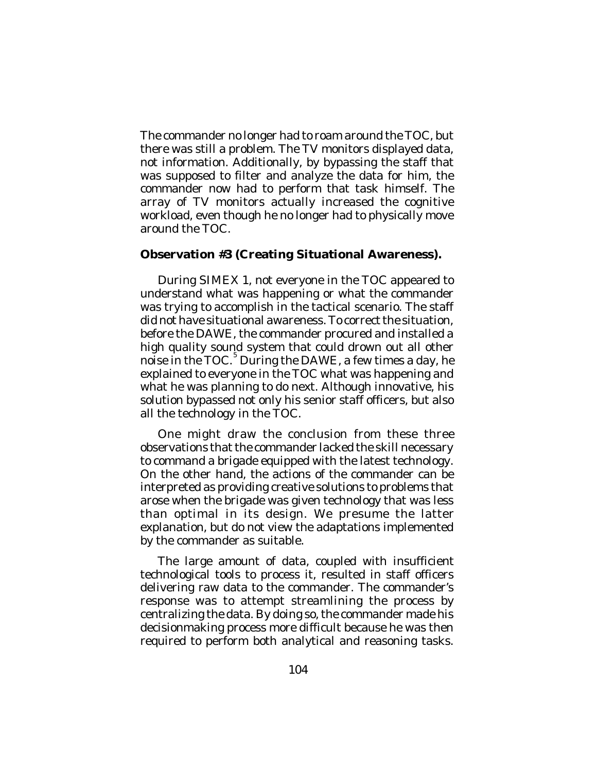The commander no longer had to roam around the TOC, but there was still a problem. The TV monitors displayed data, not information. Additionally, by bypassing the staff that was supposed to filter and analyze the data for him, the commander now had to perform that task himself. The array of TV monitors actually increased the cognitive workload, even though he no longer had to physically move around the TOC.

## **Observation #3 (Creating Situational Awareness).**

During SIMEX 1, not everyone in the TOC appeared to understand what was happening or what the commander was trying to accomplish in the tactical scenario. The staff did not have situational awareness. To correct the situation, before the DAWE, the commander procured and installed a high quality sound system that could drown out all other noise in the TOC. 5 During the DAWE, a few times a day, he explained to everyone in the TOC what was happening and what he was planning to do next. Although innovative, his solution bypassed not only his senior staff officers, but also all the technology in the TOC.

One might draw the conclusion from these three observations that the commander lacked the skill necessary to command a brigade equipped with the latest technology. On the other hand, the actions of the commander can be interpreted as providing creative solutions to problems that arose when the brigade was given technology that was less than optimal in its design. We presume the latter explanation, but do not view the adaptations implemented by the commander as suitable.

The large amount of data, coupled with insufficient technological tools to process it, resulted in staff officers delivering raw data to the commander. The commander's response was to attempt streamlining the process by centralizing the data. By doing so, the commander made his decisionmaking process more difficult because he was then required to perform both analytical and reasoning tasks.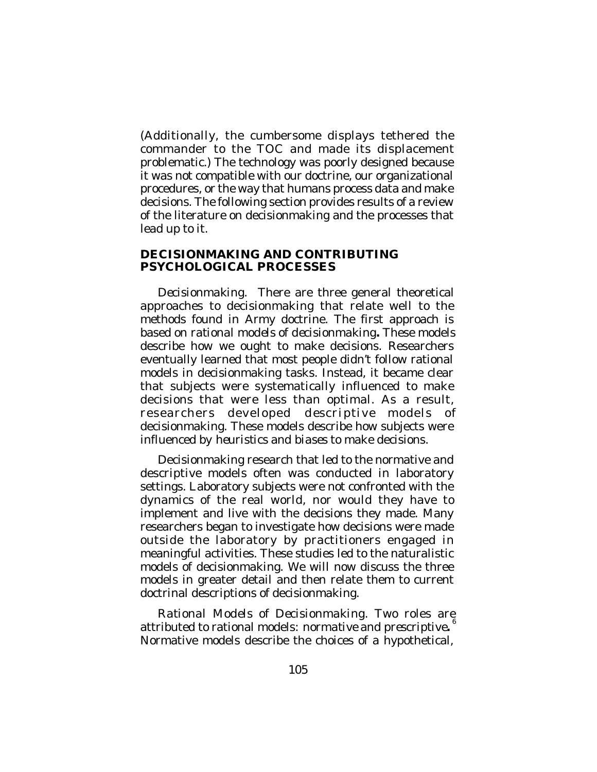(Additionally, the cumbersome displays tethered the commander to the TOC and made its displacement problematic.) The technology was poorly designed because it was not compatible with our doctrine, our organizational procedures, or the way that humans process data and make decisions. The following section provides results of a review of the literature on decisionmaking and the processes that lead up to it.

### **DECISIONMAKING AND CONTRIBUTING PSYCHOLOGICAL PROCESSES**

*Decisionmaking*. There are three general theoretical approaches to decisionmaking that relate well to the methods found in Army doctrine. The first approach is based on *rational models* of *decisionmaking.* These models describe how we ought to make decisions. Researchers eventually learned that most people didn't follow rational models in decisionmaking tasks. Instead, it became clear that subjects were systematically influenced to make decisions that were less than optimal. As a result, researchers developed *descriptive* models of decisionmaking. These models describe how subjects were influenced by *heuristics* and *biases* to make decisions.

Decisionmaking research that led to the normative and descriptive models often was conducted in laboratory settings. Laboratory subjects were not confronted with the dynamics of the real world, nor would they have to implement and live with the decisions they made. Many researchers began to investigate how decisions were made outside the laboratory by practitioners engaged in meaningful activities. These studies led to the naturalistic models of decisionmaking. We will now discuss the three models in greater detail and then relate them to current doctrinal descriptions of decisionmaking.

*Rational Models of Decisionmaking*. Two roles are attributed to rational models: *normative* and *prescriptive.* 6 Normative models describe the choices of a hypothetical,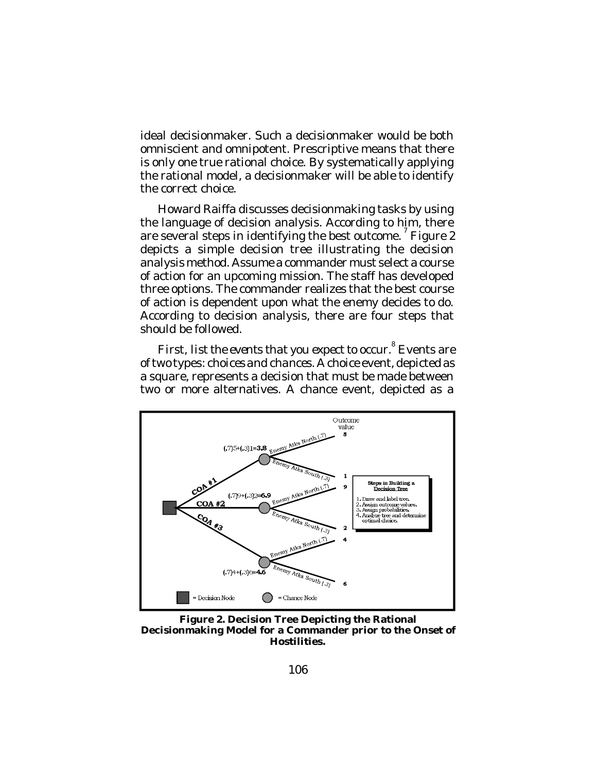ideal decisionmaker. Such a decisionmaker would be both omniscient and omnipotent. Prescriptive means that there is only one true rational choice. By systematically applying the rational model, a decisionmaker will be able to identify the correct choice.

Howard Raiffa discusses decisionmaking tasks by using the language of decision analysis. According to him, there are several steps in identifying the best outcome.<sup>7</sup> Figure 2 depicts a simple decision tree illustrating the decision analysis method. Assume a commander must select a course of action for an upcoming mission. The staff has developed three options. The commander realizes that the best course of action is dependent upon what the enemy decides to do. According to decision analysis, there are four steps that should be followed.

First, *list the events that you expect to occur*. 8 Events are of two types: *choices and chances*. A choice event, depicted as a square, represents a decision that must be made between two or more alternatives. A chance event, depicted as a



**Figure 2. Decision Tree Depicting the Rational Decisionmaking Model for a Commander prior to the Onset of Hostilities.**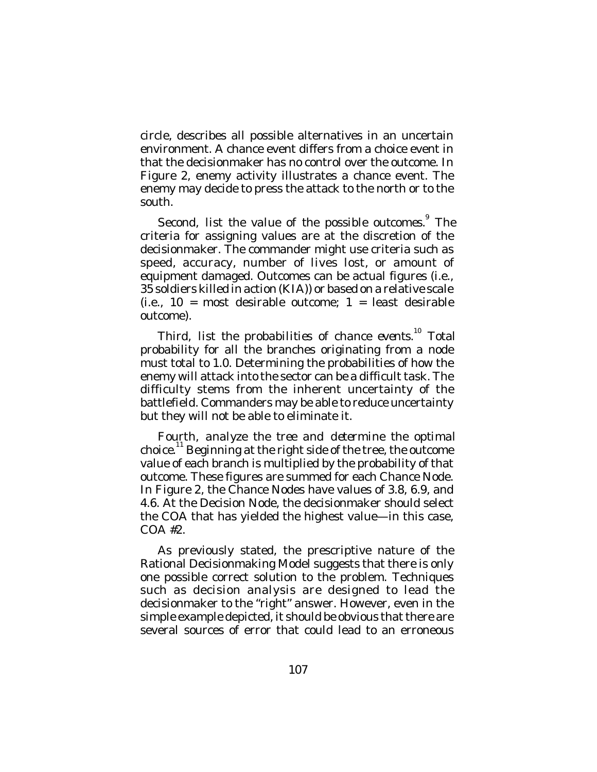circle, describes all possible alternatives in an uncertain environment. A chance event differs from a choice event in that the decisionmaker has no control over the outcome. In Figure 2, enemy activity illustrates a chance event. The enemy may decide to press the attack to the north or to the south.

Second, *list the value of the possible outcomes.*<sup>9</sup> The criteria for assigning values are at the discretion of the decisionmaker. The commander might use criteria such as speed, accuracy, number of lives lost, or amount of equipment damaged. Outcomes can be actual figures (i.e., 35 soldiers killed in action (KIA)) or based on a relative scale  $(i.e., 10 = most desirable outcome; 1 = least desirable$ outcome).

Third, *list the probabilities of chance events*. 10 Total probability for all the branches originating from a node must total to 1.0. Determining the probabilities of how the enemy will attack into the sector can be a difficult task. The difficulty stems from the inherent uncertainty of the battlefield. Commanders may be able to reduce uncertainty but they will not be able to eliminate it.

Fourth, *analyze the tree and determine the optimal* choice.<sup>11</sup> Beginning at the right side of the tree, the outcome value of each branch is multiplied by the probability of that outcome. These figures are summed for each Chance Node. In Figure 2, the Chance Nodes have values of 3.8, 6.9, and 4.6. At the Decision Node, the decisionmaker should select the COA that has yielded the highest value—in this case, COA #2.

As previously stated, the prescriptive nature of the Rational Decisionmaking Model suggests that there is only one possible correct solution to the problem. Techniques such as decision analysis are designed to lead the decisionmaker to the "right" answer. However, even in the simple example depicted, it should be obvious that there are several sources of error that could lead to an erroneous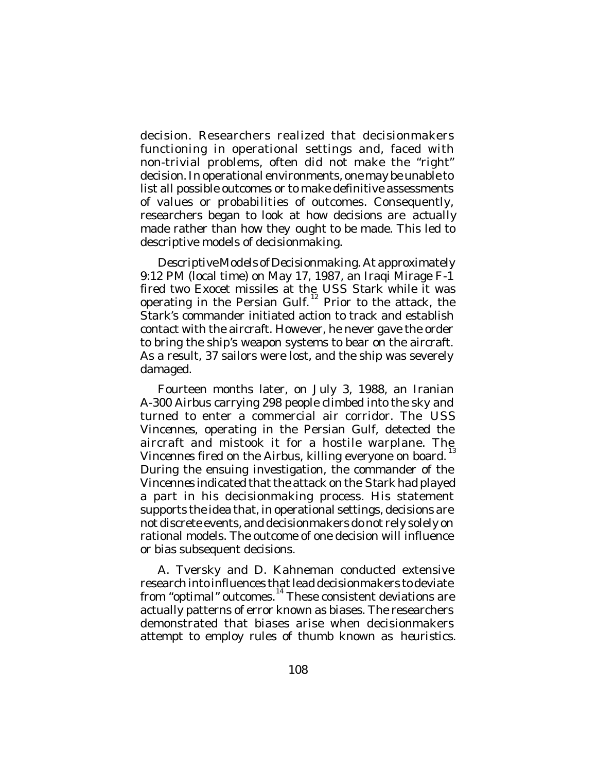decision. Researchers realized that decisionmakers functioning in operational settings and, faced with non-trivial problems, often did not make the "right" decision. In operational environments, one may be unable to list all possible outcomes or to make definitive assessments of values or probabilities of outcomes. Consequently, researchers began to look at how decisions are *actually* made rather than how they *ought* to be made. This led to descriptive models of decisionmaking.

*Descriptive Models of Decisionmaking*. At approximately 9:12 PM (local time) on May 17, 1987, an Iraqi Mirage F-1 fired two Exocet missiles at the *USS Stark* while it was operating in the Persian Gulf.<sup>12</sup> Prior to the attack, the *Stark's* commander initiated action to track and establish contact with the aircraft. However, he never gave the order to bring the ship's weapon systems to bear on the aircraft. As a result, 37 sailors were lost, and the ship was severely damaged.

Fourteen months later, on July 3, 1988, an Iranian A-300 Airbus carrying 298 people climbed into the sky and turned to enter a commercial air corridor. The *USS Vincennes*, operating in the Persian Gulf, detected the aircraft and mistook it for a hostile warplane. The *Vincennes* fired on the Airbus, killing everyone on board. During the ensuing investigation, the commander of the *Vincennes* indicated that the attack on the *Stark* had played a part in his decisionmaking process. His statement supports the idea that, in operational settings, decisions are not discrete events, and decisionmakers do not rely solely on rational models. The outcome of one decision will influence or bias subsequent decisions.

A. Tversky and D. Kahneman conducted extensive research into influences that lead decisionmakers to deviate from "*optimal*" outcomes. 14 These consistent deviations are actually patterns of error known as biases. The researchers demonstrated that biases arise when decisionmakers attempt to employ rules of thumb known as *heuristics*.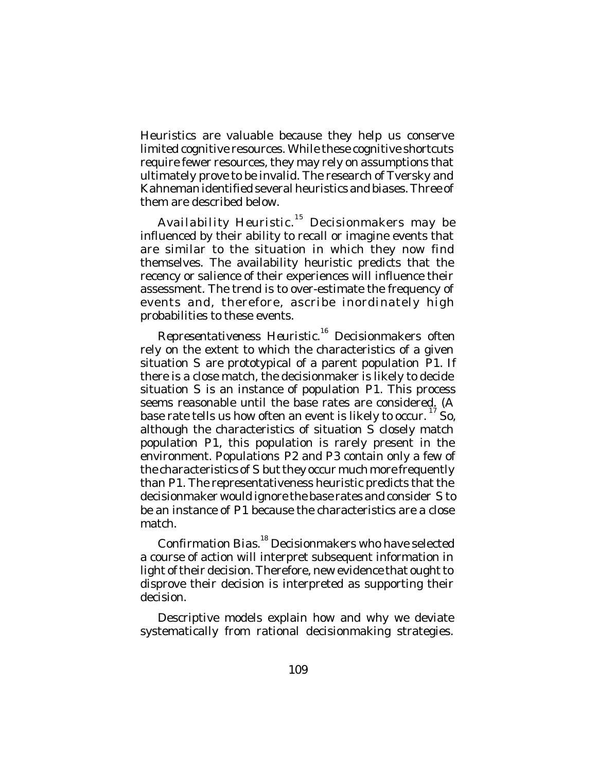Heuristics are valuable because they help us conserve limited cognitive resources. While these cognitive shortcuts require fewer resources, they may rely on assumptions that ultimately prove to be invalid. The research of Tversky and Kahneman identified several heuristics and biases. Three of them are described below.

*Availability Heuristic*. 15 Decisionmakers may be influenced by their ability to recall or imagine events that are similar to the situation in which they now find themselves. The availability heuristic predicts that the recency or salience of their experiences will influence their assessment. The trend is to over-estimate the frequency of events and, therefore, ascribe inordinately high probabilities to these events.

*Representativeness Heuristic*. 16 Decisionmakers often rely on the extent to which the characteristics of a given situation *S* are prototypical of a parent population *P1*. If there is a close match, the decisionmaker is likely to decide situation *S* is an instance of population *P1*. This process seems reasonable until the base rates are considered. (A base rate tells us how often an event is likely to occur.  $^{17}$  So, although the characteristics of situation S closely match population *P1*, this population is rarely present in the environment. Populations *P2* and *P3* contain only a few of the characteristics of *S* but they occur much more frequently than *P1*. The representativeness heuristic predicts that the decisionmaker would ignore the base rates and consider *S* to be an instance of *P1* because the characteristics are a close match.

*Confirmation Bias*. 18 Decisionmakers who have selected a course of action will interpret subsequent information in light of their decision. Therefore, new evidence that ought to disprove their decision is interpreted as supporting their decision.

Descriptive models explain how and why we deviate systematically from rational decisionmaking strategies.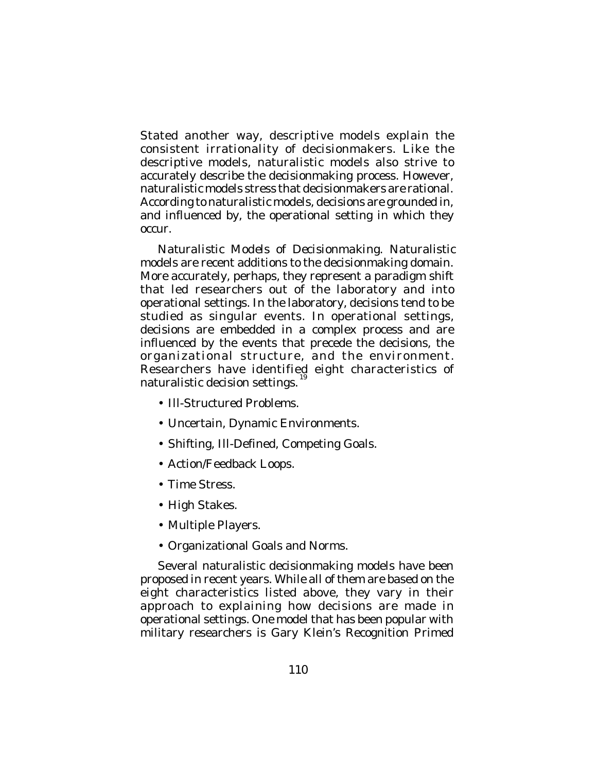Stated another way, descriptive models explain the consistent irrationality of decisionmakers. Like the descriptive models, naturalistic models also strive to accurately describe the decisionmaking process. However, naturalistic models stress that decisionmakers are rational. According to naturalistic models, decisions are grounded in, and influenced by, the operational setting in which they occur.

*Naturalistic Models of Decisionmaking*. Naturalistic models are recent additions to the decisionmaking domain. More accurately, perhaps, they represent a paradigm shift that led researchers out of the laboratory and into operational settings. In the laboratory, decisions tend to be studied as singular events. In operational settings, decisions are embedded in a complex process and are influenced by the events that precede the decisions, the organizational structure, and the environment. Researchers have identified eight characteristics of naturalistic decision settings.

- Ill-Structured Problems.
- Uncertain, Dynamic Environments.
- Shifting, Ill-Defined, Competing Goals.
- Action/Feedback Loops.
- Time Stress.
- High Stakes.
- Multiple Players.
- Organizational Goals and Norms.

Several naturalistic decisionmaking models have been proposed in recent years. While all of them are based on the eight characteristics listed above, they vary in their approach to explaining how decisions are made in operational settings. One model that has been popular with military researchers is Gary Klein's Recognition Primed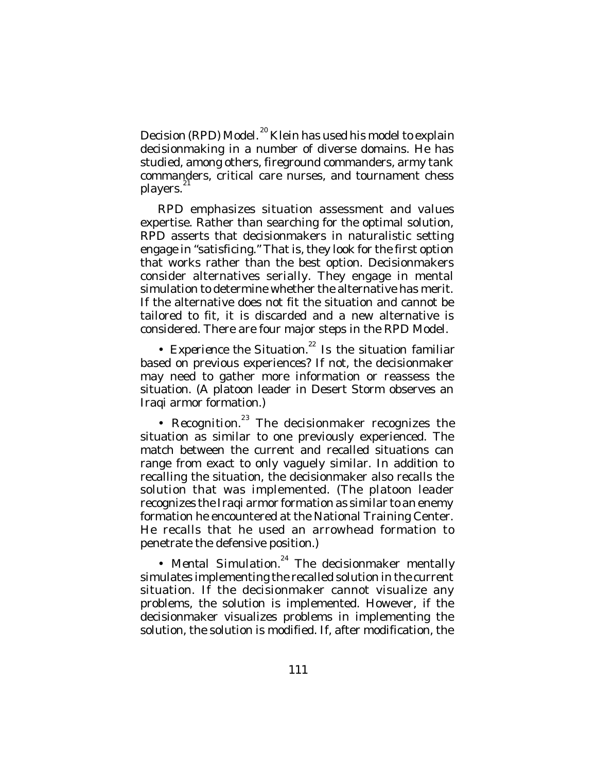Decision (RPD) Model.<sup>20</sup> Klein has used his model to explain decisionmaking in a number of diverse domains. He has studied, among others, fireground commanders, army tank commanders, critical care nurses, and tournament chess players.<sup>21</sup>

RPD emphasizes situation assessment and values expertise. Rather than searching for the optimal solution, RPD asserts that decisionmakers in naturalistic setting engage in "satisficing." That is, they look for the first option that works rather than the best option. Decisionmakers consider alternatives serially. They engage in mental simulation to determine whether the alternative has merit. If the alternative does not fit the situation and cannot be tailored to fit, it is discarded and a new alternative is considered. There are four major steps in the RPD Model.

• Experience the Situation.<sup>22</sup> Is the situation familiar based on previous experiences? If not, the decisionmaker may need to gather more information or reassess the situation. (A platoon leader in Desert Storm observes an Iraqi armor formation.)

• Recognition.<sup>23</sup> The decisionmaker recognizes the situation as similar to one previously experienced. The match between the current and recalled situations can range from exact to only vaguely similar. In addition to recalling the situation, the decisionmaker also recalls the solution that was implemented. (The platoon leader recognizes the Iraqi armor formation as similar to an enemy formation he encountered at the National Training Center. He recalls that he used an arrowhead formation to penetrate the defensive position.)

• Mental Simulation.<sup>24</sup> The decisionmaker mentally simulates implementing the recalled solution in the current situation. If the decisionmaker cannot visualize any problems, the solution is implemented. However, if the decisionmaker visualizes problems in implementing the solution, the solution is modified. If, after modification, the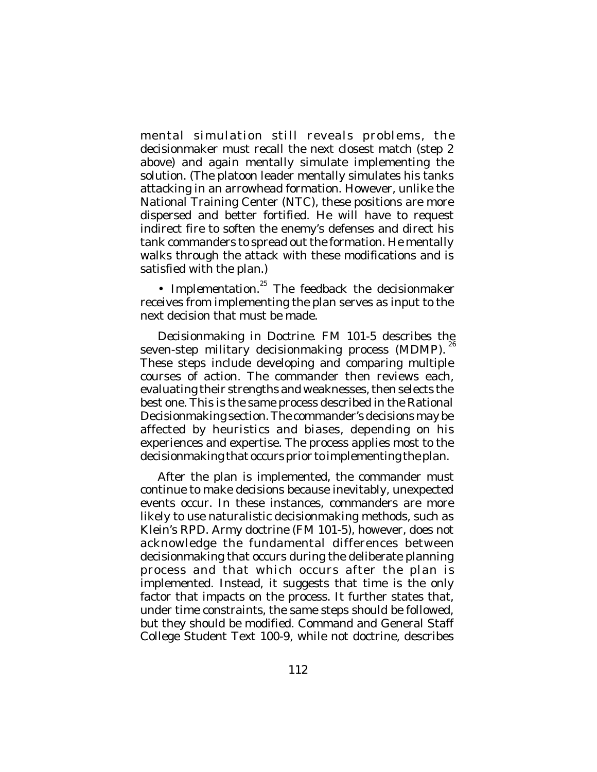mental simulation still reveals problems, the decisionmaker must recall the next closest match (step 2 above) and again mentally simulate implementing the solution. (The platoon leader mentally simulates his tanks attacking in an arrowhead formation. However, unlike the National Training Center (NTC), these positions are more dispersed and better fortified. He will have to request indirect fire to soften the enemy's defenses and direct his tank commanders to spread out the formation. He mentally walks through the attack with these modifications and is satisfied with the plan.)

• Implementation.<sup>25</sup> The feedback the decisionmaker receives from implementing the plan serves as input to the next decision that must be made.

*Decisionmaking in Doctrine*. FM 101-5 describes the seven-step military decisionmaking process (MDMP). 26 These steps include developing and comparing multiple courses of action. The commander then reviews each, evaluating their strengths and weaknesses, then selects the best one. This is the same process described in the Rational Decisionmaking section. The commander's decisions may be affected by heuristics and biases, depending on his experiences and expertise. The process applies most to the decisionmaking that occurs prior to implementing the plan.

After the plan is implemented, the commander must continue to make decisions because inevitably, unexpected events occur. In these instances, commanders are more likely to use naturalistic decisionmaking methods, such as Klein's RPD. Army doctrine (FM 101-5), however, does not acknowledge the fundamental differences between decisionmaking that occurs during the deliberate planning process and that which occurs after the plan is implemented. Instead, it suggests that time is the only factor that impacts on the process. It further states that, under time constraints, the same steps should be followed, but they should be modified. Command and General Staff College Student Text 100-9, while not doctrine, describes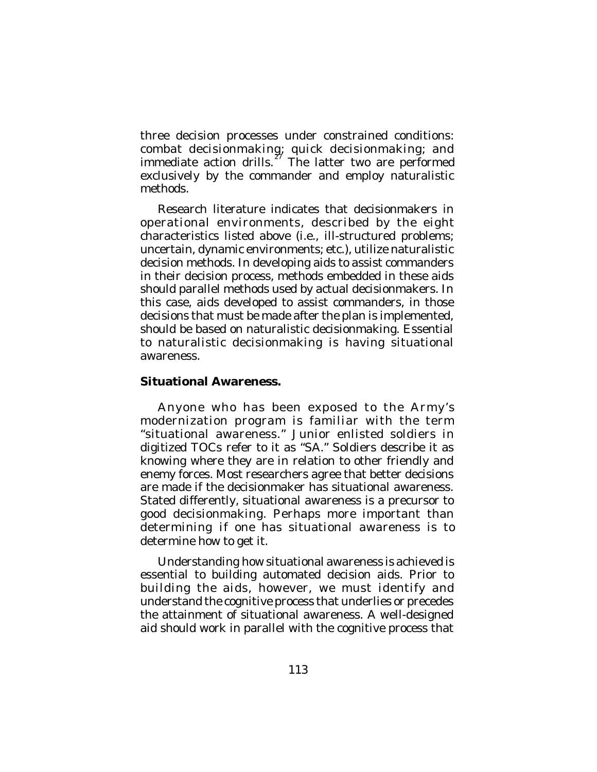three decision processes under constrained conditions: combat decisionmaking; quick decisionmaking; and immediate action drills. $\frac{z}{z}$  The latter two are performed exclusively by the commander and employ naturalistic methods.

Research literature indicates that decisionmakers in operational environments, described by the eight characteristics listed above (i.e., ill-structured problems; uncertain, dynamic environments; etc.), utilize naturalistic decision methods. In developing aids to assist commanders in their decision process, methods embedded in these aids should parallel methods used by actual decisionmakers. In this case, aids developed to assist commanders, in those decisions that must be made after the plan is implemented, should be based on naturalistic decisionmaking. Essential to naturalistic decisionmaking is having situational awareness.

### **Situational Awareness.**

Anyone who has been exposed to the Army's modernization program is familiar with the term "situational awareness." Junior enlisted soldiers in digitized TOCs refer to it as "SA." Soldiers describe it as knowing where they are in relation to other friendly and enemy forces. Most researchers agree that better decisions are made if the decisionmaker has situational awareness. Stated differently, situational awareness is a precursor to good decisionmaking. Perhaps more important than determining *if* one has situational awareness is to determine how to get it.

Understanding *how* situational awareness is achieved is essential to building automated decision aids. Prior to building the aids, however, we must identify and understand the cognitive process that underlies or precedes the attainment of situational awareness. A well-designed aid should work in parallel with the cognitive process that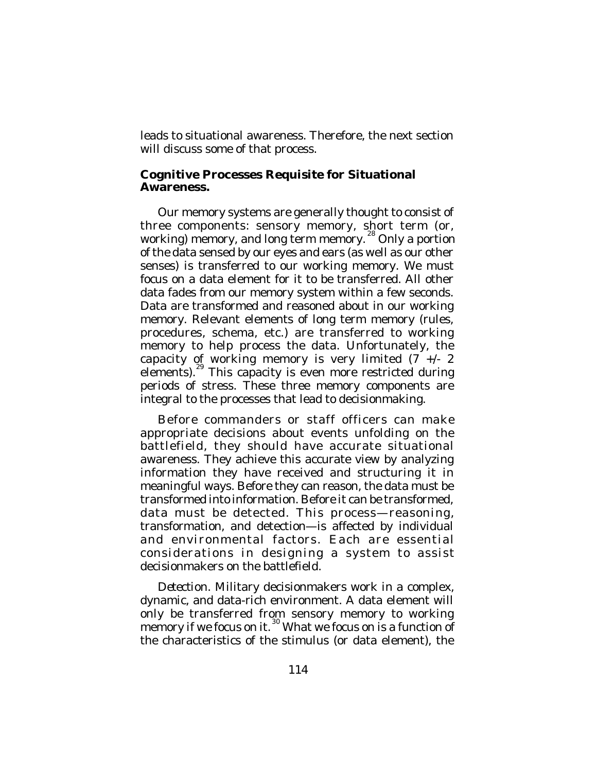leads to situational awareness. Therefore, the next section will discuss some of that process.

#### **Cognitive Processes Requisite for Situational Awareness.**

Our memory systems are generally thought to consist of three components: sensory memory, short term (or, working) memory, and long term memory.<sup>28</sup> Only a portion of the data sensed by our eyes and ears (as well as our other senses) is transferred to our working memory. We must focus on a data element for it to be transferred. All other data fades from our memory system within a few seconds. Data are transformed and reasoned about in our working memory. Relevant elements of long term memory (rules, procedures, schema, etc.) are transferred to working memory to help process the data. Unfortunately, the capacity of working memory is very limited (7 +/- 2 elements).<sup>29</sup> This capacity is even more restricted during periods of stress. These three memory components are integral to the processes that lead to decisionmaking.

Before commanders or staff officers can make appropriate decisions about events unfolding on the battlefield, they should have accurate situational awareness. They achieve this accurate view by analyzing information they have received and structuring it in meaningful ways. Before they can reason, the data must be transformed into information. Before it can be transformed, data must be detected. This process—reasoning, transformation, and detection—is affected by individual and environmental factors. Each are essential considerations in designing a system to assist decisionmakers on the battlefield.

*Detection*. Military decisionmakers work in a complex, dynamic, and data-rich environment. A data element will only be transferred from sensory memory to working memory if we focus on it.<sup>30</sup> What we focus on is a function of the characteristics of the stimulus (or data element), the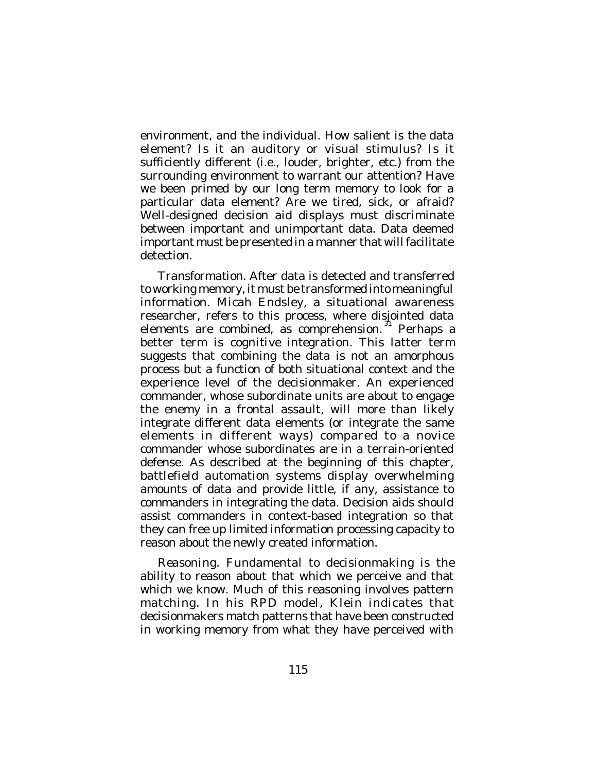environment, and the individual. How salient is the data element? Is it an auditory or visual stimulus? Is it sufficiently different (i.e., louder, brighter, etc.) from the surrounding environment to warrant our attention? Have we been primed by our long term memory to look for a particular data element? Are we tired, sick, or afraid? Well-designed decision aid displays must discriminate between important and unimportant data. Data deemed important must be presented in a manner that will facilitate detection.

*Transformation*. After data is detected and transferred to working memory, it must be transformed into meaningful information. Micah Endsley, a situational awareness researcher, refers to this process, where disjointed data elements are combined, as comprehension.<sup>31</sup> Perhaps a better term is *cognitive integration*. This latter term suggests that combining the data is not an amorphous process but a function of both situational context and the experience level of the decisionmaker. An experienced commander, whose subordinate units are about to engage the enemy in a frontal assault, will more than likely integrate different data elements (or integrate the same elements in different ways) compared to a novice commander whose subordinates are in a terrain-oriented defense. As described at the beginning of this chapter, battlefield automation systems display overwhelming amounts of data and provide little, if any, assistance to commanders in integrating the data. Decision aids should assist commanders in context-based integration so that they can free up limited information processing capacity to reason about the newly created information.

*Reasoning*. Fundamental to decisionmaking is the ability to reason about that which we perceive and that which we know. Much of this reasoning involves pattern matching. In his RPD model, Klein indicates that decisionmakers match patterns that have been constructed in working memory from what they have perceived with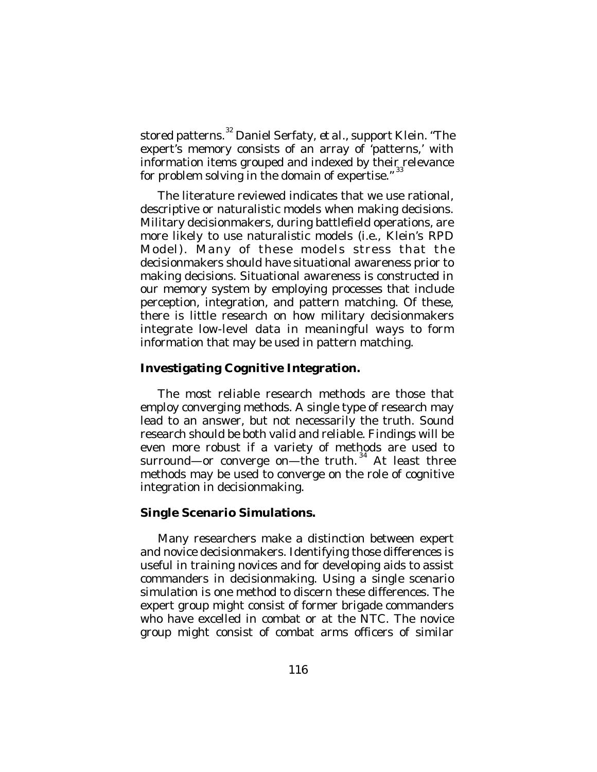stored patterns. 32 Daniel Serfaty, *et al*., support Klein. "The expert's memory consists of an array of 'patterns,' with information items grouped and indexed by their relevance for problem solving in the domain of expertise."  $33$ 

The literature reviewed indicates that we use rational, descriptive or naturalistic models when making decisions. Military decisionmakers, during battlefield operations, are more likely to use naturalistic models (i.e., Klein's RPD Model). Many of these models stress that the decisionmakers should have situational awareness prior to making decisions. Situational awareness is constructed in our memory system by employing processes that include perception, integration, and pattern matching. Of these, there is little research on how military decisionmakers integrate low-level data in meaningful ways to form information that may be used in pattern matching.

# **Investigating Cognitive Integration.**

The most reliable research methods are those that employ converging methods. A single type of research may lead to an answer, but not necessarily the truth. Sound research should be both valid and reliable. Findings will be even more robust if a variety of methods are used to surround—or converge on—the truth.<sup>34</sup> At least three methods may be used to converge on the role of cognitive integration in decisionmaking.

# **Single Scenario Simulations.**

Many researchers make a distinction between expert and novice decisionmakers. Identifying those differences is useful in training novices and for developing aids to assist commanders in decisionmaking. Using a single scenario simulation is one method to discern these differences. The expert group might consist of former brigade commanders who have excelled in combat or at the NTC. The novice group might consist of combat arms officers of similar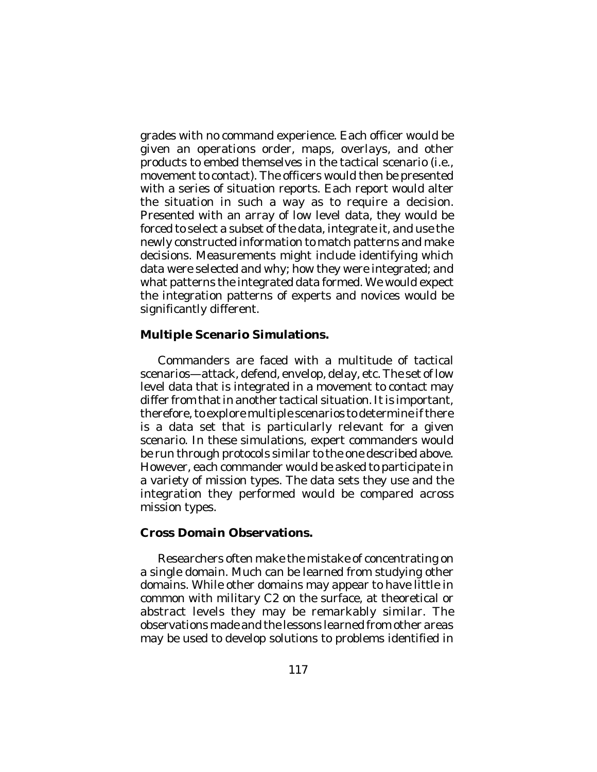grades with no command experience. Each officer would be given an operations order, maps, overlays, and other products to embed themselves in the tactical scenario (i.e., movement to contact). The officers would then be presented with a series of situation reports. Each report would alter the situation in such a way as to require a decision. Presented with an array of low level data, they would be forced to select a subset of the data, integrate it, and use the newly constructed information to match patterns and make decisions. Measurements might include identifying which data were selected and why; how they were integrated; and what patterns the integrated data formed. We would expect the integration patterns of experts and novices would be significantly different.

# **Multiple Scenario Simulations.**

Commanders are faced with a multitude of tactical scenarios—attack, defend, envelop, delay, etc. The set of low level data that is integrated in a movement to contact may differ from that in another tactical situation. It is important, therefore, to explore multiple scenarios to determine if there is a data set that is particularly relevant for a given scenario. In these simulations, expert commanders would be run through protocols similar to the one described above. However, each commander would be asked to participate in a variety of mission types. The data sets they use and the integration they performed would be compared across mission types.

# **Cross Domain Observations.**

Researchers often make the mistake of concentrating on a single domain. Much can be learned from studying other domains. While other domains may appear to have little in common with military C2 on the surface, at theoretical or abstract levels they may be remarkably similar. The observations made and the lessons learned from other areas may be used to develop solutions to problems identified in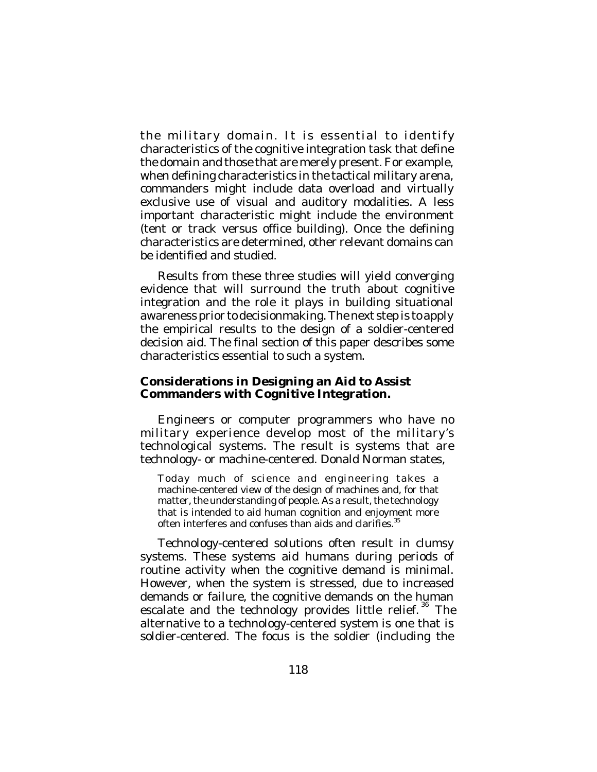the military domain. It is essential to identify characteristics of the cognitive integration task that define the domain and those that are merely present. For example, when defining characteristics in the tactical military arena, commanders might include data overload and virtually exclusive use of visual and auditory modalities. A less important characteristic might include the environment (tent or track versus office building). Once the defining characteristics are determined, other relevant domains can be identified and studied.

Results from these three studies will yield converging evidence that will surround the truth about cognitive integration and the role it plays in building situational awareness prior to decisionmaking. The next step is to apply the empirical results to the design of a soldier-centered decision aid. The final section of this paper describes some characteristics essential to such a system.

#### **Considerations in Designing an Aid to Assist Commanders with Cognitive Integration.**

Engineers or computer programmers who have no military experience develop most of the military's technological systems. The result is systems that are technology- or machine-centered. Donald Norman states,

Today much of science and engineering takes a machine-centered view of the design of machines and, for that matter, the understanding of people. As a result, the technology that is intended to aid human cognition and enjoyment more often interferes and confuses than aids and clarifies.<sup>35</sup>

Technology-centered solutions often result in clumsy systems. These systems aid humans during periods of routine activity when the cognitive demand is minimal. However, when the system is stressed, due to increased demands or failure, the cognitive demands on the human escalate and the technology provides little relief.<sup>36</sup> The alternative to a technology-centered system is one that is soldier-centered. The focus is the soldier (including the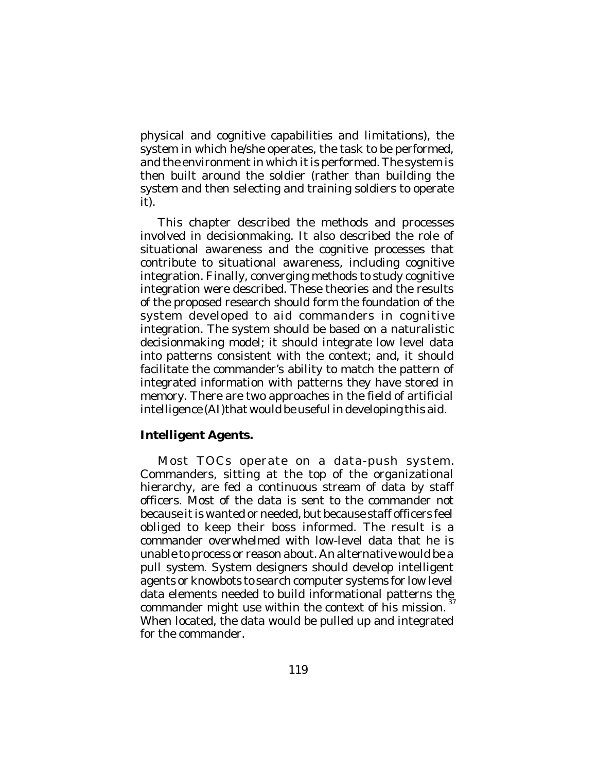physical and cognitive capabilities and limitations), the system in which he/she operates, the task to be performed, and the environment in which it is performed. The system is then built around the soldier (rather than building the system and then selecting and training soldiers to operate it).

This chapter described the methods and processes involved in decisionmaking. It also described the role of situational awareness and the cognitive processes that contribute to situational awareness, including cognitive integration. Finally, converging methods to study cognitive integration were described. These theories and the results of the proposed research should form the foundation of the system developed to aid commanders in cognitive integration. The system should be based on a naturalistic decisionmaking model; it should integrate low level data into patterns consistent with the context; and, it should facilitate the commander's ability to match the pattern of integrated information with patterns they have stored in memory. There are two approaches in the field of artificial intelligence (AI)that would be useful in developing this aid.

# **Intelligent Agents.**

Most TOCs operate on a data-push system. Commanders, sitting at the top of the organizational hierarchy, are fed a continuous stream of data by staff officers. Most of the data is sent to the commander not because it is wanted or needed, but because staff officers feel obliged to keep their boss informed. The result is a commander overwhelmed with low-level data that he is unable to process or reason about. An alternative would be a pull system. System designers should develop intelligent agents or knowbots to search computer systems for low level data elements needed to build informational patterns the commander might use within the context of his mission.  $37$ When located, the data would be pulled up and integrated for the commander.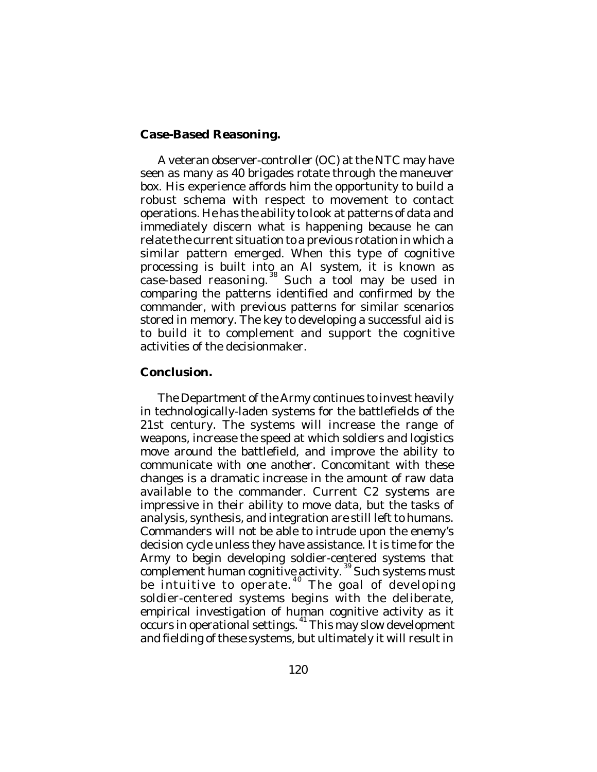### **Case-Based Reasoning.**

A veteran observer-controller (OC) at the NTC may have seen as many as 40 brigades rotate through the maneuver box. His experience affords him the opportunity to build a robust schema with respect to movement to contact operations. He has the ability to look at patterns of data and immediately discern what is happening because he can relate the current situation to a previous rotation in which a similar pattern emerged. When this type of cognitive processing is built into an AI system, it is known as .<br>case-based reasoning.<sup>38</sup> Such a tool may be used in comparing the patterns identified and confirmed by the commander, with previous patterns for similar scenarios stored in memory. The key to developing a successful aid is to build it to complement and support the cognitive activities of the decisionmaker.

# **Conclusion.**

The Department of the Army continues to invest heavily in technologically-laden systems for the battlefields of the 21st century. The systems will increase the range of weapons, increase the speed at which soldiers and logistics move around the battlefield, and improve the ability to communicate with one another. Concomitant with these changes is a dramatic increase in the amount of raw data available to the commander. Current C2 systems are impressive in their ability to move data, but the tasks of analysis, synthesis, and integration are still left to humans. Commanders will not be able to intrude upon the enemy's decision cycle unless they have assistance. It is time for the Army to begin developing soldier-centered systems that complement human cognitive activity. 39 Such systems must be intuitive to operate.<sup>40</sup> The goal of developing soldier-centered systems begins with the deliberate, empirical investigation of human cognitive activity as it occurs in operational settings. 41 This may slow development and fielding of these systems, but ultimately it will result in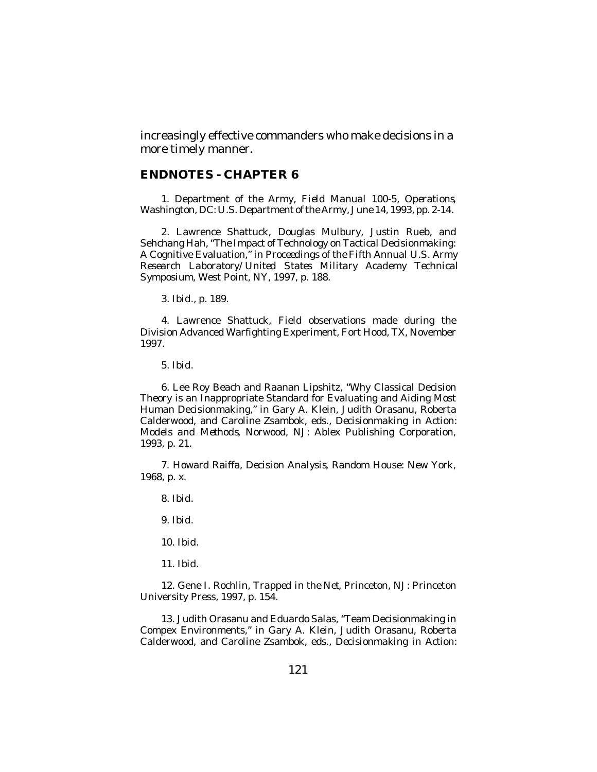increasingly effective commanders who make decisions in a more timely manner.

#### **ENDNOTES - CHAPTER 6**

1. Department of the Army, *Field Manual 100-5, Operations*, Washington, DC: U.S. Department of the Army, June 14, 1993, pp. 2-14.

2. Lawrence Shattuck, Douglas Mulbury, Justin Rueb, and Sehchang Hah, "The Impact of Technology on Tactical Decisionmaking: A Cognitive Evaluation," in *Proceedings of the Fifth Annual U.S. Army Research Laboratory/United States Military Academy Technical Symposium*, West Point, NY, 1997, p. 188.

3. *Ibid*., p. 189.

4. Lawrence Shattuck, Field observations made during the Division Advanced Warfighting Experiment, Fort Hood, TX, November 1997.

5. *Ibid*.

6. Lee Roy Beach and Raanan Lipshitz, "Why Classical Decision Theory is an Inappropriate Standard for Evaluating and Aiding Most Human Decisionmaking," in Gary A. Klein, Judith Orasanu, Roberta Calderwood, and Caroline Zsambok, eds., *Decisionmaking in Action: Models and Methods*, Norwood, NJ: Ablex Publishing Corporation, 1993, p. 21.

7. Howard Raiffa, *Decision Analysis*, Random House: New York, 1968, p. x.

8. *Ibid*.

9. *Ibid*.

10. *Ibid*.

11. *Ibid*.

12. Gene I. Rochlin, *Trapped in the Net*, Princeton, NJ: Princeton University Press, 1997, p. 154.

13. Judith Orasanu and Eduardo Salas, "Team Decisionmaking in Compex Environments," in Gary A. Klein, Judith Orasanu, Roberta Calderwood, and Caroline Zsambok, eds., *Decisionmaking in Action:*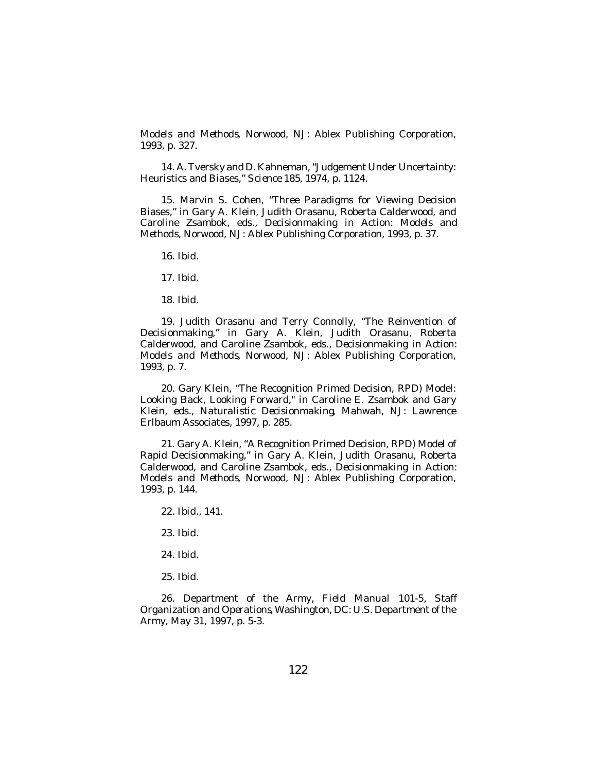*Models and Methods*, Norwood, NJ: Ablex Publishing Corporation, 1993, p. 327.

14. A. Tversky and D. Kahneman, "Judgement Under Uncertainty: Heuristics and Biases," *Science 185*, 1974, p. 1124.

15. Marvin S. Cohen, "Three Paradigms for Viewing Decision Biases," in Gary A. Klein, Judith Orasanu, Roberta Calderwood, and Caroline Zsambok, eds., *Decisionmaking in Action: Models and Methods*, Norwood, NJ: Ablex Publishing Corporation, 1993, p. 37.

16. *Ibid*.

17. *Ibid*.

18. *Ibid*.

19. Judith Orasanu and Terry Connolly, "The Reinvention of Decisionmaking," in Gary A. Klein, Judith Orasanu, Roberta Calderwood, and Caroline Zsambok, eds., *Decisionmaking in Action: Models and Methods*, Norwood, NJ: Ablex Publishing Corporation, 1993, p. 7.

20. Gary Klein, "The Recognition Primed Decision, RPD) Model: Looking Back, Looking Forward," in Caroline E. Zsambok and Gary Klein, eds., *Naturalistic Decisionmaking*, Mahwah, NJ: Lawrence Erlbaum Associates, 1997, p. 285.

21. Gary A. Klein, "A Recognition Primed Decision, RPD) Model of Rapid Decisionmaking," in Gary A. Klein, Judith Orasanu, Roberta Calderwood, and Caroline Zsambok, eds., *Decisionmaking in Action: Models and Methods*, Norwood, NJ: Ablex Publishing Corporation, 1993, p. 144.

22. *Ibid*., 141.

23. *Ibid*.

24. *Ibid*.

25. *Ibid*.

26. Department of the Army, *Field Manual 101-5, Staff Organization and Operations*, Washington, DC: U.S. Department of the Army, May 31, 1997, p. 5-3.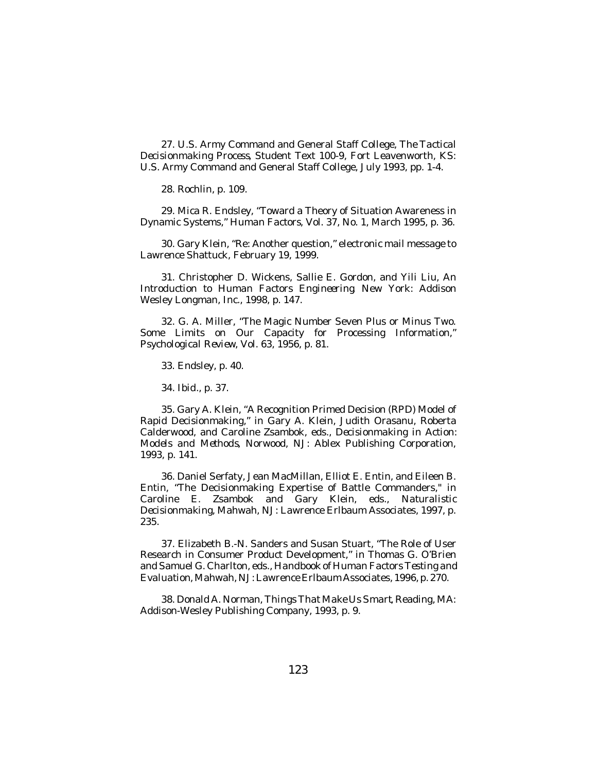27. U.S. Army Command and General Staff College, *The Tactical Decisionmaking Process*, Student Text 100-9, Fort Leavenworth, KS: U.S. Army Command and General Staff College, July 1993, pp. 1-4.

28. Rochlin, p. 109.

29. Mica R. Endsley, "Toward a Theory of Situation Awareness in Dynamic Systems," *Human Factors*, Vol. 37, No. 1, March 1995, p. 36.

30. Gary Klein, "Re: Another question," electronic mail message to Lawrence Shattuck, February 19, 1999.

31. Christopher D. Wickens, Sallie E. Gordon, and Yili Liu, *An Introduction to Human Factors Engineering*, New York: Addison Wesley Longman, Inc., 1998, p. 147.

32. G. A. Miller, "The Magic Number Seven Plus or Minus Two. Some Limits on Our Capacity for Processing Information," *Psychological Review*, Vol. 63, 1956, p. 81.

33. Endsley, p. 40.

34. *Ibid*., p. 37.

35. Gary A. Klein, "A Recognition Primed Decision (RPD) Model of Rapid Decisionmaking," in Gary A. Klein, Judith Orasanu, Roberta Calderwood, and Caroline Zsambok, eds., *Decisionmaking in Action: Models and Methods*, Norwood, NJ: Ablex Publishing Corporation, 1993, p. 141.

36. Daniel Serfaty, Jean MacMillan, Elliot E. Entin, and Eileen B. Entin, "The Decisionmaking Expertise of Battle Commanders," in Caroline E. Zsambok and Gary Klein, eds., *Naturalistic Decisionmaking*, Mahwah, NJ: Lawrence Erlbaum Associates, 1997, p. 235.

37. Elizabeth B.-N. Sanders and Susan Stuart, "The Role of User Research in Consumer Product Development," in Thomas G. O'Brien and Samuel G. Charlton, eds., *Handbook of Human Factors Testing and Evaluation*, Mahwah, NJ: Lawrence Erlbaum Associates, 1996, p. 270.

38. Donald A. Norman, *Things That Make Us Smart*, Reading, MA: Addison-Wesley Publishing Company, 1993, p. 9.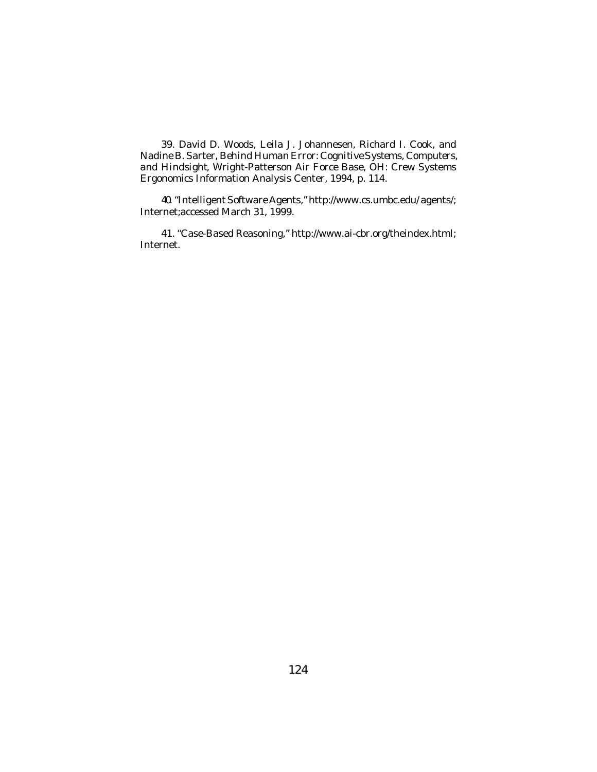39. David D. Woods, Leila J. Johannesen, Richard I. Cook, and Nadine B. Sarter, *Behind Human Error: Cognitive Systems, Computers, and Hindsight*, Wright-Patterson Air Force Base, OH: Crew Systems Ergonomics Information Analysis Center, 1994, p. 114.

40. "Intelligent Software Agents," http://www.cs.umbc.edu/ agents/; Internet;accessed March 31, 1999.

41. "Case-Based Reasoning," http://www.ai-cbr.org/theindex.html; Internet.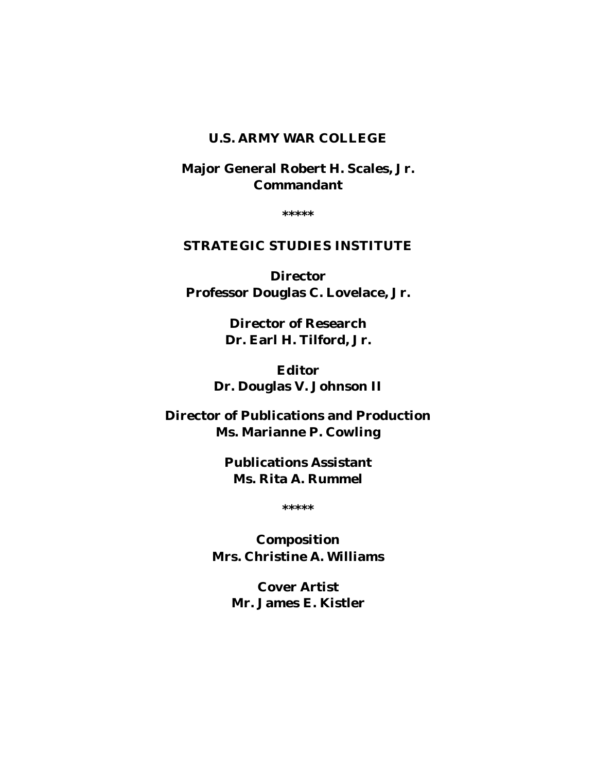# **U.S. ARMY WAR COLLEGE**

**Major General Robert H. Scales, Jr. Commandant**

**\*\*\*\*\***

# **STRATEGIC STUDIES INSTITUTE**

**Director Professor Douglas C. Lovelace, Jr.**

> **Director of Research Dr. Earl H. Tilford, Jr.**

**Editor Dr. Douglas V. Johnson II**

**Director of Publications and Production Ms. Marianne P. Cowling**

> **Publications Assistant Ms. Rita A. Rummel**

> > **\*\*\*\*\***

**Composition Mrs. Christine A. Williams**

> **Cover Artist Mr. James E. Kistler**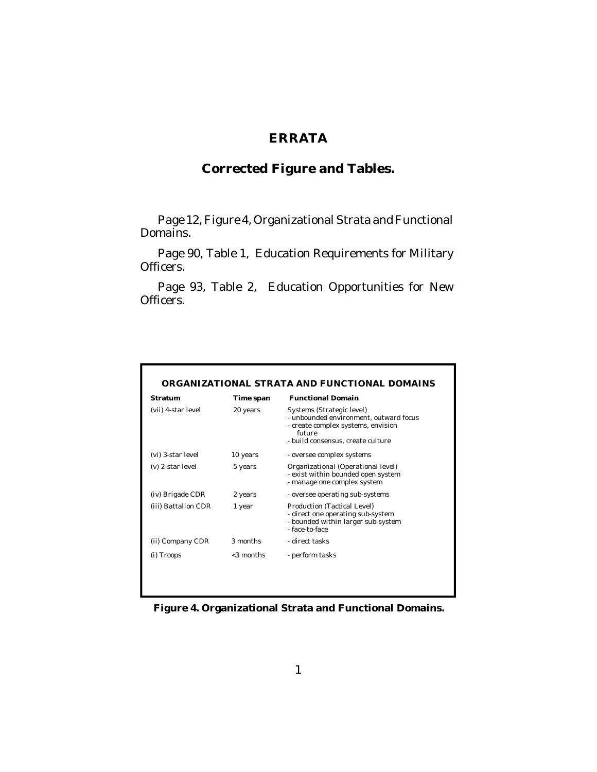# **ERRATA**

# **Corrected Figure and Tables.**

Page 12, Figure 4, Organizational Strata and Functional Domains.

Page 90, Table 1, Education Requirements for Military Officers.

Page 93, Table 2, Education Opportunities for New Officers.

| Stratum             | Time span    | <b>Functional Domain</b>                                                                                                                                 |
|---------------------|--------------|----------------------------------------------------------------------------------------------------------------------------------------------------------|
| (vii) 4-star level  | 20 years     | Systems (Strategic level)<br>- unbounded environment, outward focus<br>- create complex systems, envision<br>future<br>- build consensus, create culture |
| (vi) 3-star level   | 10 years     | - oversee complex systems                                                                                                                                |
| (v) 2-star level    | 5 years      | Organizational (Operational level)<br>- exist within bounded open system<br>- manage one complex system                                                  |
| (iv) Brigade CDR    | 2 years      | - oversee operating sub-systems                                                                                                                          |
| (iii) Battalion CDR | 1 year       | Production (Tactical Level)<br>- direct one operating sub-system<br>- bounded within larger sub-system<br>- face-to-face                                 |
| (ii) Company CDR    | 3 months     | - direct tasks                                                                                                                                           |
| (i) Troops          | $<$ 3 months | - perform tasks                                                                                                                                          |

**Figure 4. Organizational Strata and Functional Domains.**